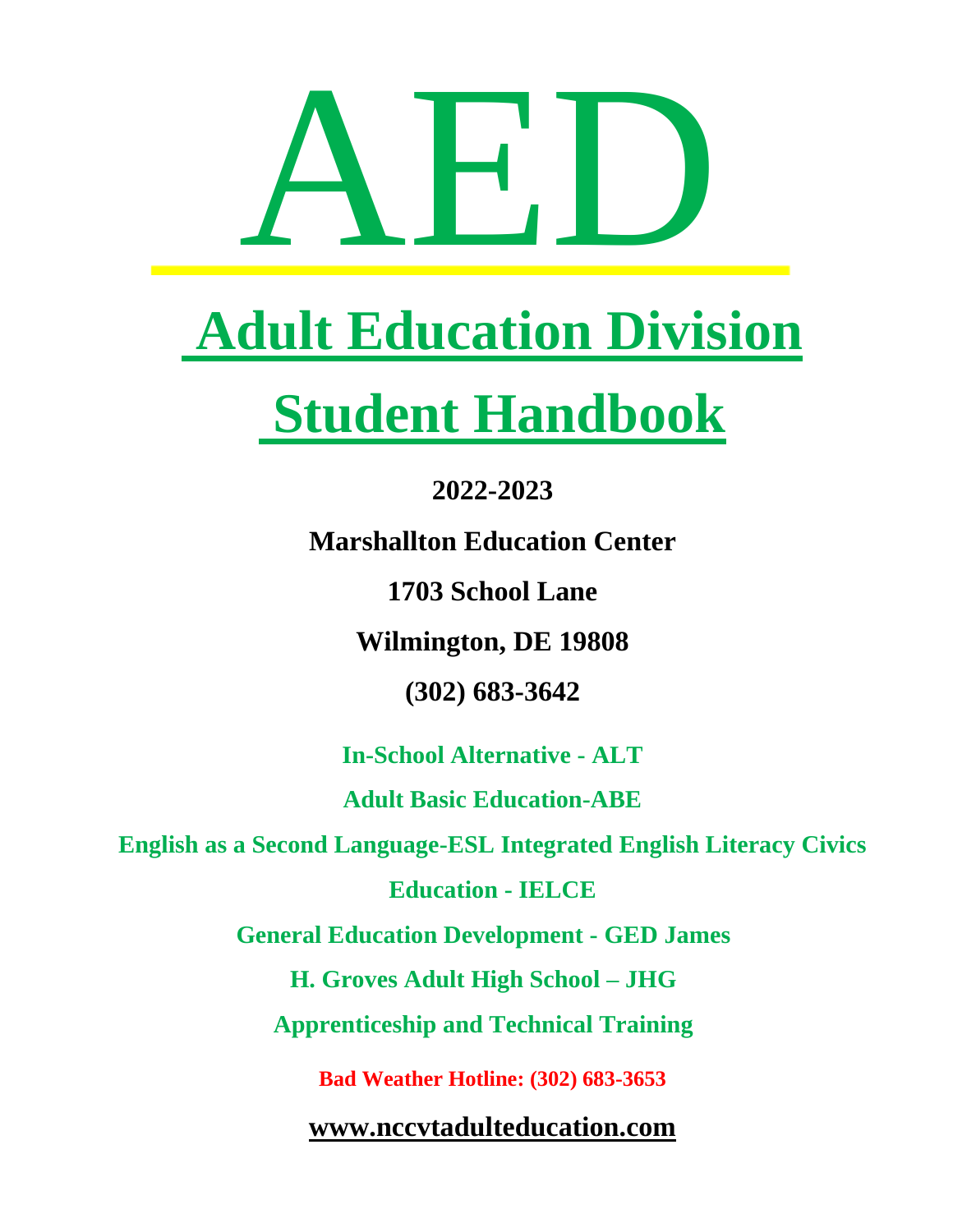

# **Adult Education Division**

# **Student Handbook**

# **2022-2023**

**Marshallton Education Center** 

**1703 School Lane**

**Wilmington, DE 19808**

**(302) 683-3642**

**In-School Alternative - ALT** 

**Adult Basic Education-ABE**

**English as a Second Language-ESL Integrated English Literacy Civics** 

**Education - IELCE**

**General Education Development - GED James** 

**H. Groves Adult High School – JHG**

**Apprenticeship and Technical Training**

**Bad Weather Hotline: (302) 683-3653**

**[www.nccvtadulteducation.com](https://nccvtadulteducation.com/)**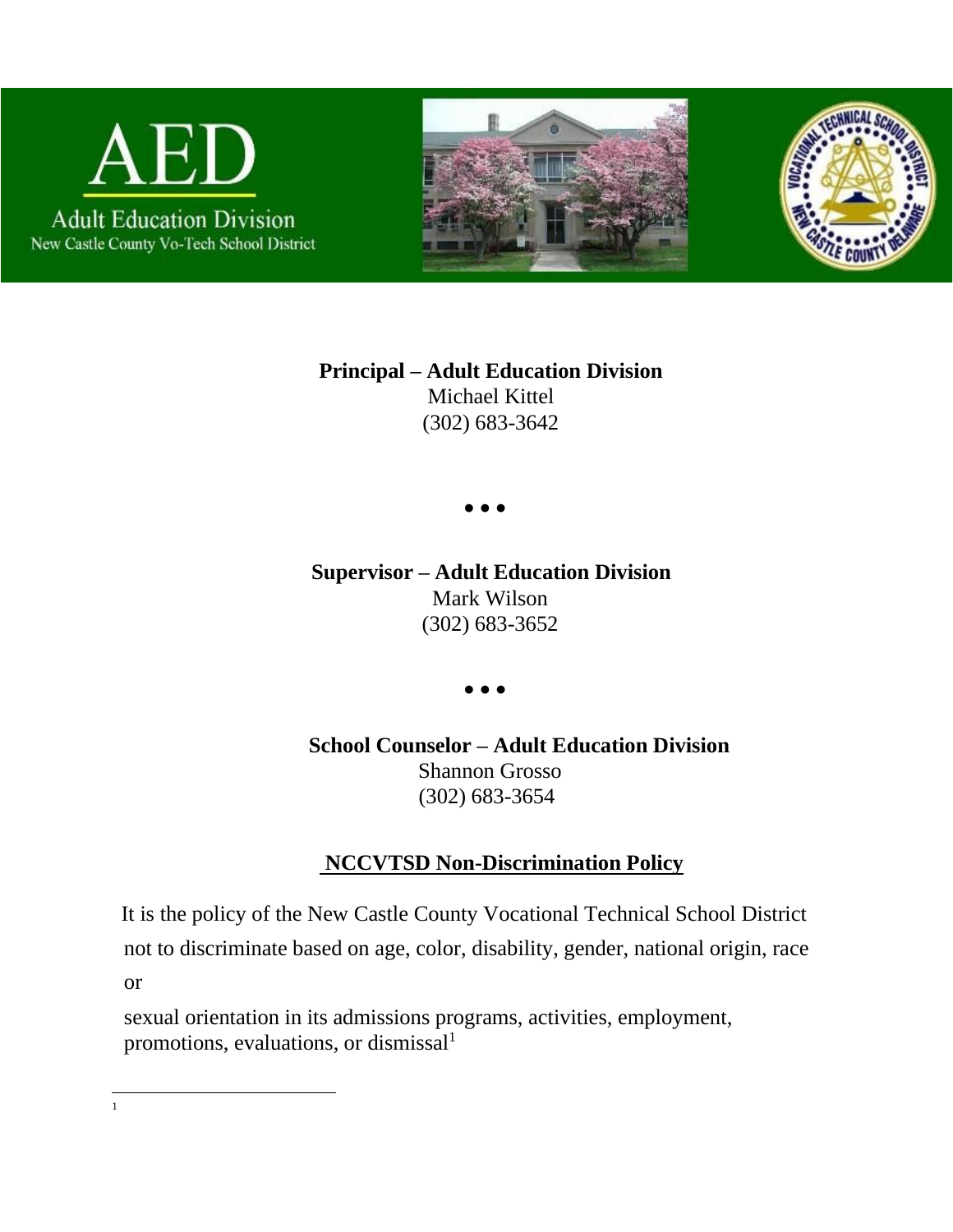





**Principal – Adult Education Division**  Michael Kittel (302) 683-3642

● ● ●

**Supervisor – Adult Education Division** Mark Wilson (302) 683-3652

● ● ●

**School Counselor – Adult Education Division** Shannon Grosso (302) 683-3654

# **NCCVTSD Non-Discrimination Policy**

It is the policy of the New Castle County Vocational Technical School District not to discriminate based on age, color, disability, gender, national origin, race or

sexual orientation in its admissions programs, activities, employment, promotions, evaluations, or dismissal<sup>1</sup>

1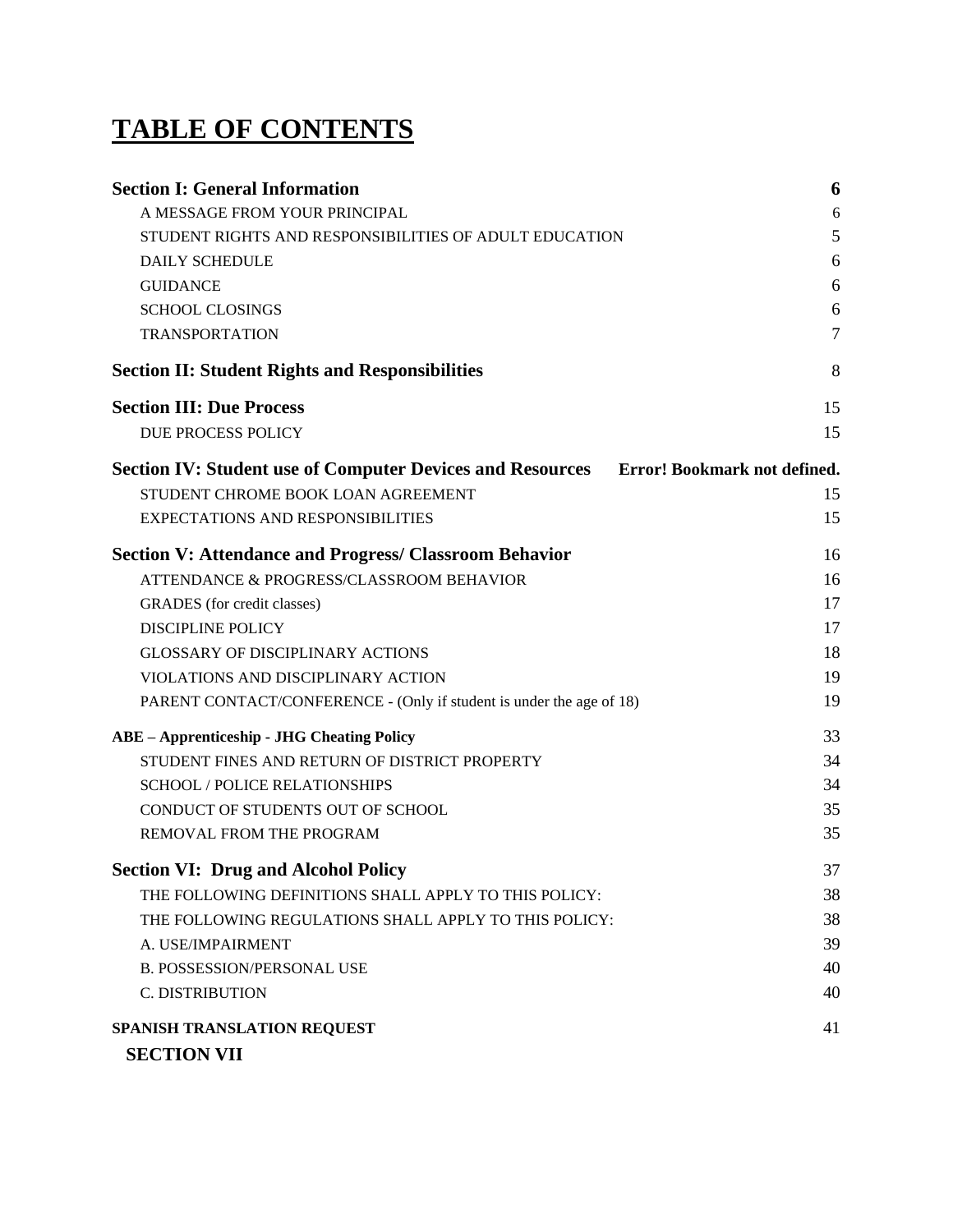# **TABLE OF CONTENTS**

| <b>Section I: General Information</b>                                | 6                            |
|----------------------------------------------------------------------|------------------------------|
| A MESSAGE FROM YOUR PRINCIPAL                                        | 6                            |
| STUDENT RIGHTS AND RESPONSIBILITIES OF ADULT EDUCATION               | 5                            |
| <b>DAILY SCHEDULE</b>                                                | 6                            |
| <b>GUIDANCE</b>                                                      | 6                            |
| <b>SCHOOL CLOSINGS</b>                                               | 6                            |
| <b>TRANSPORTATION</b>                                                | 7                            |
| <b>Section II: Student Rights and Responsibilities</b>               | 8                            |
| <b>Section III: Due Process</b>                                      | 15                           |
| DUE PROCESS POLICY                                                   | 15                           |
| <b>Section IV: Student use of Computer Devices and Resources</b>     | Error! Bookmark not defined. |
| STUDENT CHROME BOOK LOAN AGREEMENT                                   | 15                           |
| <b>EXPECTATIONS AND RESPONSIBILITIES</b>                             | 15                           |
| <b>Section V: Attendance and Progress/ Classroom Behavior</b>        | 16                           |
| ATTENDANCE & PROGRESS/CLASSROOM BEHAVIOR                             | 16                           |
| GRADES (for credit classes)                                          | 17                           |
| <b>DISCIPLINE POLICY</b>                                             | 17                           |
| <b>GLOSSARY OF DISCIPLINARY ACTIONS</b>                              | 18                           |
| VIOLATIONS AND DISCIPLINARY ACTION                                   | 19                           |
| PARENT CONTACT/CONFERENCE - (Only if student is under the age of 18) | 19                           |
| <b>ABE - Apprenticeship - JHG Cheating Policy</b>                    | 33                           |
| STUDENT FINES AND RETURN OF DISTRICT PROPERTY                        | 34                           |
| <b>SCHOOL / POLICE RELATIONSHIPS</b>                                 | 34                           |
| CONDUCT OF STUDENTS OUT OF SCHOOL                                    | 35                           |
| REMOVAL FROM THE PROGRAM                                             | 35                           |
| <b>Section VI: Drug and Alcohol Policy</b>                           | 37                           |
| THE FOLLOWING DEFINITIONS SHALL APPLY TO THIS POLICY:                | 38                           |
| THE FOLLOWING REGULATIONS SHALL APPLY TO THIS POLICY:                | 38                           |
| A. USE/IMPAIRMENT                                                    | 39                           |
| <b>B. POSSESSION/PERSONAL USE</b>                                    | 40                           |
| C. DISTRIBUTION                                                      | 40                           |
| SPANISH TRANSLATION REQUEST                                          | 41                           |
| <b>SECTION VII</b>                                                   |                              |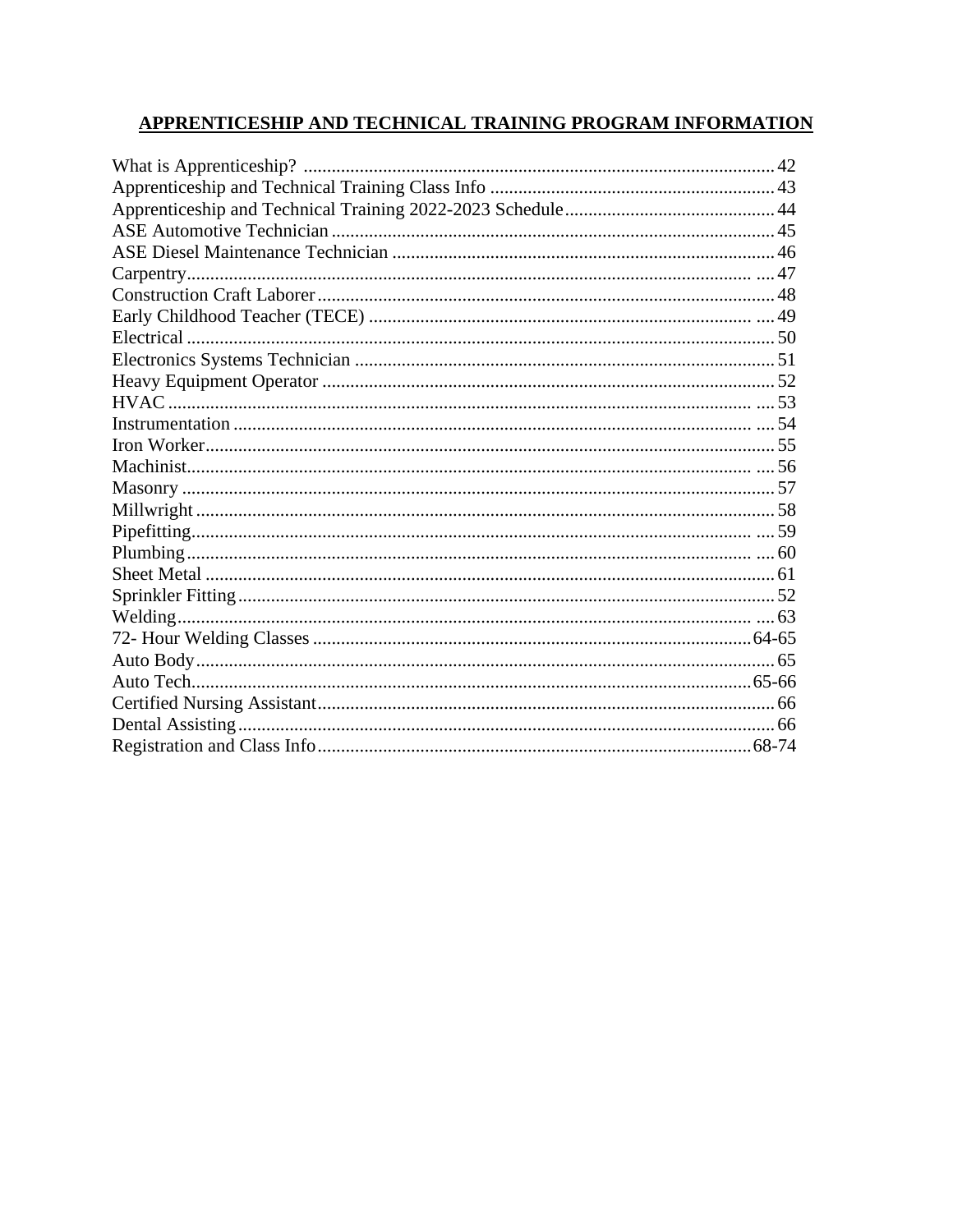#### APPRENTICESHIP AND TECHNICAL TRAINING PROGRAM INFORMATION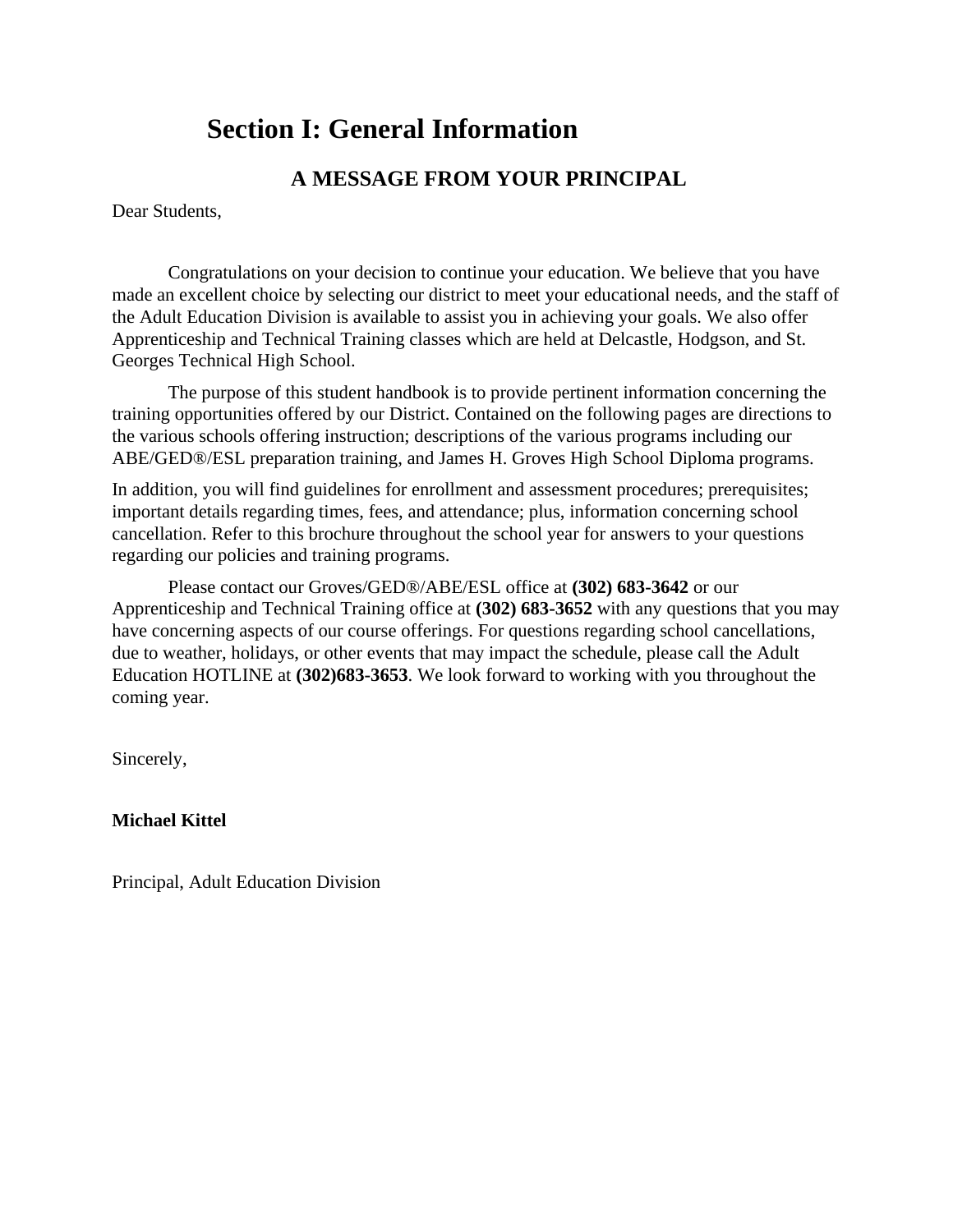# **Section I: General Information**

# **A MESSAGE FROM YOUR PRINCIPAL**

<span id="page-4-0"></span>Dear Students,

Congratulations on your decision to continue your education. We believe that you have made an excellent choice by selecting our district to meet your educational needs, and the staff of the Adult Education Division is available to assist you in achieving your goals. We also offer Apprenticeship and Technical Training classes which are held at Delcastle, Hodgson, and St. Georges Technical High School.

The purpose of this student handbook is to provide pertinent information concerning the training opportunities offered by our District. Contained on the following pages are directions to the various schools offering instruction; descriptions of the various programs including our ABE/GED®/ESL preparation training, and James H. Groves High School Diploma programs.

In addition, you will find guidelines for enrollment and assessment procedures; prerequisites; important details regarding times, fees, and attendance; plus, information concerning school cancellation. Refer to this brochure throughout the school year for answers to your questions regarding our policies and training programs.

Please contact our Groves/GED®/ABE/ESL office at **(302) 683-3642** or our Apprenticeship and Technical Training office at **(302) 683-3652** with any questions that you may have concerning aspects of our course offerings. For questions regarding school cancellations, due to weather, holidays, or other events that may impact the schedule, please call the Adult Education HOTLINE at **(302)683-3653**. We look forward to working with you throughout the coming year.

Sincerely,

**Michael Kittel**

Principal, Adult Education Division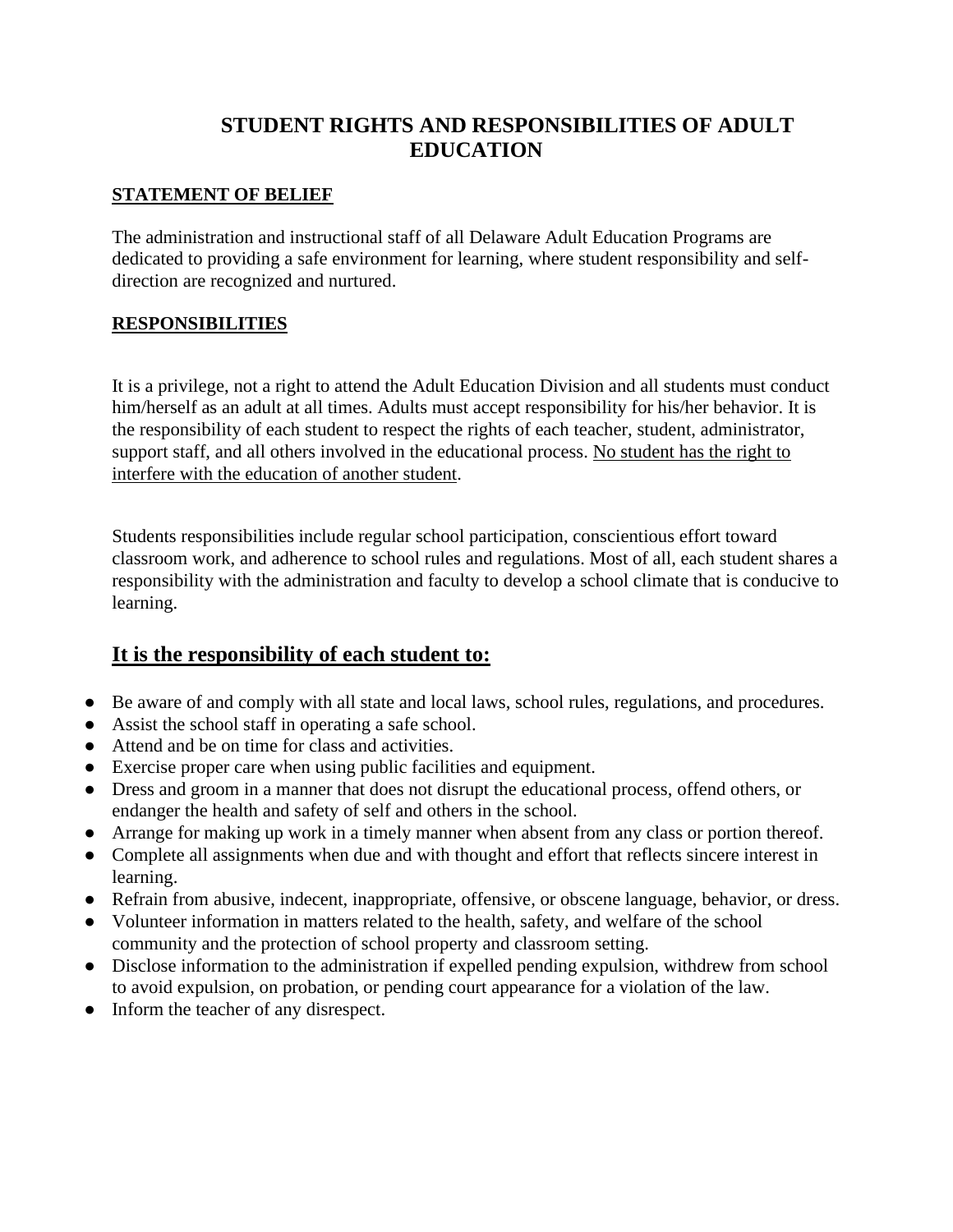# **STUDENT RIGHTS AND RESPONSIBILITIES OF ADULT EDUCATION**

#### <span id="page-5-0"></span>**STATEMENT OF BELIEF**

The administration and instructional staff of all Delaware Adult Education Programs are dedicated to providing a safe environment for learning, where student responsibility and selfdirection are recognized and nurtured.

#### **RESPONSIBILITIES**

It is a privilege, not a right to attend the Adult Education Division and all students must conduct him/herself as an adult at all times. Adults must accept responsibility for his/her behavior. It is the responsibility of each student to respect the rights of each teacher, student, administrator, support staff, and all others involved in the educational process. No student has the right to interfere with the education of another student.

Students responsibilities include regular school participation, conscientious effort toward classroom work, and adherence to school rules and regulations. Most of all, each student shares a responsibility with the administration and faculty to develop a school climate that is conducive to learning.

## **It is the responsibility of each student to:**

- Be aware of and comply with all state and local laws, school rules, regulations, and procedures.
- Assist the school staff in operating a safe school.
- Attend and be on time for class and activities.
- Exercise proper care when using public facilities and equipment.
- Dress and groom in a manner that does not disrupt the educational process, offend others, or endanger the health and safety of self and others in the school.
- Arrange for making up work in a timely manner when absent from any class or portion thereof.
- Complete all assignments when due and with thought and effort that reflects sincere interest in learning.
- Refrain from abusive, indecent, inappropriate, offensive, or obscene language, behavior, or dress.
- Volunteer information in matters related to the health, safety, and welfare of the school community and the protection of school property and classroom setting.
- Disclose information to the administration if expelled pending expulsion, withdrew from school to avoid expulsion, on probation, or pending court appearance for a violation of the law.
- Inform the teacher of any disrespect.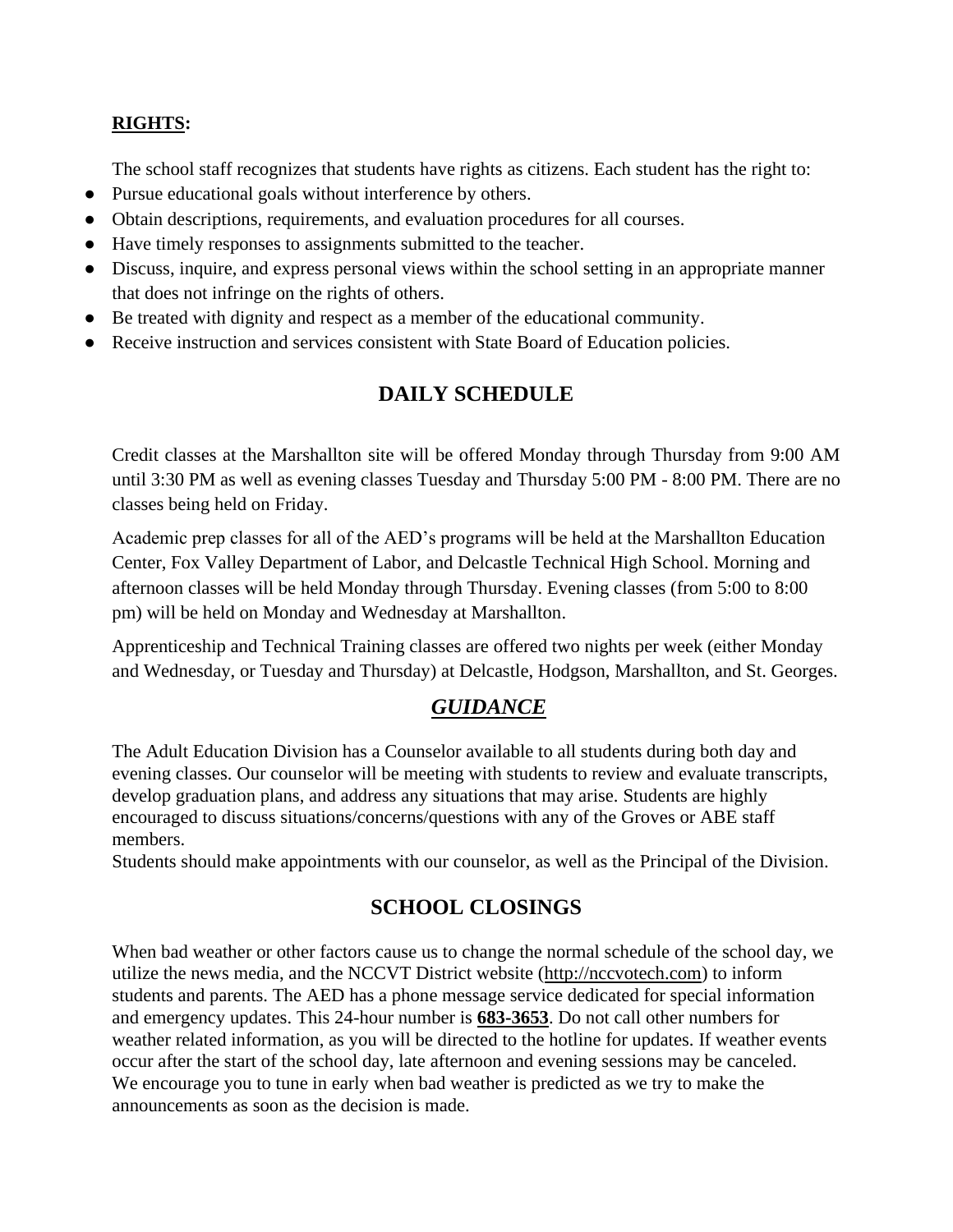#### **RIGHTS:**

The school staff recognizes that students have rights as citizens. Each student has the right to:

- Pursue educational goals without interference by others.
- Obtain descriptions, requirements, and evaluation procedures for all courses.
- Have timely responses to assignments submitted to the teacher.
- Discuss, inquire, and express personal views within the school setting in an appropriate manner that does not infringe on the rights of others.
- Be treated with dignity and respect as a member of the educational community.
- <span id="page-6-0"></span>● Receive instruction and services consistent with State Board of Education policies.

# **DAILY SCHEDULE**

Credit classes at the Marshallton site will be offered Monday through Thursday from 9:00 AM until 3:30 PM as well as evening classes Tuesday and Thursday 5:00 PM - 8:00 PM. There are no classes being held on Friday.

Academic prep classes for all of the AED's programs will be held at the Marshallton Education Center, Fox Valley Department of Labor, and Delcastle Technical High School. Morning and afternoon classes will be held Monday through Thursday. Evening classes (from 5:00 to 8:00 pm) will be held on Monday and Wednesday at Marshallton.

Apprenticeship and Technical Training classes are offered two nights per week (either Monday and Wednesday, or Tuesday and Thursday) at Delcastle, Hodgson, Marshallton, and St. Georges.

# *GUIDANCE*

<span id="page-6-1"></span>The Adult Education Division has a Counselor available to all students during both day and evening classes. Our counselor will be meeting with students to review and evaluate transcripts, develop graduation plans, and address any situations that may arise. Students are highly encouraged to discuss situations/concerns/questions with any of the Groves or ABE staff members.

<span id="page-6-2"></span>Students should make appointments with our counselor, as well as the Principal of the Division.

# **SCHOOL CLOSINGS**

When bad weather or other factors cause us to change the normal schedule of the school day, we utilize the news media, and the NCCVT District website (http://nccvotech.com) to inform students and parents. The AED has a phone message service dedicated for special information and emergency updates. This 24-hour number is **683-3653**. Do not call other numbers for weather related information, as you will be directed to the hotline for updates. If weather events occur after the start of the school day, late afternoon and evening sessions may be canceled. We encourage you to tune in early when bad weather is predicted as we try to make the announcements as soon as the decision is made.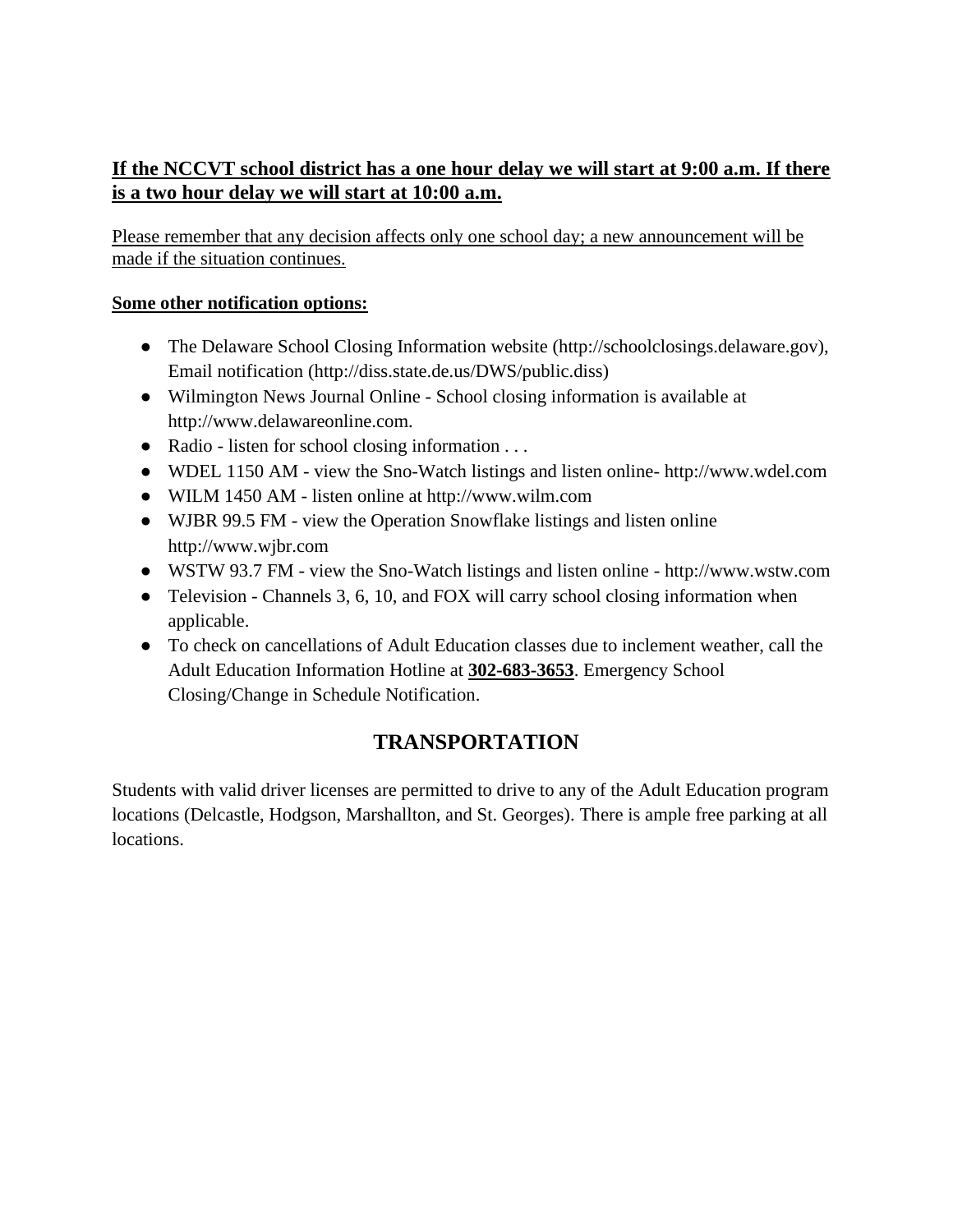# **If the NCCVT school district has a one hour delay we will start at 9:00 a.m. If there is a two hour delay we will start at 10:00 a.m.**

Please remember that any decision affects only one school day; a new announcement will be made if the situation continues.

#### **Some other notification options:**

- The Delaware School Closing Information website (http://schoolclosings.delaware.gov), Email notification [\(http://diss.state.de.us/DWS/public.diss\)](http://diss.state.de.us/DWS/public.diss))
- Wilmington News Journal Online School closing information is available at [http://www.delawareonline.com.](http://www.delawareonline.com/)
- Radio listen for school closing information . . .
- WDEL 1150 AM view the Sno-Watch listings and listen online- [http://www.wdel.com](http://www.wdel.com/)
- WILM 1450 AM listen online at [http://www.wilm.com](http://www.wilm.com/)
- WJBR 99.5 FM view the Operation Snowflake listings and listen online [http://www.wjbr.com](http://www.wjbr.com/)
- WSTW 93.7 FM view the Sno-Watch listings and listen online [http://www.wstw.com](http://www.wstw.com/)
- Television Channels 3, 6, 10, and FOX will carry school closing information when applicable.
- To check on cancellations of Adult Education classes due to inclement weather, call the Adult Education Information Hotline at **302-683-3653**. Emergency School Closing/Change in Schedule Notification.

# **TRANSPORTATION**

<span id="page-7-0"></span>Students with valid driver licenses are permitted to drive to any of the Adult Education program locations (Delcastle, Hodgson, Marshallton, and St. Georges). There is ample free parking at all locations.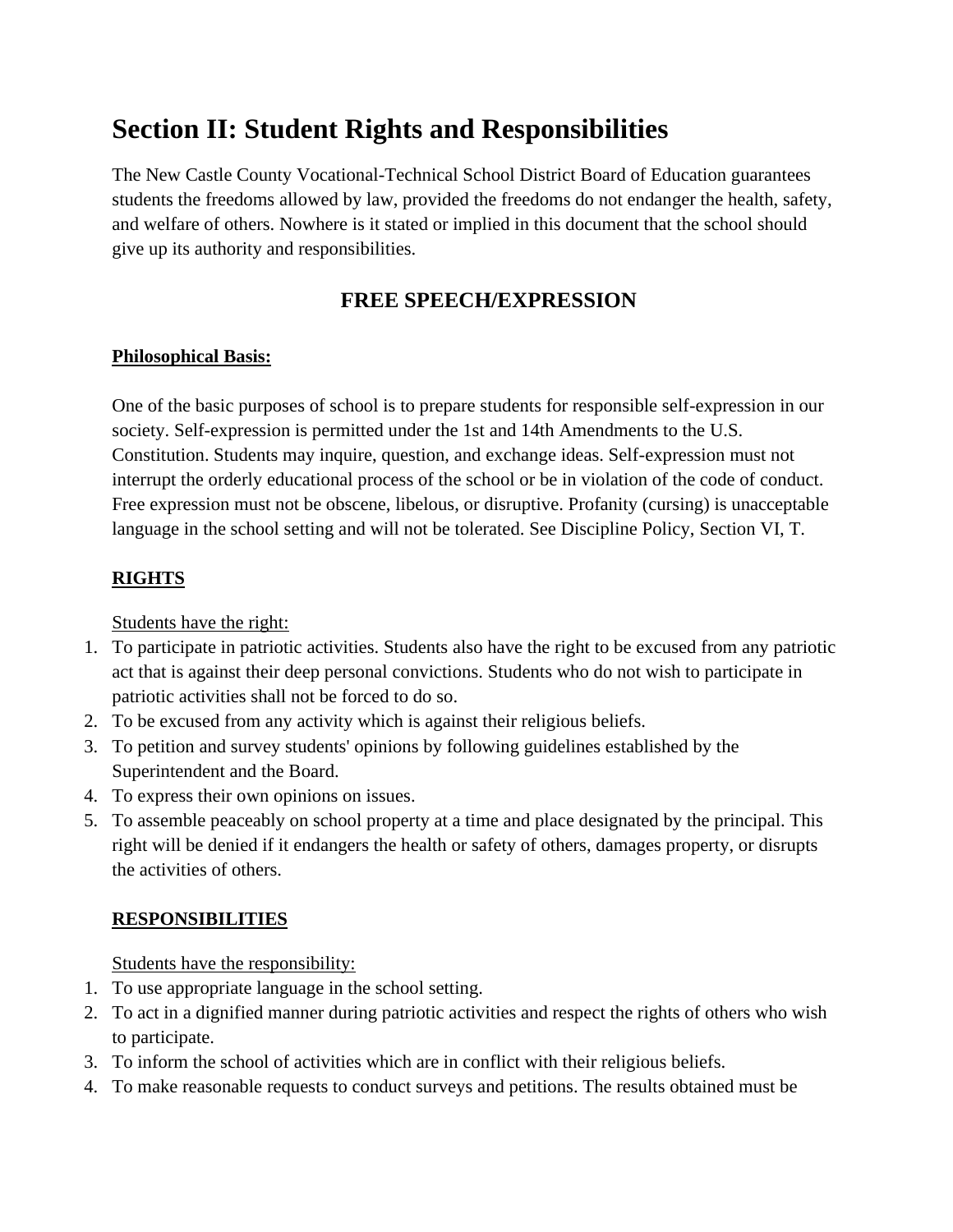# <span id="page-8-0"></span>**Section II: Student Rights and Responsibilities**

The New Castle County Vocational-Technical School District Board of Education guarantees students the freedoms allowed by law, provided the freedoms do not endanger the health, safety, and welfare of others. Nowhere is it stated or implied in this document that the school should give up its authority and responsibilities.

# **FREE SPEECH/EXPRESSION**

#### **Philosophical Basis:**

One of the basic purposes of school is to prepare students for responsible self-expression in our society. Self-expression is permitted under the 1st and 14th Amendments to the U.S. Constitution. Students may inquire, question, and exchange ideas. Self-expression must not interrupt the orderly educational process of the school or be in violation of the code of conduct. Free expression must not be obscene, libelous, or disruptive. Profanity (cursing) is unacceptable language in the school setting and will not be tolerated. See Discipline Policy, Section VI, T.

#### **RIGHTS**

Students have the right:

- 1. To participate in patriotic activities. Students also have the right to be excused from any patriotic act that is against their deep personal convictions. Students who do not wish to participate in patriotic activities shall not be forced to do so.
- 2. To be excused from any activity which is against their religious beliefs.
- 3. To petition and survey students' opinions by following guidelines established by the Superintendent and the Board.
- 4. To express their own opinions on issues.
- 5. To assemble peaceably on school property at a time and place designated by the principal. This right will be denied if it endangers the health or safety of others, damages property, or disrupts the activities of others.

#### **RESPONSIBILITIES**

Students have the responsibility:

- 1. To use appropriate language in the school setting.
- 2. To act in a dignified manner during patriotic activities and respect the rights of others who wish to participate.
- 3. To inform the school of activities which are in conflict with their religious beliefs.
- 4. To make reasonable requests to conduct surveys and petitions. The results obtained must be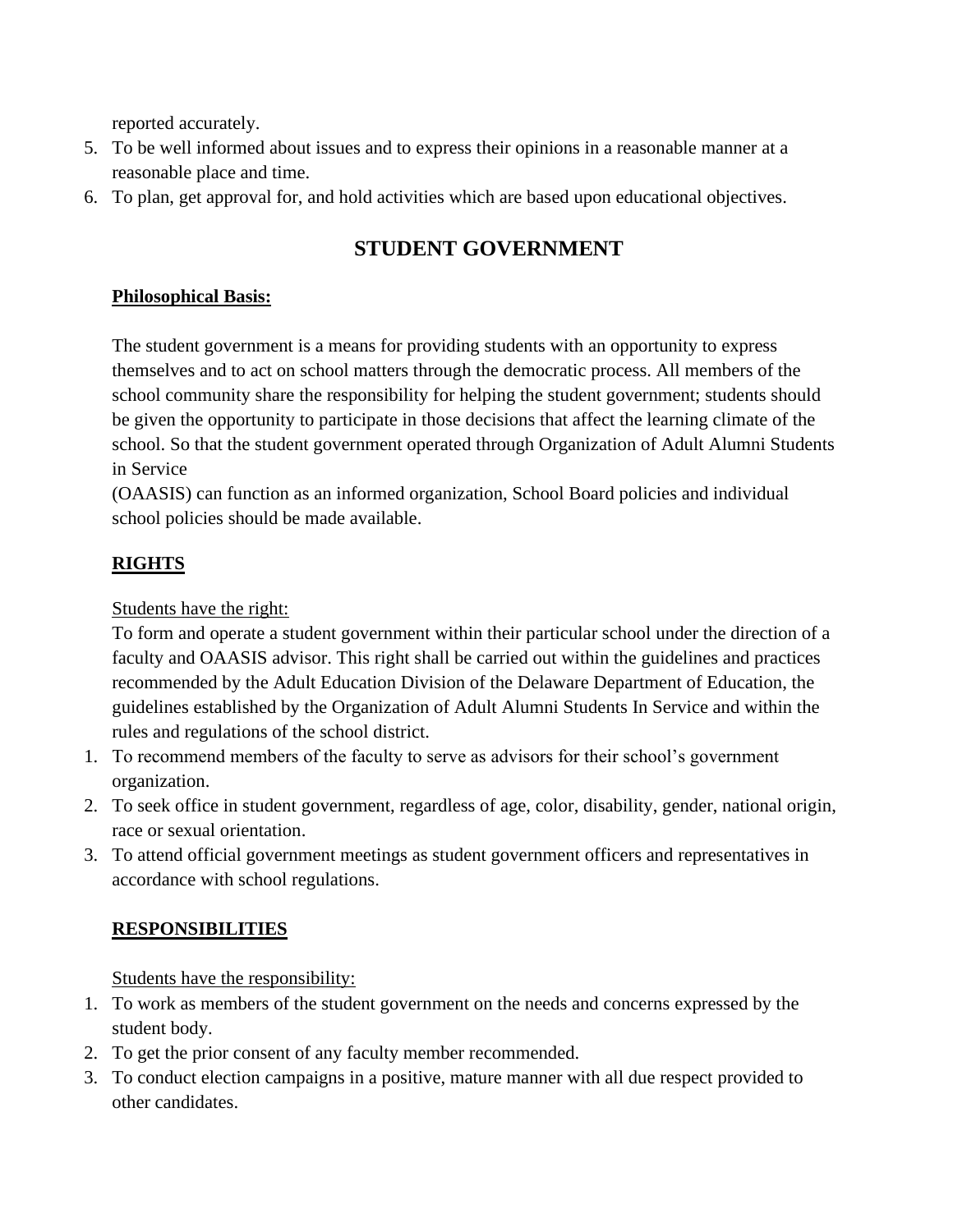reported accurately.

- 5. To be well informed about issues and to express their opinions in a reasonable manner at a reasonable place and time.
- 6. To plan, get approval for, and hold activities which are based upon educational objectives.

# **STUDENT GOVERNMENT**

#### **Philosophical Basis:**

The student government is a means for providing students with an opportunity to express themselves and to act on school matters through the democratic process. All members of the school community share the responsibility for helping the student government; students should be given the opportunity to participate in those decisions that affect the learning climate of the school. So that the student government operated through Organization of Adult Alumni Students in Service

(OAASIS) can function as an informed organization, School Board policies and individual school policies should be made available.

## **RIGHTS**

Students have the right:

To form and operate a student government within their particular school under the direction of a faculty and OAASIS advisor. This right shall be carried out within the guidelines and practices recommended by the Adult Education Division of the Delaware Department of Education, the guidelines established by the Organization of Adult Alumni Students In Service and within the rules and regulations of the school district.

- 1. To recommend members of the faculty to serve as advisors for their school's government organization.
- 2. To seek office in student government, regardless of age, color, disability, gender, national origin, race or sexual orientation.
- 3. To attend official government meetings as student government officers and representatives in accordance with school regulations.

## **RESPONSIBILITIES**

Students have the responsibility:

- 1. To work as members of the student government on the needs and concerns expressed by the student body.
- 2. To get the prior consent of any faculty member recommended.
- 3. To conduct election campaigns in a positive, mature manner with all due respect provided to other candidates.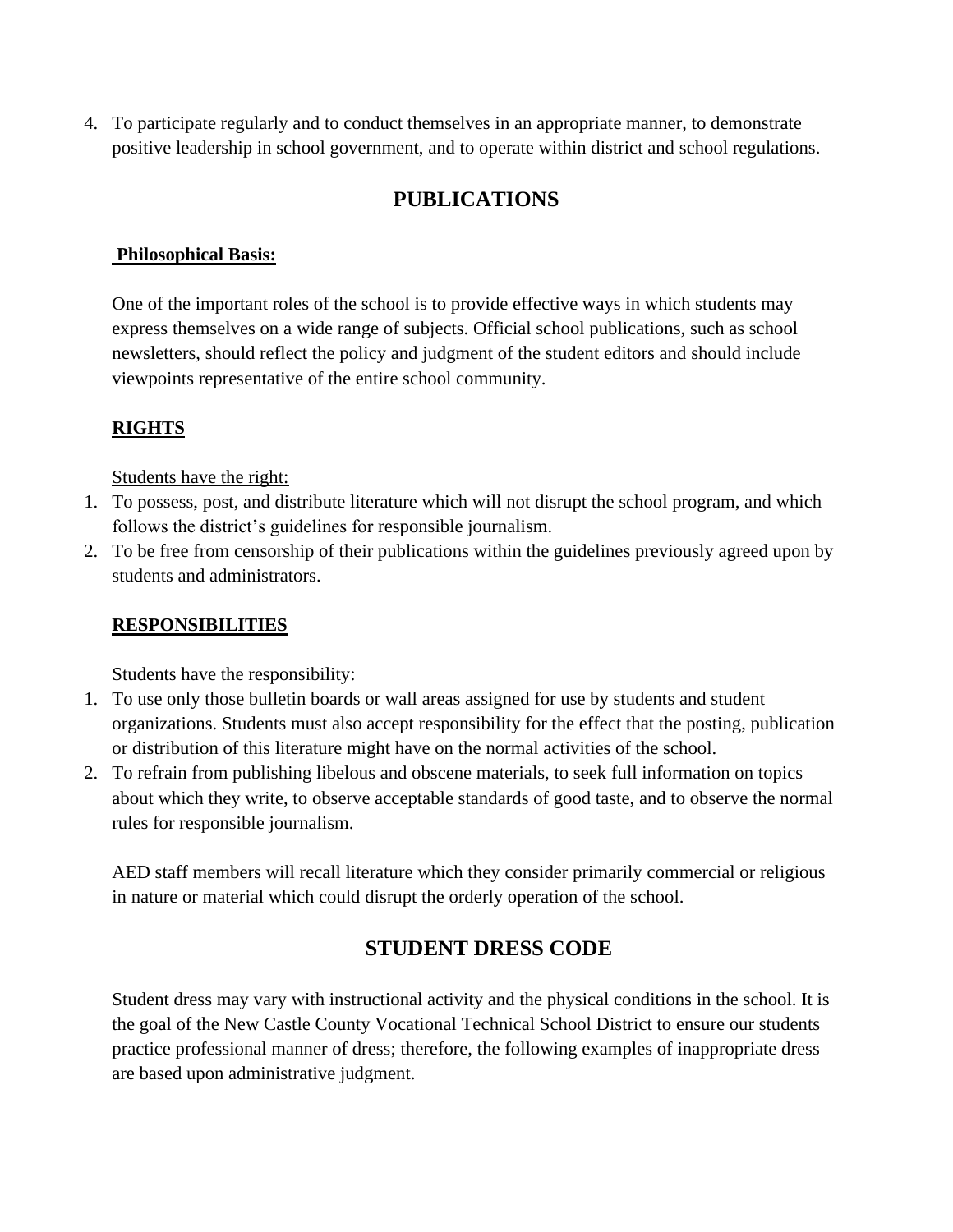4. To participate regularly and to conduct themselves in an appropriate manner, to demonstrate positive leadership in school government, and to operate within district and school regulations.

# **PUBLICATIONS**

#### **Philosophical Basis:**

One of the important roles of the school is to provide effective ways in which students may express themselves on a wide range of subjects. Official school publications, such as school newsletters, should reflect the policy and judgment of the student editors and should include viewpoints representative of the entire school community.

#### **RIGHTS**

#### Students have the right:

- 1. To possess, post, and distribute literature which will not disrupt the school program, and which follows the district's guidelines for responsible journalism.
- 2. To be free from censorship of their publications within the guidelines previously agreed upon by students and administrators.

#### **RESPONSIBILITIES**

#### Students have the responsibility:

- 1. To use only those bulletin boards or wall areas assigned for use by students and student organizations. Students must also accept responsibility for the effect that the posting, publication or distribution of this literature might have on the normal activities of the school.
- 2. To refrain from publishing libelous and obscene materials, to seek full information on topics about which they write, to observe acceptable standards of good taste, and to observe the normal rules for responsible journalism.

AED staff members will recall literature which they consider primarily commercial or religious in nature or material which could disrupt the orderly operation of the school.

# **STUDENT DRESS CODE**

Student dress may vary with instructional activity and the physical conditions in the school. It is the goal of the New Castle County Vocational Technical School District to ensure our students practice professional manner of dress; therefore, the following examples of inappropriate dress are based upon administrative judgment.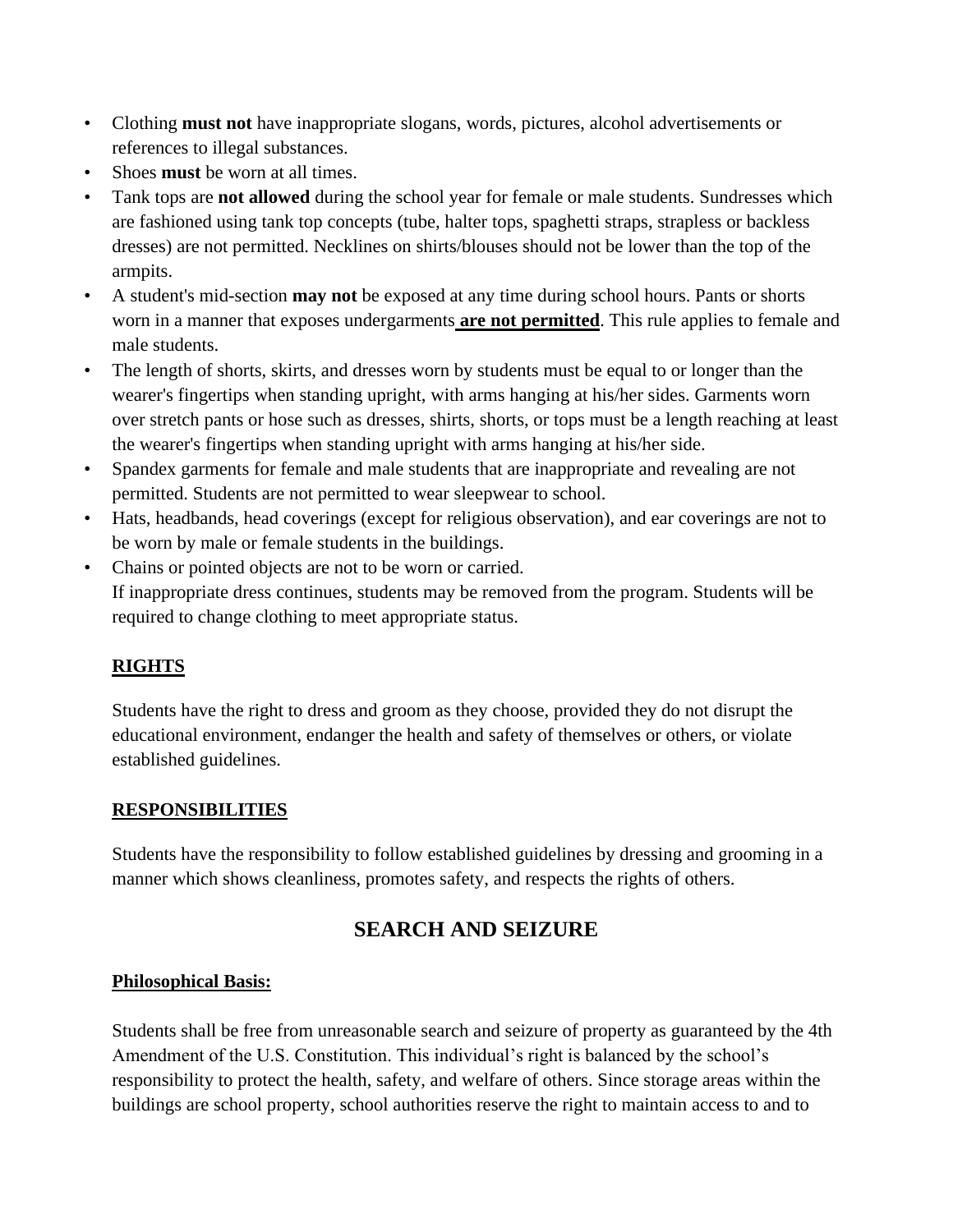- Clothing **must not** have inappropriate slogans, words, pictures, alcohol advertisements or references to illegal substances.
- Shoes **must** be worn at all times.
- Tank tops are **not allowed** during the school year for female or male students. Sundresses which are fashioned using tank top concepts (tube, halter tops, spaghetti straps, strapless or backless dresses) are not permitted. Necklines on shirts/blouses should not be lower than the top of the armpits.
- A student's mid-section **may not** be exposed at any time during school hours. Pants or shorts worn in a manner that exposes undergarments **are not permitted**. This rule applies to female and male students.
- The length of shorts, skirts, and dresses worn by students must be equal to or longer than the wearer's fingertips when standing upright, with arms hanging at his/her sides. Garments worn over stretch pants or hose such as dresses, shirts, shorts, or tops must be a length reaching at least the wearer's fingertips when standing upright with arms hanging at his/her side.
- Spandex garments for female and male students that are inappropriate and revealing are not permitted. Students are not permitted to wear sleepwear to school.
- Hats, headbands, head coverings (except for religious observation), and ear coverings are not to be worn by male or female students in the buildings.
- Chains or pointed objects are not to be worn or carried. If inappropriate dress continues, students may be removed from the program. Students will be required to change clothing to meet appropriate status.

#### **RIGHTS**

Students have the right to dress and groom as they choose, provided they do not disrupt the educational environment, endanger the health and safety of themselves or others, or violate established guidelines.

#### **RESPONSIBILITIES**

Students have the responsibility to follow established guidelines by dressing and grooming in a manner which shows cleanliness, promotes safety, and respects the rights of others.

# **SEARCH AND SEIZURE**

#### **Philosophical Basis:**

Students shall be free from unreasonable search and seizure of property as guaranteed by the 4th Amendment of the U.S. Constitution. This individual's right is balanced by the school's responsibility to protect the health, safety, and welfare of others. Since storage areas within the buildings are school property, school authorities reserve the right to maintain access to and to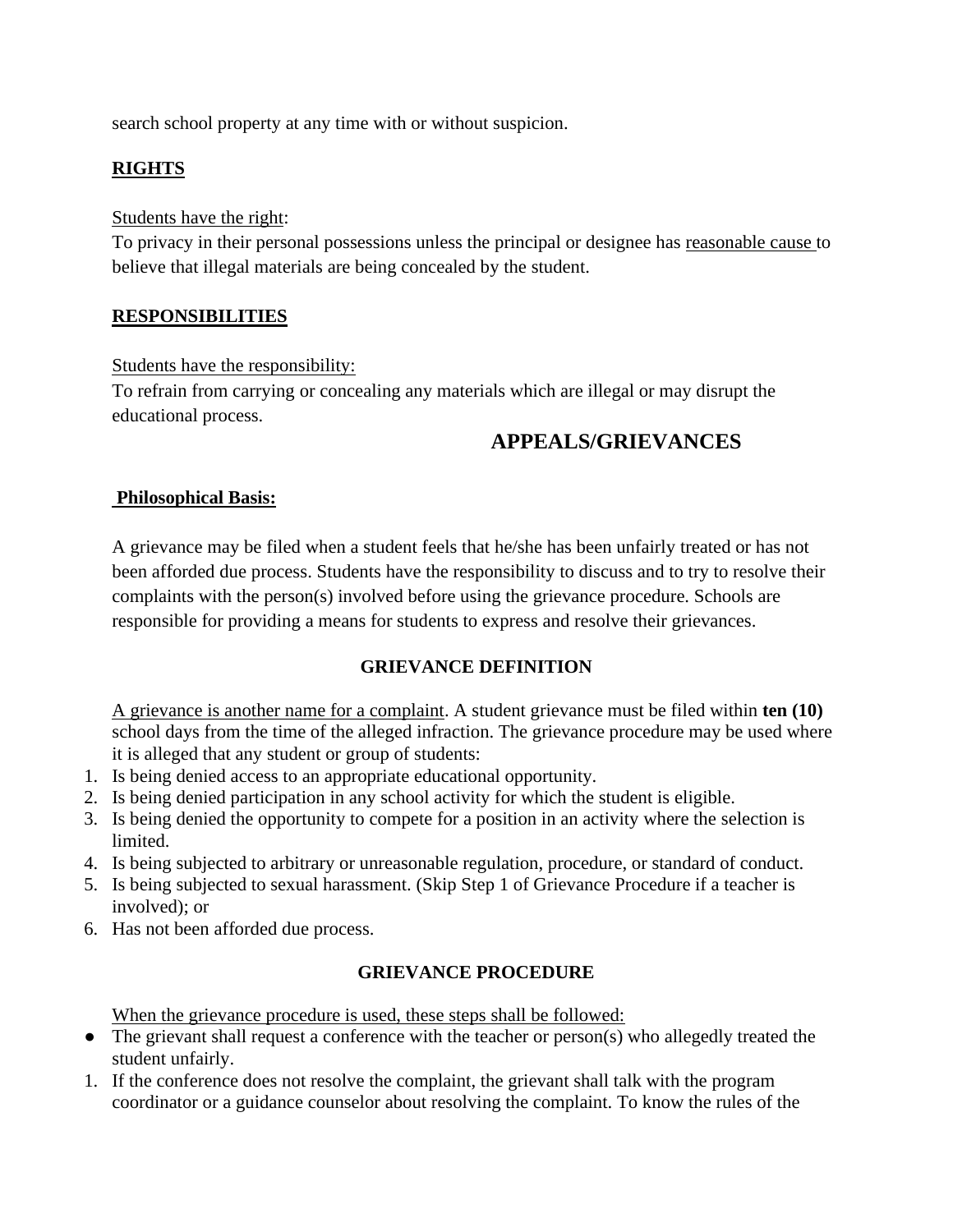search school property at any time with or without suspicion.

#### **RIGHTS**

#### Students have the right:

To privacy in their personal possessions unless the principal or designee has reasonable cause to believe that illegal materials are being concealed by the student.

#### **RESPONSIBILITIES**

#### Students have the responsibility:

To refrain from carrying or concealing any materials which are illegal or may disrupt the educational process.

## **APPEALS/GRIEVANCES**

#### **Philosophical Basis:**

A grievance may be filed when a student feels that he/she has been unfairly treated or has not been afforded due process. Students have the responsibility to discuss and to try to resolve their complaints with the person(s) involved before using the grievance procedure. Schools are responsible for providing a means for students to express and resolve their grievances.

#### **GRIEVANCE DEFINITION**

A grievance is another name for a complaint. A student grievance must be filed within **ten (10)**  school days from the time of the alleged infraction. The grievance procedure may be used where it is alleged that any student or group of students:

- 1. Is being denied access to an appropriate educational opportunity.
- 2. Is being denied participation in any school activity for which the student is eligible.
- 3. Is being denied the opportunity to compete for a position in an activity where the selection is limited.
- 4. Is being subjected to arbitrary or unreasonable regulation, procedure, or standard of conduct.
- 5. Is being subjected to sexual harassment. (Skip Step 1 of Grievance Procedure if a teacher is involved); or
- 6. Has not been afforded due process.

#### **GRIEVANCE PROCEDURE**

When the grievance procedure is used, these steps shall be followed:

- The grievant shall request a conference with the teacher or person(s) who allegedly treated the student unfairly.
- 1. If the conference does not resolve the complaint, the grievant shall talk with the program coordinator or a guidance counselor about resolving the complaint. To know the rules of the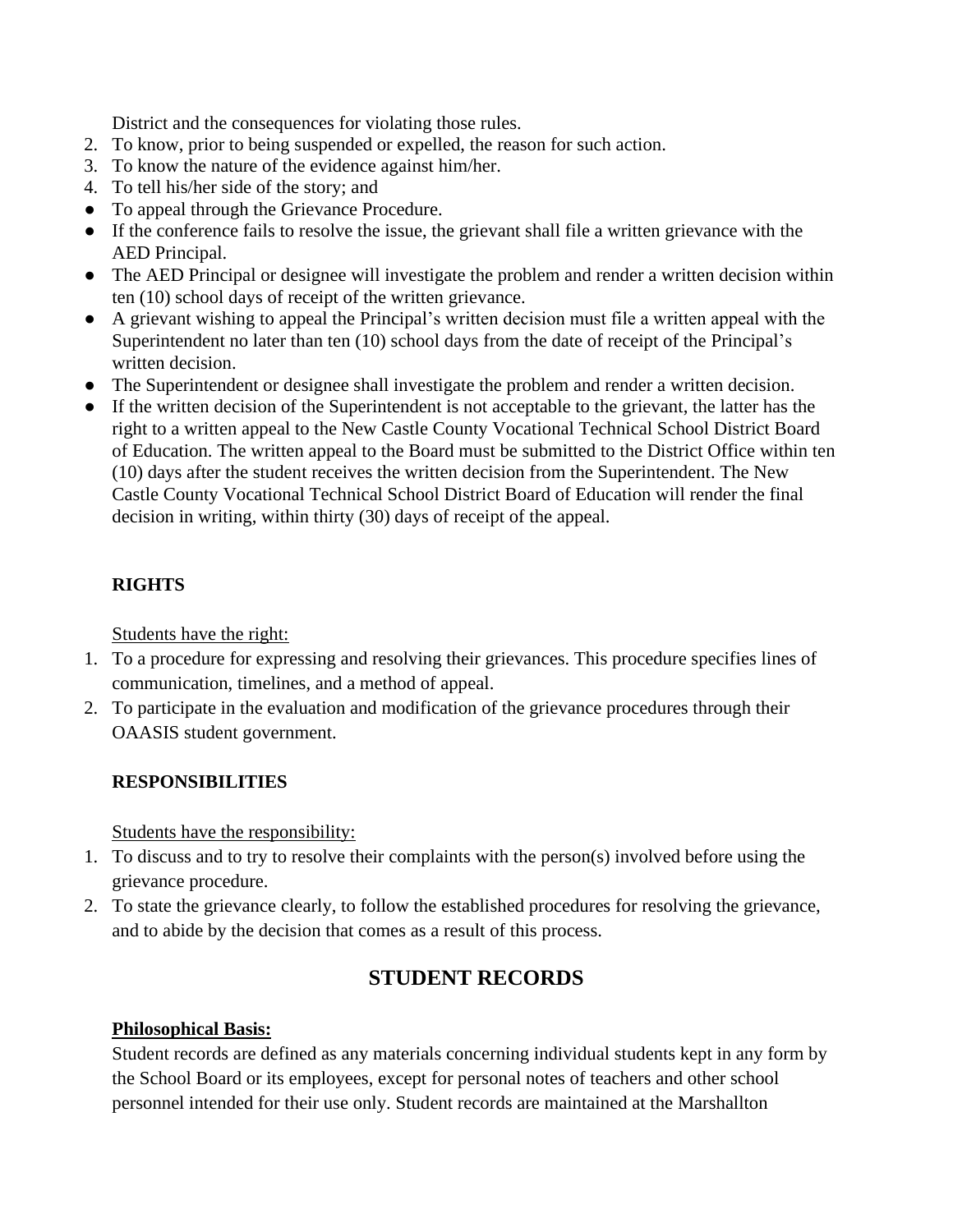District and the consequences for violating those rules.

- 2. To know, prior to being suspended or expelled, the reason for such action.
- 3. To know the nature of the evidence against him/her.
- 4. To tell his/her side of the story; and
- To appeal through the Grievance Procedure.
- If the conference fails to resolve the issue, the grievant shall file a written grievance with the AED Principal.
- The AED Principal or designee will investigate the problem and render a written decision within ten (10) school days of receipt of the written grievance.
- A grievant wishing to appeal the Principal's written decision must file a written appeal with the Superintendent no later than ten (10) school days from the date of receipt of the Principal's written decision.
- The Superintendent or designee shall investigate the problem and render a written decision.
- If the written decision of the Superintendent is not acceptable to the grievant, the latter has the right to a written appeal to the New Castle County Vocational Technical School District Board of Education. The written appeal to the Board must be submitted to the District Office within ten (10) days after the student receives the written decision from the Superintendent. The New Castle County Vocational Technical School District Board of Education will render the final decision in writing, within thirty (30) days of receipt of the appeal.

#### **RIGHTS**

Students have the right:

- 1. To a procedure for expressing and resolving their grievances. This procedure specifies lines of communication, timelines, and a method of appeal.
- 2. To participate in the evaluation and modification of the grievance procedures through their OAASIS student government.

#### **RESPONSIBILITIES**

Students have the responsibility:

- 1. To discuss and to try to resolve their complaints with the person(s) involved before using the grievance procedure.
- 2. To state the grievance clearly, to follow the established procedures for resolving the grievance, and to abide by the decision that comes as a result of this process.

## **STUDENT RECORDS**

#### **Philosophical Basis:**

Student records are defined as any materials concerning individual students kept in any form by the School Board or its employees, except for personal notes of teachers and other school personnel intended for their use only. Student records are maintained at the Marshallton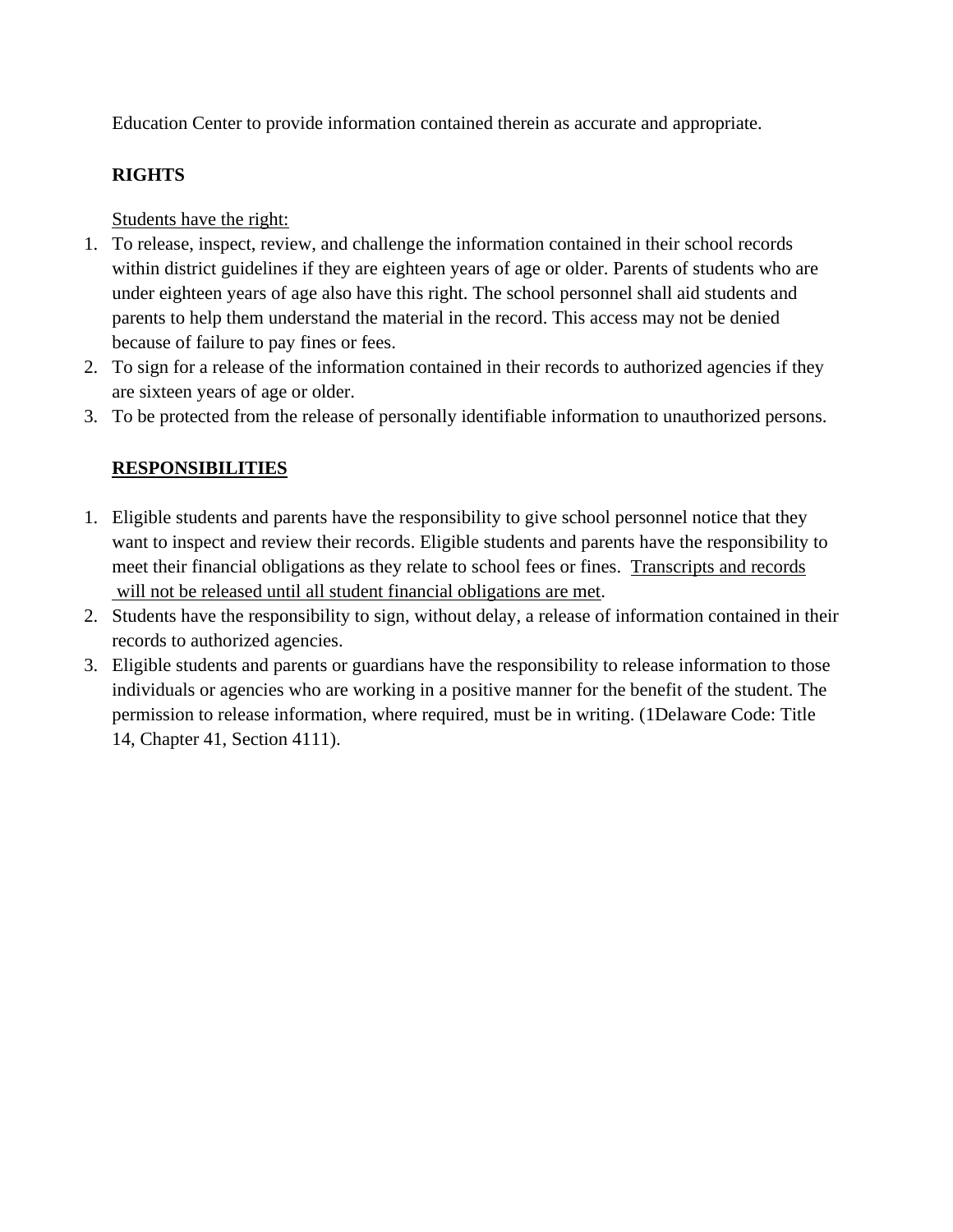Education Center to provide information contained therein as accurate and appropriate.

#### **RIGHTS**

Students have the right:

- 1. To release, inspect, review, and challenge the information contained in their school records within district guidelines if they are eighteen years of age or older. Parents of students who are under eighteen years of age also have this right. The school personnel shall aid students and parents to help them understand the material in the record. This access may not be denied because of failure to pay fines or fees.
- 2. To sign for a release of the information contained in their records to authorized agencies if they are sixteen years of age or older.
- 3. To be protected from the release of personally identifiable information to unauthorized persons.

## **RESPONSIBILITIES**

- 1. Eligible students and parents have the responsibility to give school personnel notice that they want to inspect and review their records. Eligible students and parents have the responsibility to meet their financial obligations as they relate to school fees or fines. Transcripts and records will not be released until all student financial obligations are met.
- 2. Students have the responsibility to sign, without delay, a release of information contained in their records to authorized agencies.
- 3. Eligible students and parents or guardians have the responsibility to release information to those individuals or agencies who are working in a positive manner for the benefit of the student. The permission to release information, where required, must be in writing. (1Delaware Code: Title 14, Chapter 41, Section 4111).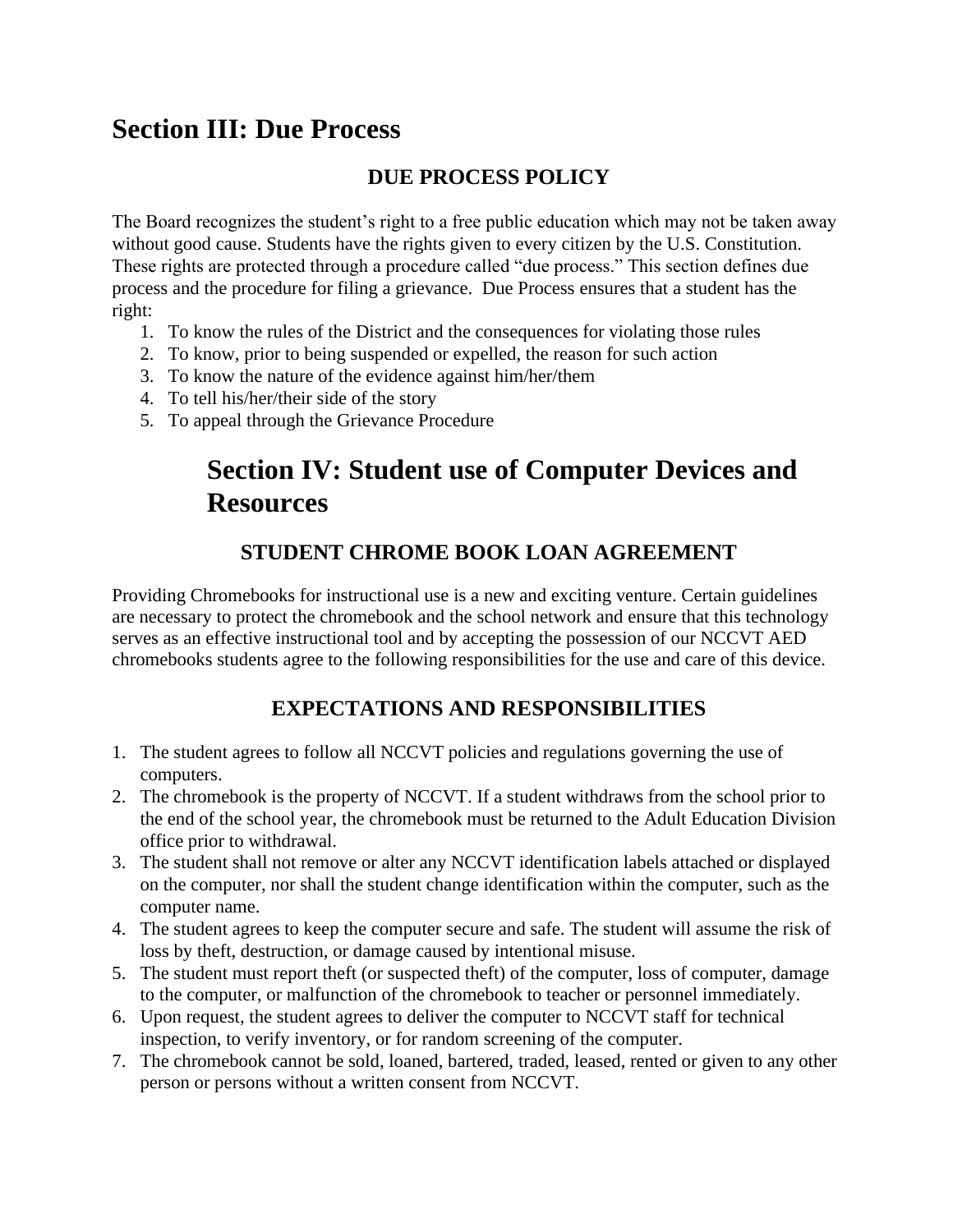# <span id="page-15-0"></span>**Section III: Due Process**

# **DUE PROCESS POLICY**

<span id="page-15-1"></span>The Board recognizes the student's right to a free public education which may not be taken away without good cause. Students have the rights given to every citizen by the U.S. Constitution. These rights are protected through a procedure called "due process." This section defines due process and the procedure for filing a grievance. Due Process ensures that a student has the right:

- 1. To know the rules of the District and the consequences for violating those rules
- 2. To know, prior to being suspended or expelled, the reason for such action
- 3. To know the nature of the evidence against him/her/them
- 4. To tell his/her/their side of the story
- 5. To appeal through the Grievance Procedure

# **Section IV: Student use of Computer Devices and Resources**

# **STUDENT CHROME BOOK LOAN AGREEMENT**

<span id="page-15-2"></span>Providing Chromebooks for instructional use is a new and exciting venture. Certain guidelines are necessary to protect the chromebook and the school network and ensure that this technology serves as an effective instructional tool and by accepting the possession of our NCCVT AED chromebooks students agree to the following responsibilities for the use and care of this device.

# **EXPECTATIONS AND RESPONSIBILITIES**

- <span id="page-15-3"></span>1. The student agrees to follow all NCCVT policies and regulations governing the use of computers.
- 2. The chromebook is the property of NCCVT. If a student withdraws from the school prior to the end of the school year, the chromebook must be returned to the Adult Education Division office prior to withdrawal.
- 3. The student shall not remove or alter any NCCVT identification labels attached or displayed on the computer, nor shall the student change identification within the computer, such as the computer name.
- 4. The student agrees to keep the computer secure and safe. The student will assume the risk of loss by theft, destruction, or damage caused by intentional misuse.
- 5. The student must report theft (or suspected theft) of the computer, loss of computer, damage to the computer, or malfunction of the chromebook to teacher or personnel immediately.
- 6. Upon request, the student agrees to deliver the computer to NCCVT staff for technical inspection, to verify inventory, or for random screening of the computer.
- 7. The chromebook cannot be sold, loaned, bartered, traded, leased, rented or given to any other person or persons without a written consent from NCCVT.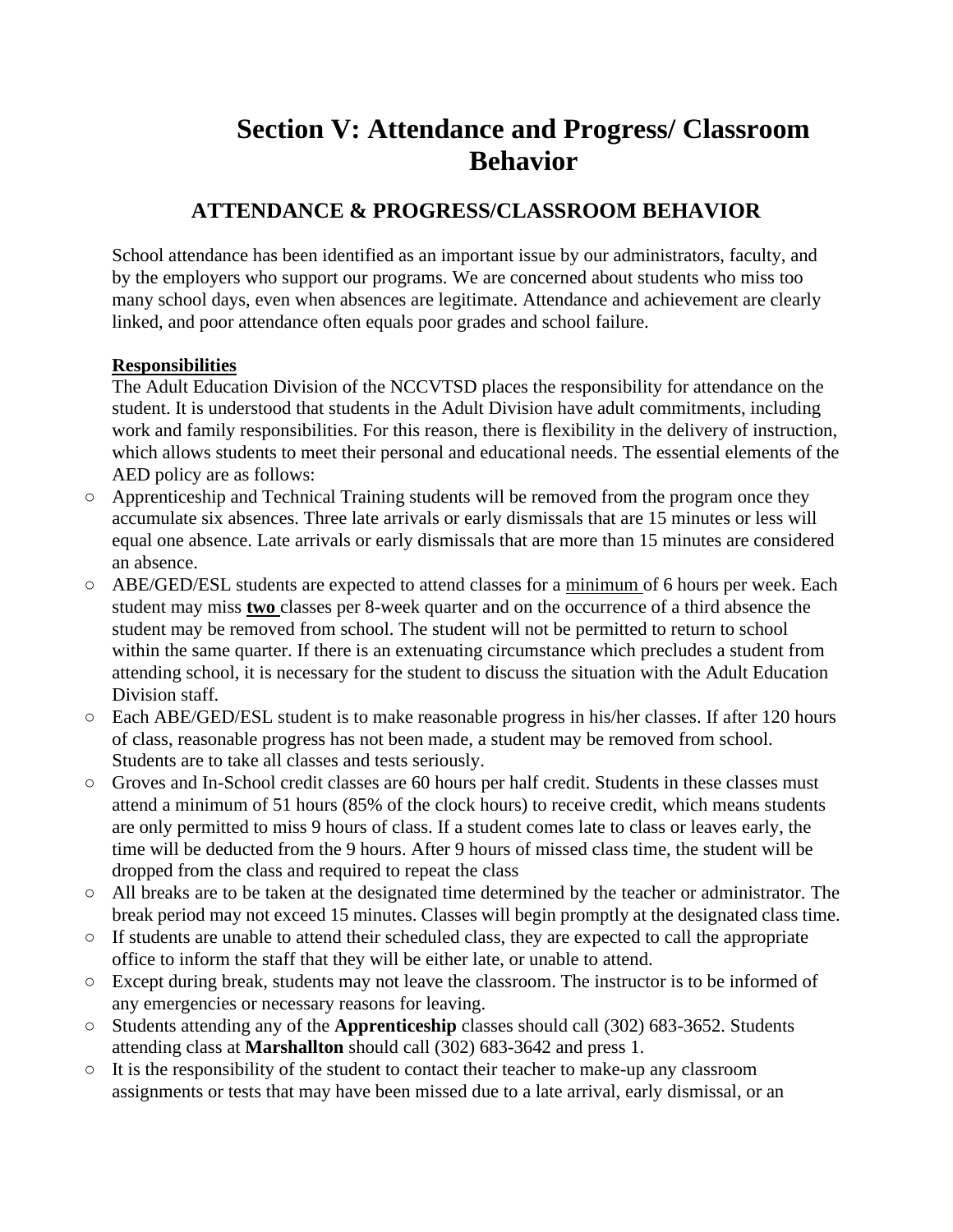# **Section V: Attendance and Progress/ Classroom Behavior**

# <span id="page-16-0"></span>**ATTENDANCE & PROGRESS/CLASSROOM BEHAVIOR**

<span id="page-16-1"></span>School attendance has been identified as an important issue by our administrators, faculty, and by the employers who support our programs. We are concerned about students who miss too many school days, even when absences are legitimate. Attendance and achievement are clearly linked, and poor attendance often equals poor grades and school failure.

#### **Responsibilities**

The Adult Education Division of the NCCVTSD places the responsibility for attendance on the student. It is understood that students in the Adult Division have adult commitments, including work and family responsibilities. For this reason, there is flexibility in the delivery of instruction, which allows students to meet their personal and educational needs. The essential elements of the AED policy are as follows:

- Apprenticeship and Technical Training students will be removed from the program once they accumulate six absences. Three late arrivals or early dismissals that are 15 minutes or less will equal one absence. Late arrivals or early dismissals that are more than 15 minutes are considered an absence.
- ABE/GED/ESL students are expected to attend classes for a minimum of 6 hours per week. Each student may miss **two** classes per 8-week quarter and on the occurrence of a third absence the student may be removed from school. The student will not be permitted to return to school within the same quarter. If there is an extenuating circumstance which precludes a student from attending school, it is necessary for the student to discuss the situation with the Adult Education Division staff.
- Each ABE/GED/ESL student is to make reasonable progress in his/her classes. If after 120 hours of class, reasonable progress has not been made, a student may be removed from school. Students are to take all classes and tests seriously.
- Groves and In-School credit classes are 60 hours per half credit. Students in these classes must attend a minimum of 51 hours (85% of the clock hours) to receive credit, which means students are only permitted to miss 9 hours of class. If a student comes late to class or leaves early, the time will be deducted from the 9 hours. After 9 hours of missed class time, the student will be dropped from the class and required to repeat the class
- All breaks are to be taken at the designated time determined by the teacher or administrator. The break period may not exceed 15 minutes. Classes will begin promptly at the designated class time.
- If students are unable to attend their scheduled class, they are expected to call the appropriate office to inform the staff that they will be either late, or unable to attend.
- Except during break, students may not leave the classroom. The instructor is to be informed of any emergencies or necessary reasons for leaving.
- Students attending any of the **Apprenticeship** classes should call (302) 683-3652. Students attending class at **Marshallton** should call (302) 683-3642 and press 1.
- It is the responsibility of the student to contact their teacher to make-up any classroom assignments or tests that may have been missed due to a late arrival, early dismissal, or an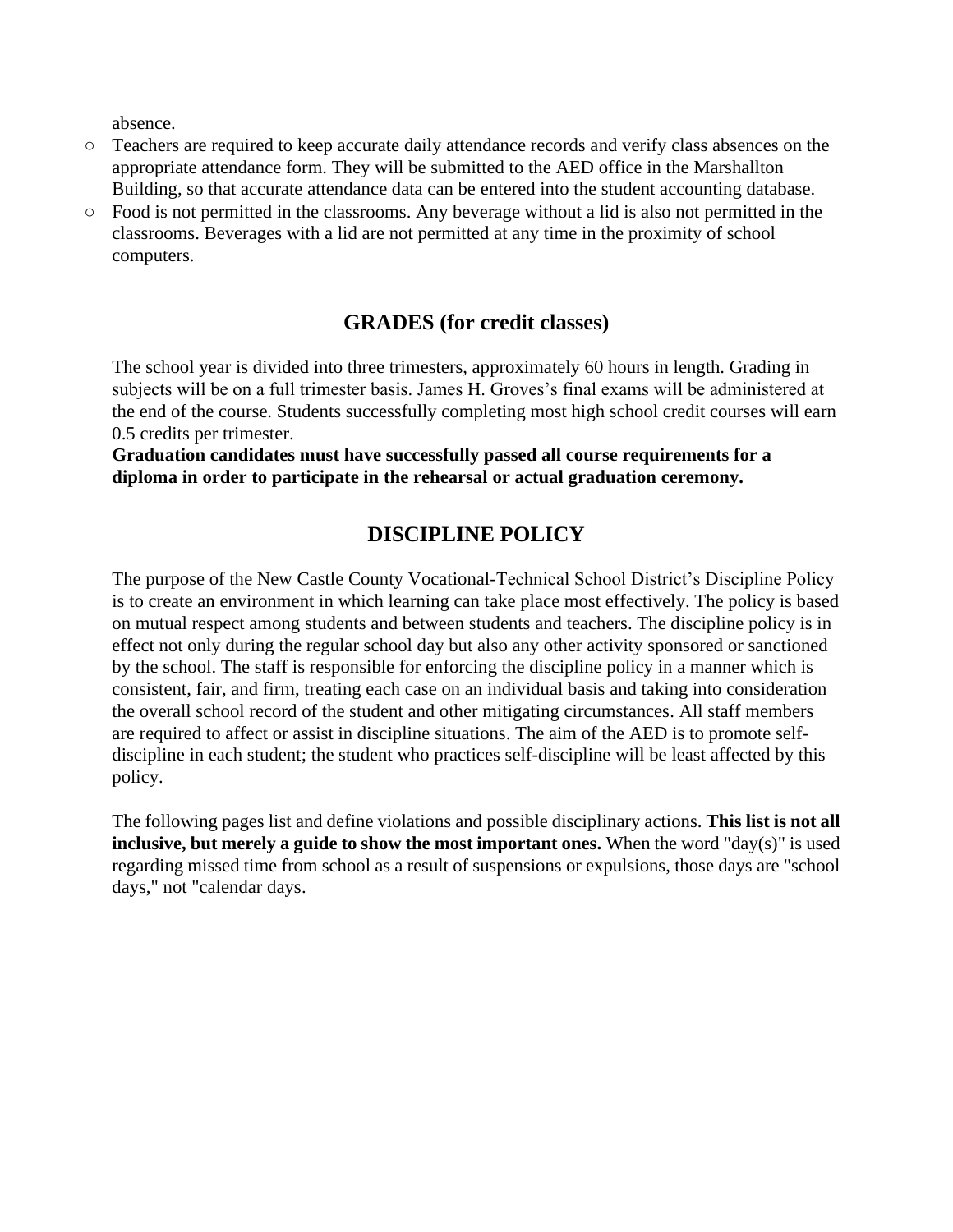absence.

- Teachers are required to keep accurate daily attendance records and verify class absences on the appropriate attendance form. They will be submitted to the AED office in the Marshallton Building, so that accurate attendance data can be entered into the student accounting database.
- Food is not permitted in the classrooms. Any beverage without a lid is also not permitted in the classrooms. Beverages with a lid are not permitted at any time in the proximity of school computers.

#### **GRADES (for credit classes)**

<span id="page-17-0"></span>The school year is divided into three trimesters, approximately 60 hours in length. Grading in subjects will be on a full trimester basis. James H. Groves's final exams will be administered at the end of the course. Students successfully completing most high school credit courses will earn 0.5 credits per trimester.

**Graduation candidates must have successfully passed all course requirements for a diploma in order to participate in the rehearsal or actual graduation ceremony.**

#### **DISCIPLINE POLICY**

<span id="page-17-1"></span>The purpose of the New Castle County Vocational-Technical School District's Discipline Policy is to create an environment in which learning can take place most effectively. The policy is based on mutual respect among students and between students and teachers. The discipline policy is in effect not only during the regular school day but also any other activity sponsored or sanctioned by the school. The staff is responsible for enforcing the discipline policy in a manner which is consistent, fair, and firm, treating each case on an individual basis and taking into consideration the overall school record of the student and other mitigating circumstances. All staff members are required to affect or assist in discipline situations. The aim of the AED is to promote selfdiscipline in each student; the student who practices self-discipline will be least affected by this policy.

The following pages list and define violations and possible disciplinary actions. **This list is not all inclusive, but merely a guide to show the most important ones.** When the word "day(s)" is used regarding missed time from school as a result of suspensions or expulsions, those days are "school days," not "calendar days.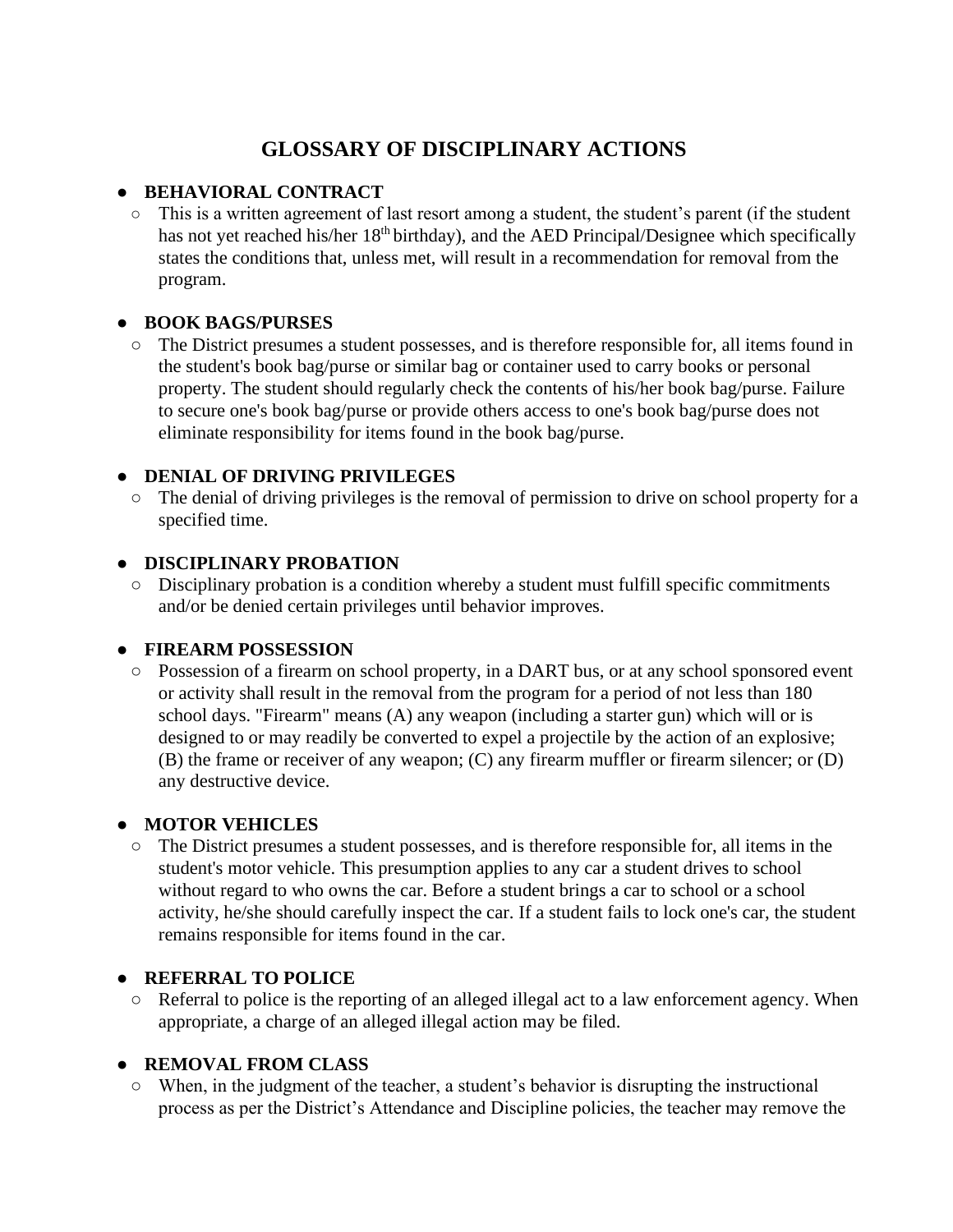# **GLOSSARY OF DISCIPLINARY ACTIONS**

#### <span id="page-18-0"></span>● **BEHAVIORAL CONTRACT**

○ This is a written agreement of last resort among a student, the student's parent (if the student has not yet reached his/her 18<sup>th</sup> birthday), and the AED Principal/Designee which specifically states the conditions that, unless met, will result in a recommendation for removal from the program.

#### ● **BOOK BAGS/PURSES**

○ The District presumes a student possesses, and is therefore responsible for, all items found in the student's book bag/purse or similar bag or container used to carry books or personal property. The student should regularly check the contents of his/her book bag/purse. Failure to secure one's book bag/purse or provide others access to one's book bag/purse does not eliminate responsibility for items found in the book bag/purse.

#### ● **DENIAL OF DRIVING PRIVILEGES**

○ The denial of driving privileges is the removal of permission to drive on school property for a specified time.

#### ● **DISCIPLINARY PROBATION**

○ Disciplinary probation is a condition whereby a student must fulfill specific commitments and/or be denied certain privileges until behavior improves.

#### ● **FIREARM POSSESSION**

○ Possession of a firearm on school property, in a DART bus, or at any school sponsored event or activity shall result in the removal from the program for a period of not less than 180 school days. "Firearm" means (A) any weapon (including a starter gun) which will or is designed to or may readily be converted to expel a projectile by the action of an explosive; (B) the frame or receiver of any weapon; (C) any firearm muffler or firearm silencer; or (D) any destructive device.

#### ● **MOTOR VEHICLES**

○ The District presumes a student possesses, and is therefore responsible for, all items in the student's motor vehicle. This presumption applies to any car a student drives to school without regard to who owns the car. Before a student brings a car to school or a school activity, he/she should carefully inspect the car. If a student fails to lock one's car, the student remains responsible for items found in the car.

#### ● **REFERRAL TO POLICE**

○ Referral to police is the reporting of an alleged illegal act to a law enforcement agency. When appropriate, a charge of an alleged illegal action may be filed.

#### ● **REMOVAL FROM CLASS**

○ When, in the judgment of the teacher, a student's behavior is disrupting the instructional process as per the District's Attendance and Discipline policies, the teacher may remove the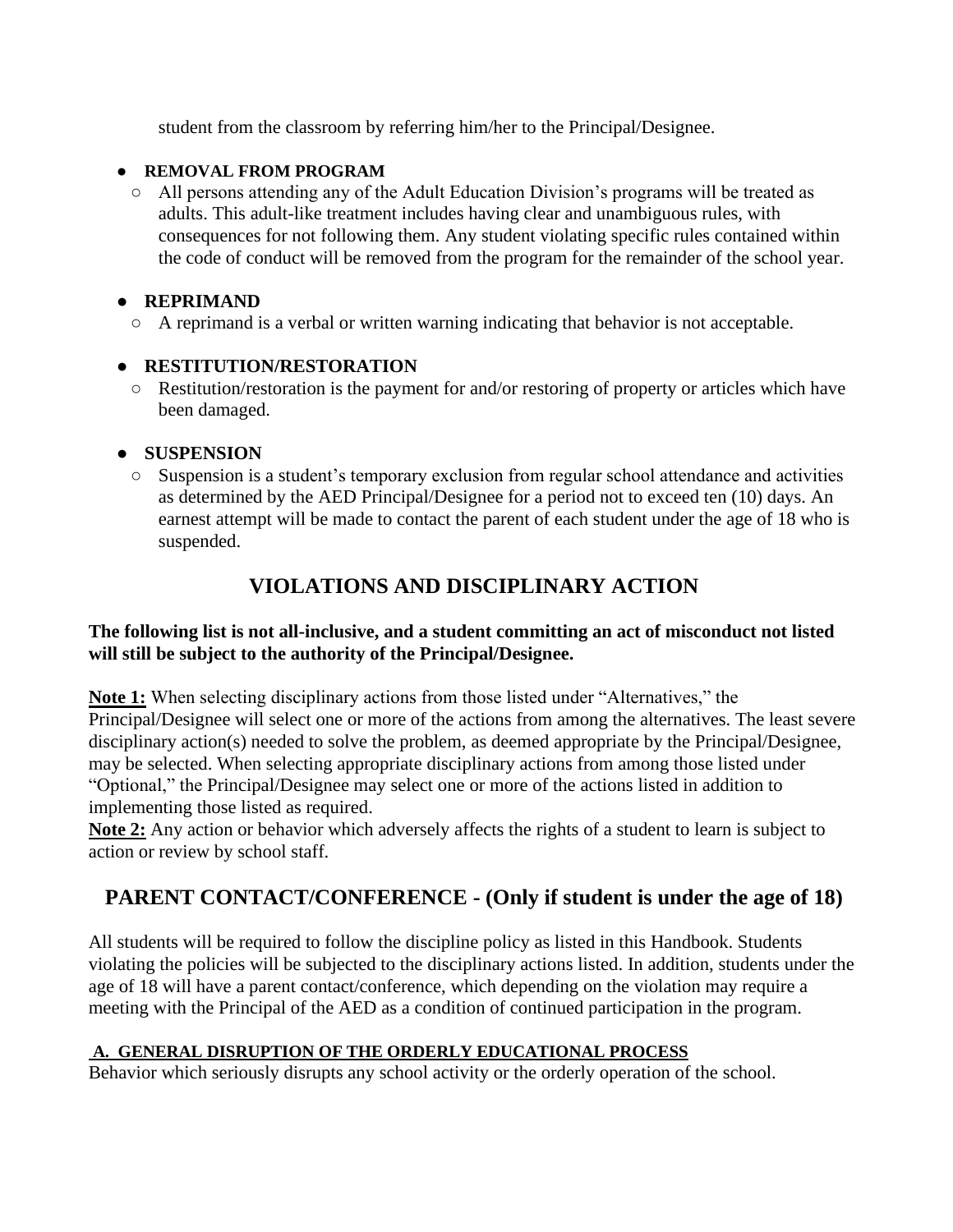student from the classroom by referring him/her to the Principal/Designee.

#### ● **REMOVAL FROM PROGRAM**

○ All persons attending any of the Adult Education Division's programs will be treated as adults. This adult-like treatment includes having clear and unambiguous rules, with consequences for not following them. Any student violating specific rules contained within the code of conduct will be removed from the program for the remainder of the school year.

#### ● **REPRIMAND**

○ A reprimand is a verbal or written warning indicating that behavior is not acceptable.

#### ● **RESTITUTION/RESTORATION**

○ Restitution/restoration is the payment for and/or restoring of property or articles which have been damaged.

#### ● **SUSPENSION**

○ Suspension is a student's temporary exclusion from regular school attendance and activities as determined by the AED Principal/Designee for a period not to exceed ten (10) days. An earnest attempt will be made to contact the parent of each student under the age of 18 who is suspended.

# **VIOLATIONS AND DISCIPLINARY ACTION**

#### <span id="page-19-0"></span>**The following list is not all-inclusive, and a student committing an act of misconduct not listed will still be subject to the authority of the Principal/Designee.**

**Note 1:** When selecting disciplinary actions from those listed under "Alternatives," the Principal/Designee will select one or more of the actions from among the alternatives. The least severe disciplinary action(s) needed to solve the problem, as deemed appropriate by the Principal/Designee, may be selected. When selecting appropriate disciplinary actions from among those listed under "Optional," the Principal/Designee may select one or more of the actions listed in addition to implementing those listed as required.

**Note 2:** Any action or behavior which adversely affects the rights of a student to learn is subject to action or review by school staff.

# <span id="page-19-1"></span>**PARENT CONTACT/CONFERENCE - (Only if student is under the age of 18)**

All students will be required to follow the discipline policy as listed in this Handbook. Students violating the policies will be subjected to the disciplinary actions listed. In addition, students under the age of 18 will have a parent contact/conference, which depending on the violation may require a meeting with the Principal of the AED as a condition of continued participation in the program.

#### **A. GENERAL DISRUPTION OF THE ORDERLY EDUCATIONAL PROCESS**

Behavior which seriously disrupts any school activity or the orderly operation of the school.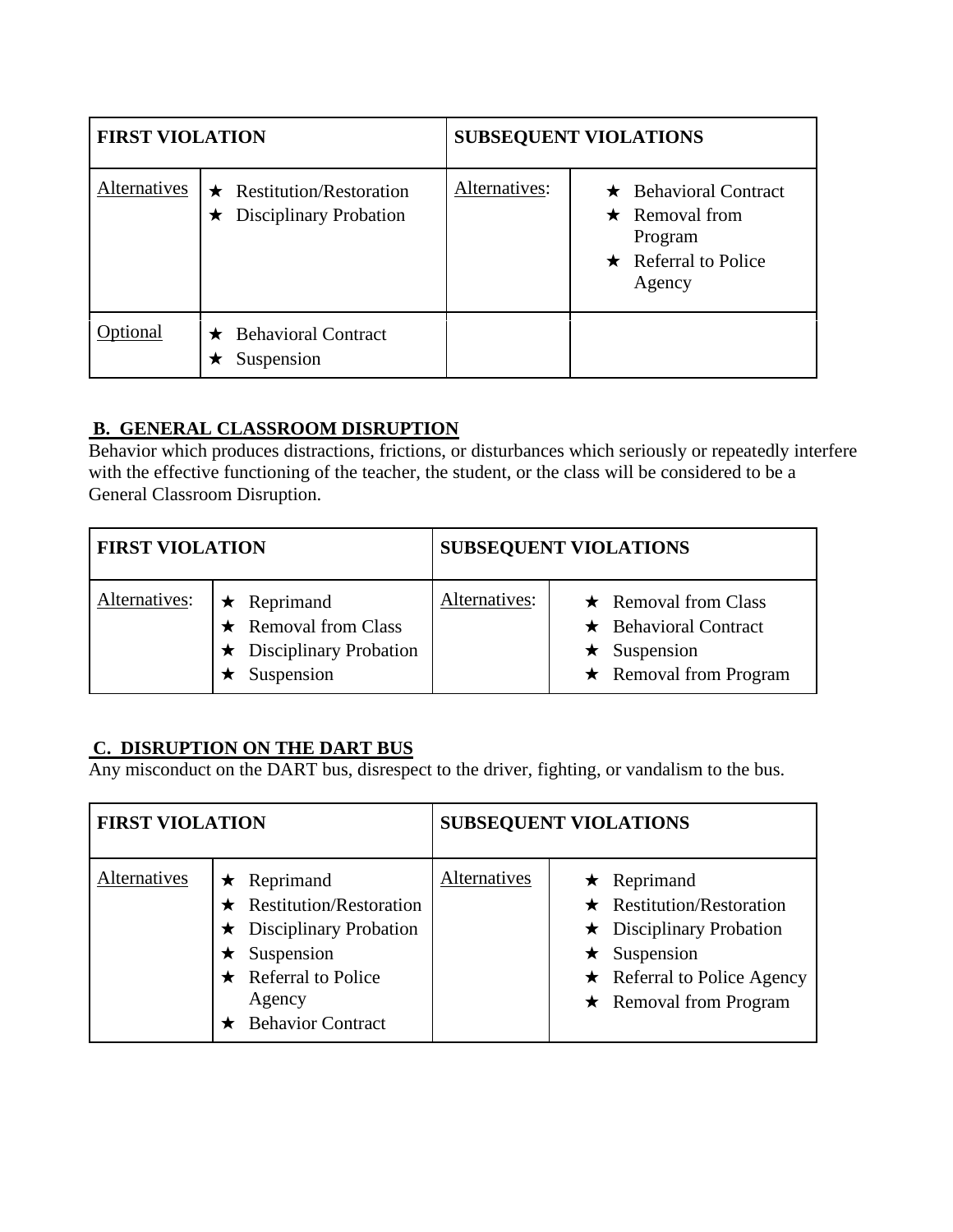| <b>FIRST VIOLATION</b> |                                                                             |               | <b>SUBSEQUENT VIOLATIONS</b>                                                                           |
|------------------------|-----------------------------------------------------------------------------|---------------|--------------------------------------------------------------------------------------------------------|
| Alternatives           | $\star$ Restitution/Restoration<br><b>Disciplinary Probation</b><br>$\star$ | Alternatives: | $\star$ Behavioral Contract<br>$\star$ Removal from<br>Program<br>$\star$ Referral to Police<br>Agency |
| Optional               | <b>Behavioral Contract</b><br>Suspension                                    |               |                                                                                                        |

#### **B. GENERAL CLASSROOM DISRUPTION**

Behavior which produces distractions, frictions, or disturbances which seriously or repeatedly interfere with the effective functioning of the teacher, the student, or the class will be considered to be a General Classroom Disruption.

| <b>FIRST VIOLATION</b> |                                                                                                 |               | <b>SUBSEQUENT VIOLATIONS</b>                                                                                    |
|------------------------|-------------------------------------------------------------------------------------------------|---------------|-----------------------------------------------------------------------------------------------------------------|
| Alternatives:          | $\star$ Reprimand<br>$\star$ Removal from Class<br>$\star$ Disciplinary Probation<br>Suspension | Alternatives: | $\star$ Removal from Class<br>$\star$ Behavioral Contract<br>$\star$ Suspension<br>$\star$ Removal from Program |

#### **C. DISRUPTION ON THE DART BUS**

Any misconduct on the DART bus, disrespect to the driver, fighting, or vandalism to the bus.

| <b>FIRST VIOLATION</b> |                                                                                                                                                                          |              | <b>SUBSEQUENT VIOLATIONS</b>                                                                                                                                                      |
|------------------------|--------------------------------------------------------------------------------------------------------------------------------------------------------------------------|--------------|-----------------------------------------------------------------------------------------------------------------------------------------------------------------------------------|
| Alternatives           | $\star$ Reprimand<br>$\star$ Restitution/Restoration<br>$\star$ Disciplinary Probation<br>Suspension<br>$\star$ Referral to Police<br>Agency<br><b>Behavior Contract</b> | Alternatives | $\star$ Reprimand<br>$\star$ Restitution/Restoration<br>$\star$ Disciplinary Probation<br>$\star$ Suspension<br>$\star$ Referral to Police Agency<br>$\star$ Removal from Program |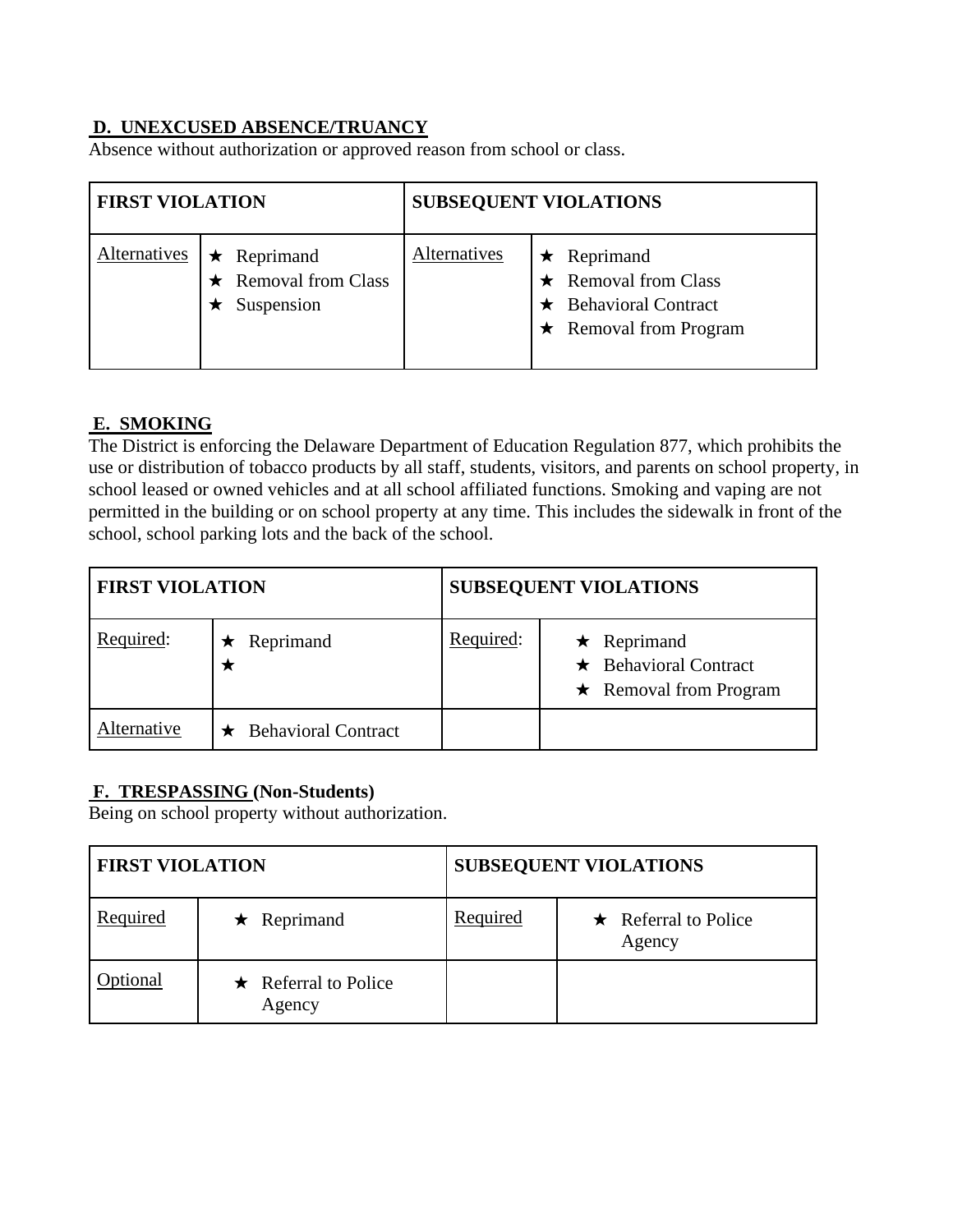#### **D. UNEXCUSED ABSENCE/TRUANCY**

Absence without authorization or approved reason from school or class.

| <b>FIRST VIOLATION</b> |                                                               |              | <b>SUBSEQUENT VIOLATIONS</b>                                                                                   |
|------------------------|---------------------------------------------------------------|--------------|----------------------------------------------------------------------------------------------------------------|
| Alternatives           | $\star$ Reprimand<br>$\star$ Removal from Class<br>Suspension | Alternatives | $\star$ Reprimand<br>$\star$ Removal from Class<br>$\star$ Behavioral Contract<br>$\star$ Removal from Program |

#### **E. SMOKING**

The District is enforcing the Delaware Department of Education Regulation 877, which prohibits the use or distribution of tobacco products by all staff, students, visitors, and parents on school property, in school leased or owned vehicles and at all school affiliated functions. Smoking and vaping are not permitted in the building or on school property at any time. This includes the sidewalk in front of the school, school parking lots and the back of the school.

| <b>FIRST VIOLATION</b> |                            |           | <b>SUBSEQUENT VIOLATIONS</b>                                                     |
|------------------------|----------------------------|-----------|----------------------------------------------------------------------------------|
| Required:              | Reprimand                  | Required: | $\star$ Reprimand<br>$\star$ Behavioral Contract<br>$\star$ Removal from Program |
| Alternative            | <b>Behavioral Contract</b> |           |                                                                                  |

#### **F. TRESPASSING (Non-Students)**

Being on school property without authorization.

| <b>FIRST VIOLATION</b> |                                      |          | <b>SUBSEQUENT VIOLATIONS</b>         |
|------------------------|--------------------------------------|----------|--------------------------------------|
| Required               | $\star$ Reprimand                    | Required | $\star$ Referral to Police<br>Agency |
| ptional                | $\star$ Referral to Police<br>Agency |          |                                      |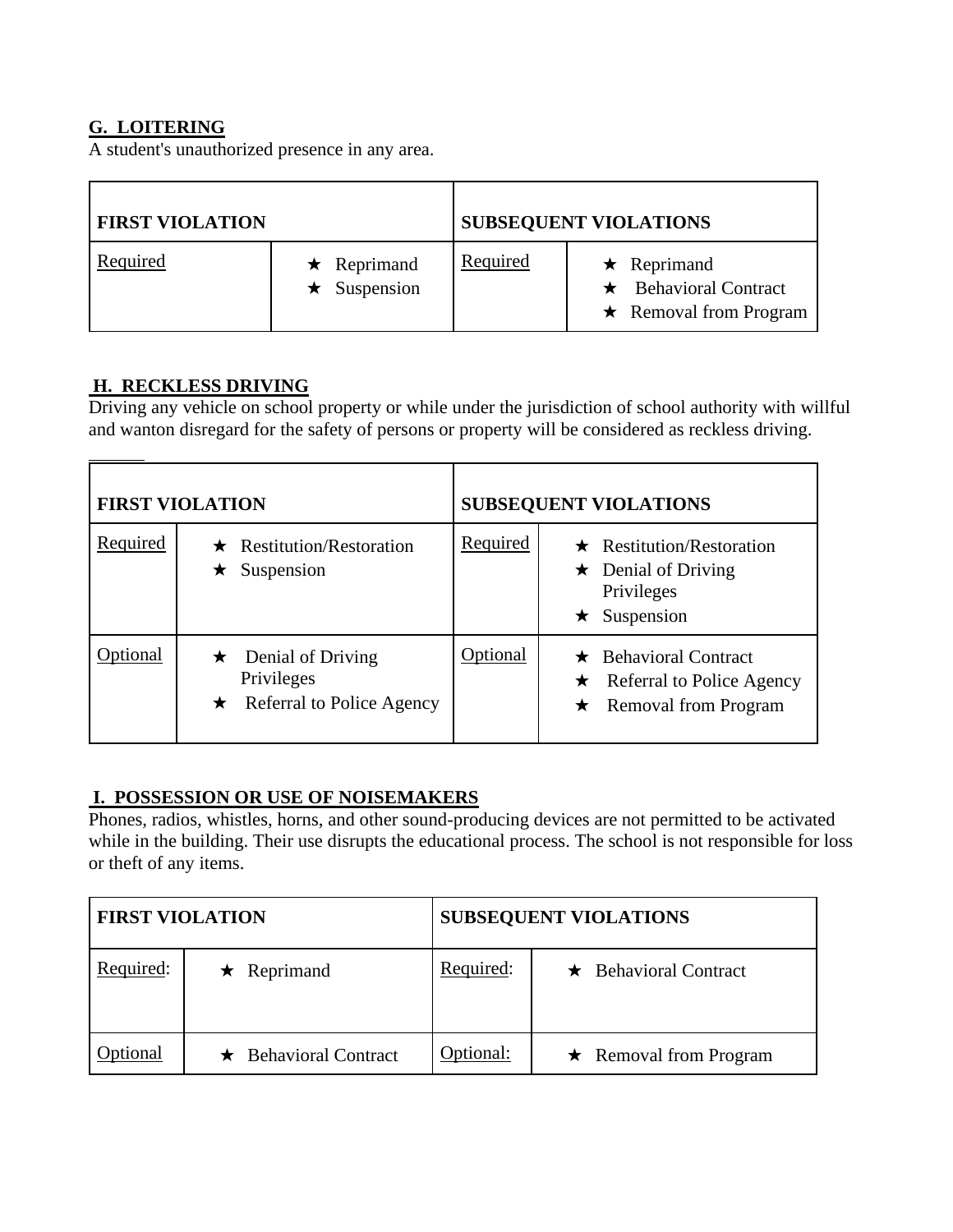#### **G. LOITERING**

A student's unauthorized presence in any area.

| <b>FIRST VIOLATION</b> |                                         |          | <b>SUBSEQUENT VIOLATIONS</b>                                                     |
|------------------------|-----------------------------------------|----------|----------------------------------------------------------------------------------|
| Required               | $\star$ Reprimand<br>$\star$ Suspension | Required | $\star$ Reprimand<br>$\star$ Behavioral Contract<br>$\star$ Removal from Program |

#### **H. RECKLESS DRIVING**

Driving any vehicle on school property or while under the jurisdiction of school authority with willful and wanton disregard for the safety of persons or property will be considered as reckless driving.

|          | <b>FIRST VIOLATION</b>                                                       |          | <b>SUBSEQUENT VIOLATIONS</b>                                                                                  |
|----------|------------------------------------------------------------------------------|----------|---------------------------------------------------------------------------------------------------------------|
| Required | $\star$ Restitution/Restoration<br>Suspension<br>★                           | Required | $\star$ Restitution/Restoration<br>Denial of Driving<br>$\star$<br>Privileges<br>Suspension<br>$\star$        |
| otional  | $\star$ Denial of Driving<br>Privileges<br>$\star$ Referral to Police Agency | Optional | $\star$ Behavioral Contract<br>Referral to Police Agency<br>$\star$<br><b>Removal from Program</b><br>$\star$ |

#### **I. POSSESSION OR USE OF NOISEMAKERS**

Phones, radios, whistles, horns, and other sound-producing devices are not permitted to be activated while in the building. Their use disrupts the educational process. The school is not responsible for loss or theft of any items.

| <b>FIRST VIOLATION</b> |                             |           | <b>SUBSEQUENT VIOLATIONS</b> |
|------------------------|-----------------------------|-----------|------------------------------|
| Required:              | $\star$ Reprimand           | Required: | $\star$ Behavioral Contract  |
| <b>Optional</b>        | $\star$ Behavioral Contract | Optional: | $\star$ Removal from Program |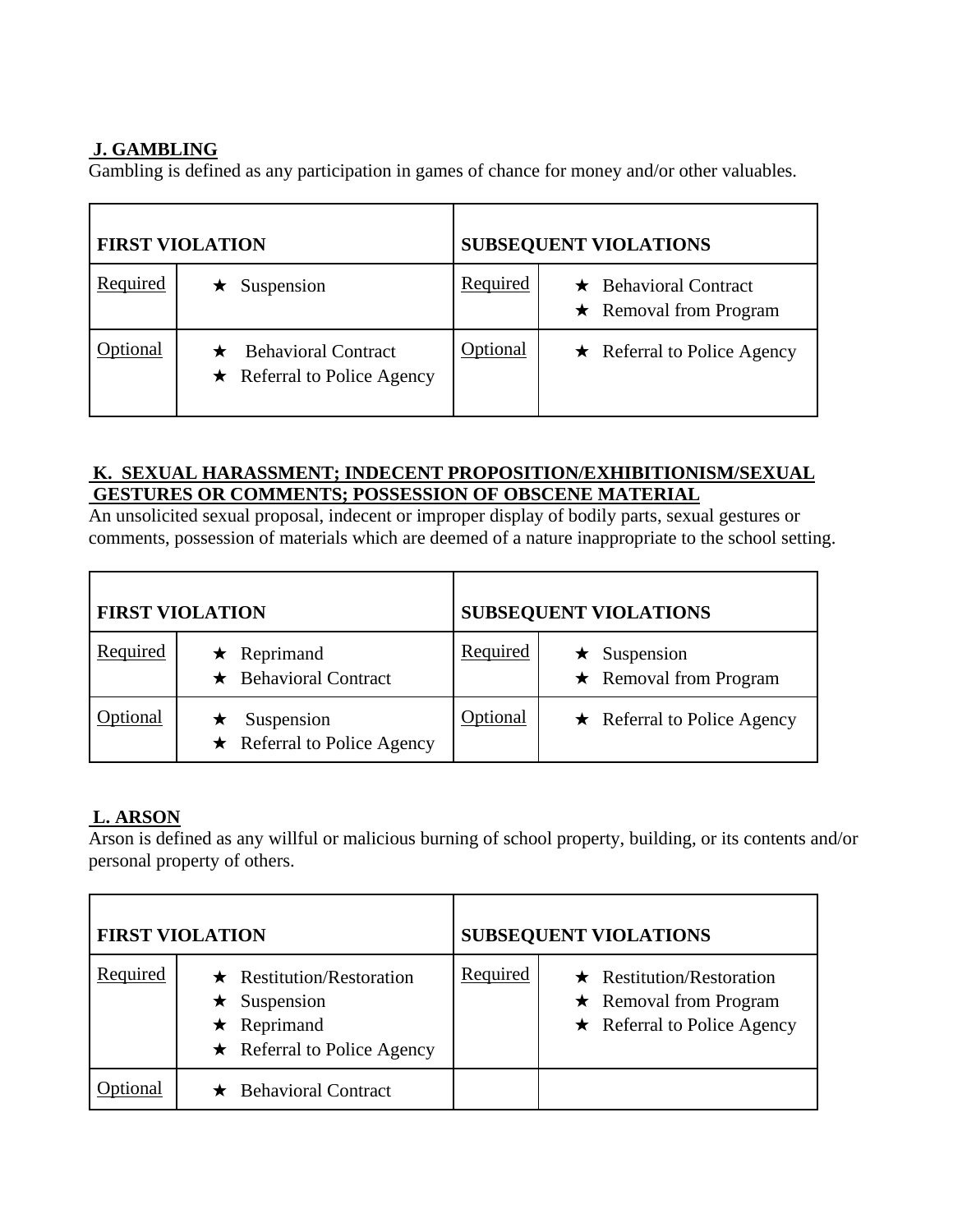#### **J. GAMBLING**

Gambling is defined as any participation in games of chance for money and/or other valuables.

|          | <b>FIRST VIOLATION</b>                                           |          | <b>SUBSEQUENT VIOLATIONS</b>                                |
|----------|------------------------------------------------------------------|----------|-------------------------------------------------------------|
| Required | Suspension                                                       | Required | $\star$ Behavioral Contract<br>$\star$ Removal from Program |
| ptional  | $\star$ Behavioral Contract<br>$\star$ Referral to Police Agency | Optional | $\star$ Referral to Police Agency                           |

#### **K. SEXUAL HARASSMENT; INDECENT PROPOSITION/EXHIBITIONISM/SEXUAL GESTURES OR COMMENTS; POSSESSION OF OBSCENE MATERIAL**

An unsolicited sexual proposal, indecent or improper display of bodily parts, sexual gestures or comments, possession of materials which are deemed of a nature inappropriate to the school setting.

|          | <b>FIRST VIOLATION</b>                           |                  | <b>SUBSEQUENT VIOLATIONS</b>                       |
|----------|--------------------------------------------------|------------------|----------------------------------------------------|
| Required | $\star$ Reprimand<br>$\star$ Behavioral Contract | Required         | $\star$ Suspension<br>$\star$ Removal from Program |
| Optional | Suspension<br>$\star$ Referral to Police Agency  | <b>D</b> ptional | $\star$ Referral to Police Agency                  |

# **L. ARSON**

Arson is defined as any willful or malicious burning of school property, building, or its contents and/or personal property of others.

|          | <b>FIRST VIOLATION</b>                                                                                  | <b>SUBSEQUENT VIOLATIONS</b>                                                                                     |  |
|----------|---------------------------------------------------------------------------------------------------------|------------------------------------------------------------------------------------------------------------------|--|
| Required | $\star$ Restitution/Restoration<br>Suspension<br>$\star$ Reprimand<br>$\star$ Referral to Police Agency | Required<br>$\star$ Restitution/Restoration<br>$\star$ Removal from Program<br>$\star$ Referral to Police Agency |  |
| otional  | $\star$ Behavioral Contract                                                                             |                                                                                                                  |  |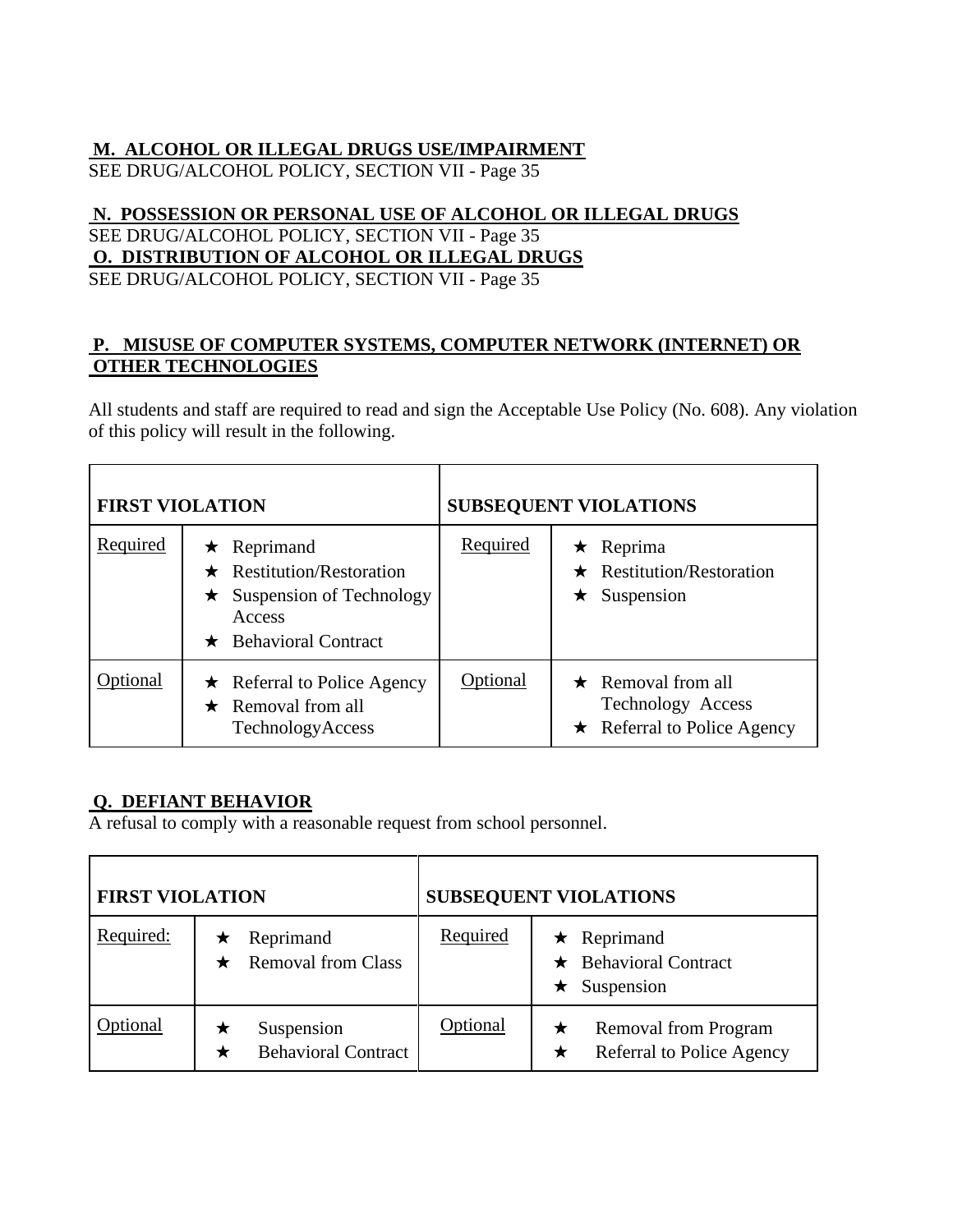#### **M. ALCOHOL OR ILLEGAL DRUGS USE/IMPAIRMENT**

SEE DRUG/ALCOHOL POLICY, SECTION VII - Page 35

#### **N. POSSESSION OR PERSONAL USE OF ALCOHOL OR ILLEGAL DRUGS** SEE DRUG/ALCOHOL POLICY, SECTION VII - Page 35 **O. DISTRIBUTION OF ALCOHOL OR ILLEGAL DRUGS** SEE DRUG/ALCOHOL POLICY, SECTION VII - Page 35

#### **P. MISUSE OF COMPUTER SYSTEMS, COMPUTER NETWORK (INTERNET) OR OTHER TECHNOLOGIES**

All students and staff are required to read and sign the Acceptable Use Policy (No. 608). Any violation of this policy will result in the following.

| <b>FIRST VIOLATION</b> |                                                                                                                                       |          | <b>SUBSEQUENT VIOLATIONS</b>                                                                           |
|------------------------|---------------------------------------------------------------------------------------------------------------------------------------|----------|--------------------------------------------------------------------------------------------------------|
| Required               | Reprimand<br>★<br>Restitution/Restoration<br>$\bigstar$<br>Suspension of Technology<br>★<br>Access<br><b>Behavioral Contract</b><br>★ | Required | Reprima<br>★<br><b>Restitution/Restoration</b><br>$\bigstar$<br>Suspension<br>★                        |
| Optional               | $\star$ Referral to Police Agency<br>$\star$ Removal from all<br>TechnologyAccess                                                     | Optional | $\star$ Removal from all<br><b>Technology Access</b><br><b>Referral to Police Agency</b><br>$\bigstar$ |

#### **Q. DEFIANT BEHAVIOR**

A refusal to comply with a reasonable request from school personnel.

| <b>FIRST VIOLATION</b> |                                                   |          | <b>SUBSEQUENT VIOLATIONS</b>                                   |
|------------------------|---------------------------------------------------|----------|----------------------------------------------------------------|
| Required:              | Reprimand<br>$\star$<br><b>Removal from Class</b> | Required | $\star$ Reprimand<br>$\star$ Behavioral Contract<br>Suspension |
| Optional               | Suspension<br><b>Behavioral Contract</b>          | Optional | Removal from Program<br>Referral to Police Agency<br>★         |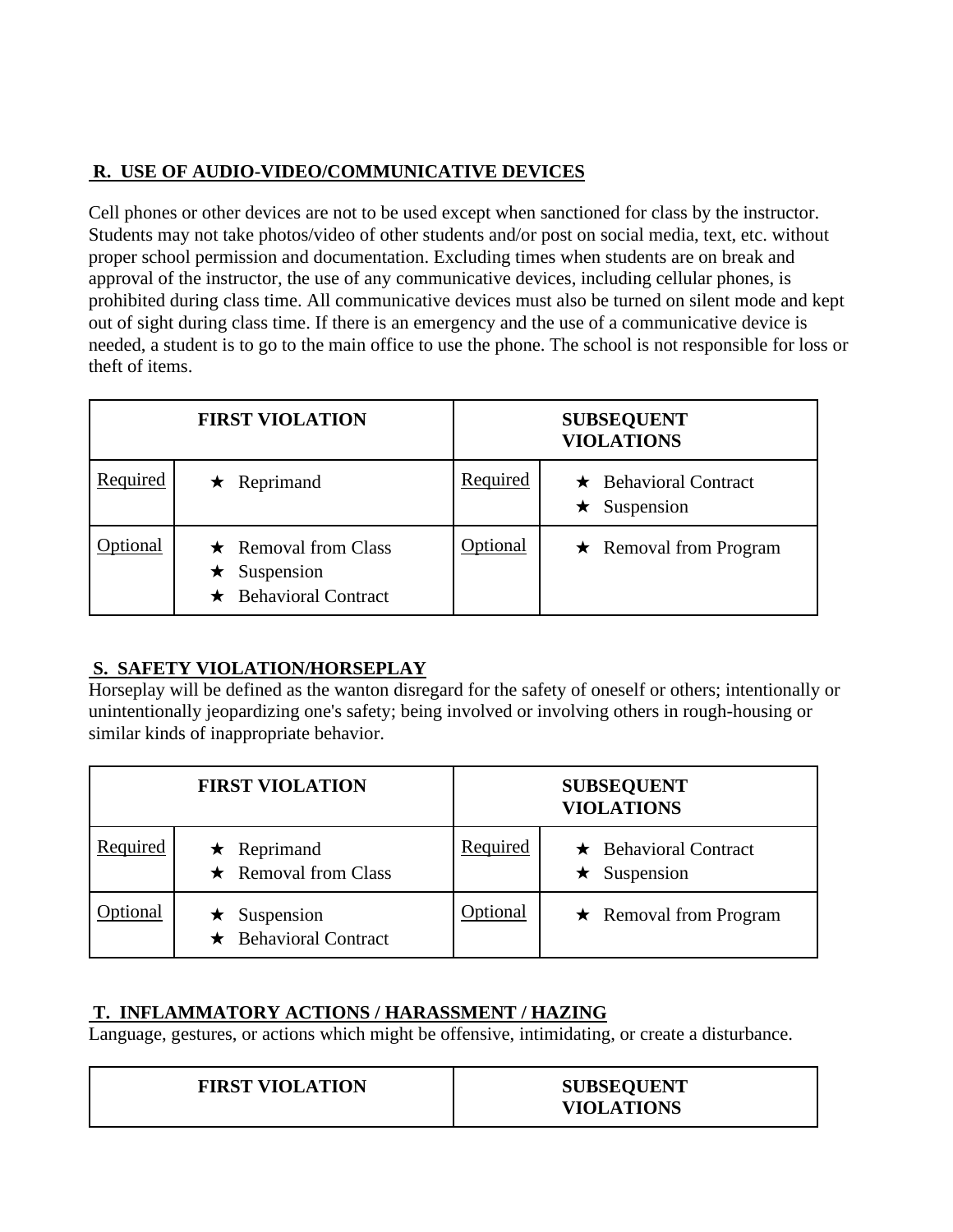# **R. USE OF AUDIO-VIDEO/COMMUNICATIVE DEVICES**

Cell phones or other devices are not to be used except when sanctioned for class by the instructor. Students may not take photos/video of other students and/or post on social media, text, etc. without proper school permission and documentation. Excluding times when students are on break and approval of the instructor, the use of any communicative devices, including cellular phones, is prohibited during class time. All communicative devices must also be turned on silent mode and kept out of sight during class time. If there is an emergency and the use of a communicative device is needed, a student is to go to the main office to use the phone. The school is not responsible for loss or theft of items.

|          | <b>FIRST VIOLATION</b>                                                          |                 | <b>SUBSEQUENT</b><br><b>VIOLATIONS</b>    |
|----------|---------------------------------------------------------------------------------|-----------------|-------------------------------------------|
| Required | $\star$ Reprimand                                                               | Required        | $\star$ Behavioral Contract<br>Suspension |
| tional   | $\star$ Removal from Class<br>$\star$ Suspension<br>$\star$ Behavioral Contract | <b>Optional</b> | $\star$ Removal from Program              |

## **S. SAFETY VIOLATION/HORSEPLAY**

Horseplay will be defined as the wanton disregard for the safety of oneself or others; intentionally or unintentionally jeopardizing one's safety; being involved or involving others in rough-housing or similar kinds of inappropriate behavior.

|          | <b>FIRST VIOLATION</b>                            |                 | <b>SUBSEQUENT</b><br><b>VIOLATIONS</b>    |
|----------|---------------------------------------------------|-----------------|-------------------------------------------|
| Required | $\star$ Reprimand<br>$\star$ Removal from Class   | Required        | $\star$ Behavioral Contract<br>Suspension |
| ptional  | $\star$ Suspension<br>$\star$ Behavioral Contract | <b>Optional</b> | $\star$ Removal from Program              |

# **T. INFLAMMATORY ACTIONS / HARASSMENT / HAZING**

Language, gestures, or actions which might be offensive, intimidating, or create a disturbance.

| <b>FIRST VIOLATION</b> | <b>SUBSEQUENT</b><br><b>VIOLATIONS</b> |
|------------------------|----------------------------------------|
|                        |                                        |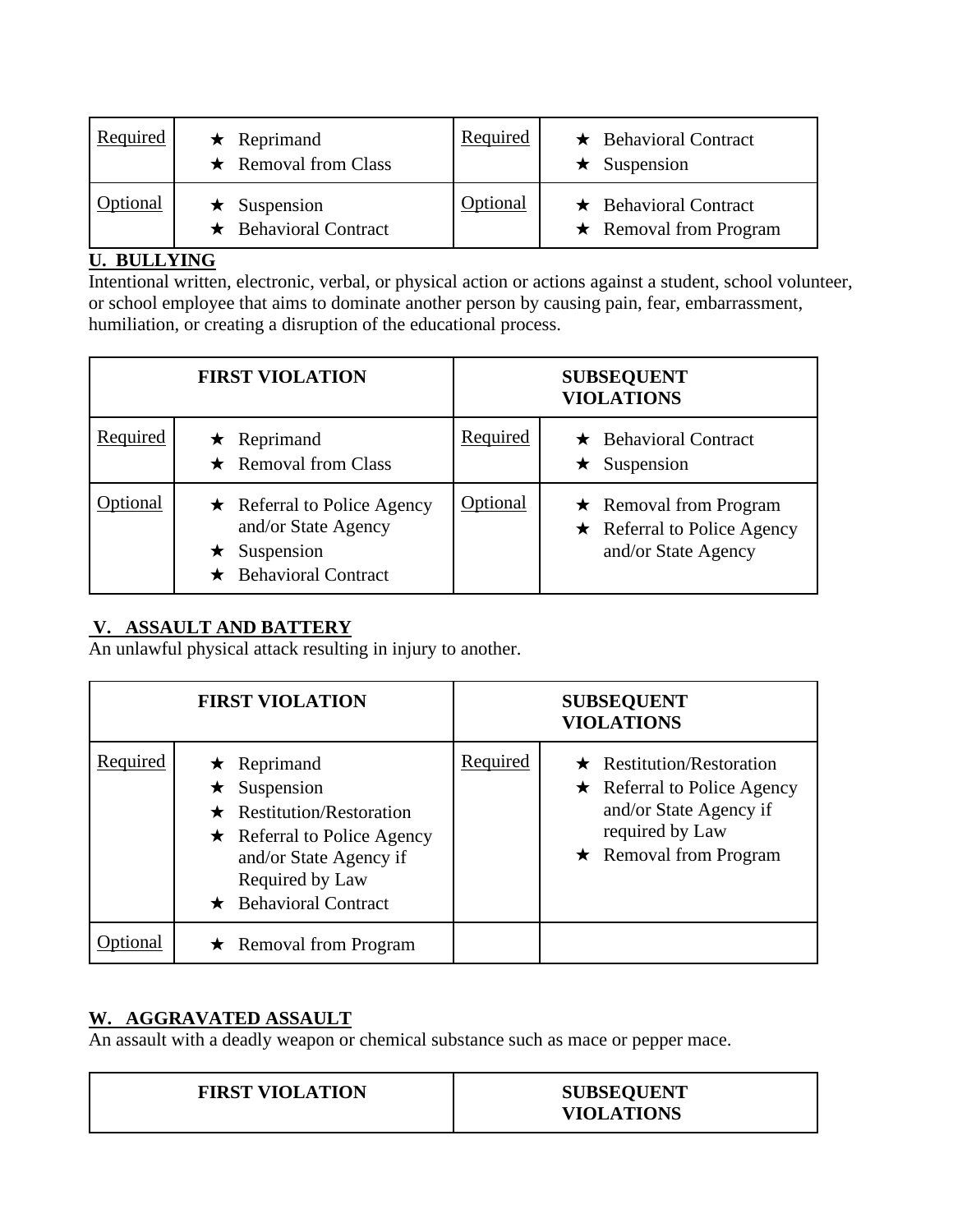| Required | $\star$ Reprimand<br>$\star$ Removal from Class   | Required        | $\star$ Behavioral Contract<br>$\star$ Suspension           |
|----------|---------------------------------------------------|-----------------|-------------------------------------------------------------|
| Optional | $\star$ Suspension<br>$\star$ Behavioral Contract | <b>Optional</b> | $\star$ Behavioral Contract<br>$\star$ Removal from Program |

#### **U. BULLYING**

Intentional written, electronic, verbal, or physical action or actions against a student, school volunteer, or school employee that aims to dominate another person by causing pain, fear, embarrassment, humiliation, or creating a disruption of the educational process.

|          | <b>FIRST VIOLATION</b>                                                                                |          | <b>SUBSEQUENT</b><br><b>VIOLATIONS</b>                                                   |
|----------|-------------------------------------------------------------------------------------------------------|----------|------------------------------------------------------------------------------------------|
| Required | $\star$ Reprimand<br>$\star$ Removal from Class                                                       | Required | $\star$ Behavioral Contract<br>Suspension<br>$\star$                                     |
| tional   | $\star$ Referral to Police Agency<br>and/or State Agency<br>Suspension<br>$\star$ Behavioral Contract | Optional | $\star$ Removal from Program<br>$\star$ Referral to Police Agency<br>and/or State Agency |

#### **V. ASSAULT AND BATTERY**

An unlawful physical attack resulting in injury to another.

|          | <b>FIRST VIOLATION</b>                                                                                                                                                                      |          | <b>SUBSEQUENT</b><br><b>VIOLATIONS</b>                                                                                                            |
|----------|---------------------------------------------------------------------------------------------------------------------------------------------------------------------------------------------|----------|---------------------------------------------------------------------------------------------------------------------------------------------------|
| Required | $\star$ Reprimand<br>$\star$ Suspension<br>$\star$ Restitution/Restoration<br>$\star$ Referral to Police Agency<br>and/or State Agency if<br>Required by Law<br>$\star$ Behavioral Contract | Required | $\star$ Restitution/Restoration<br>$\star$ Referral to Police Agency<br>and/or State Agency if<br>required by Law<br>$\star$ Removal from Program |
|          | $\star$ Removal from Program                                                                                                                                                                |          |                                                                                                                                                   |

# **W. AGGRAVATED ASSAULT**

An assault with a deadly weapon or chemical substance such as mace or pepper mace.

| <b>VIOLATIONS</b> |
|-------------------|
|-------------------|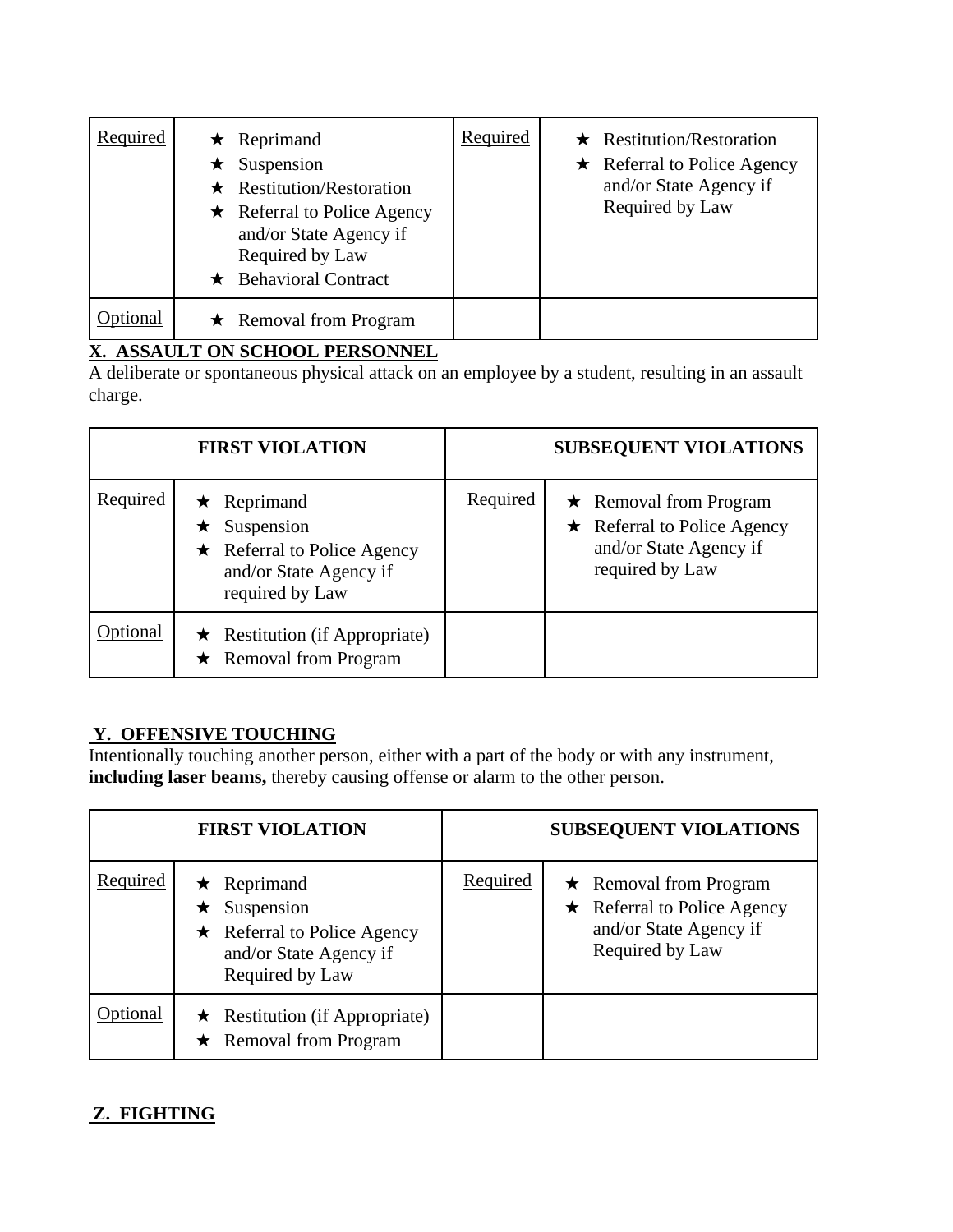| Required | $\star$ Reprimand<br>Suspension<br>$\star$ Restitution/Restoration<br>$\star$ Referral to Police Agency<br>and/or State Agency if<br>Required by Law<br>$\star$ Behavioral Contract | Required | $\star$ Restitution/Restoration<br>Referral to Police Agency<br>$\star$<br>and/or State Agency if<br>Required by Law |
|----------|-------------------------------------------------------------------------------------------------------------------------------------------------------------------------------------|----------|----------------------------------------------------------------------------------------------------------------------|
| lonal    | $\star$ Removal from Program                                                                                                                                                        |          |                                                                                                                      |

#### **X. ASSAULT ON SCHOOL PERSONNEL**

A deliberate or spontaneous physical attack on an employee by a student, resulting in an assault charge.

|          | <b>FIRST VIOLATION</b>                                                                                                    | <b>SUBSEQUENT VIOLATIONS</b>                                                                                               |
|----------|---------------------------------------------------------------------------------------------------------------------------|----------------------------------------------------------------------------------------------------------------------------|
| Required | $\star$ Reprimand<br>$\star$ Suspension<br>$\star$ Referral to Police Agency<br>and/or State Agency if<br>required by Law | Required<br>$\star$ Removal from Program<br>$\star$ Referral to Police Agency<br>and/or State Agency if<br>required by Law |
| tional   | $\star$ Restitution (if Appropriate)<br>$\star$ Removal from Program                                                      |                                                                                                                            |

## **Y. OFFENSIVE TOUCHING**

Intentionally touching another person, either with a part of the body or with any instrument, **including laser beams,** thereby causing offense or alarm to the other person.

|          | <b>FIRST VIOLATION</b>                                                                                                    |                 | <b>SUBSEQUENT VIOLATIONS</b>                                                                                   |
|----------|---------------------------------------------------------------------------------------------------------------------------|-----------------|----------------------------------------------------------------------------------------------------------------|
| Required | $\star$ Reprimand<br>$\star$ Suspension<br>$\star$ Referral to Police Agency<br>and/or State Agency if<br>Required by Law | <b>Required</b> | $\star$ Removal from Program<br>$\star$ Referral to Police Agency<br>and/or State Agency if<br>Required by Law |
| Optional | $\star$ Restitution (if Appropriate)<br>$\star$ Removal from Program                                                      |                 |                                                                                                                |

# **Z. FIGHTING**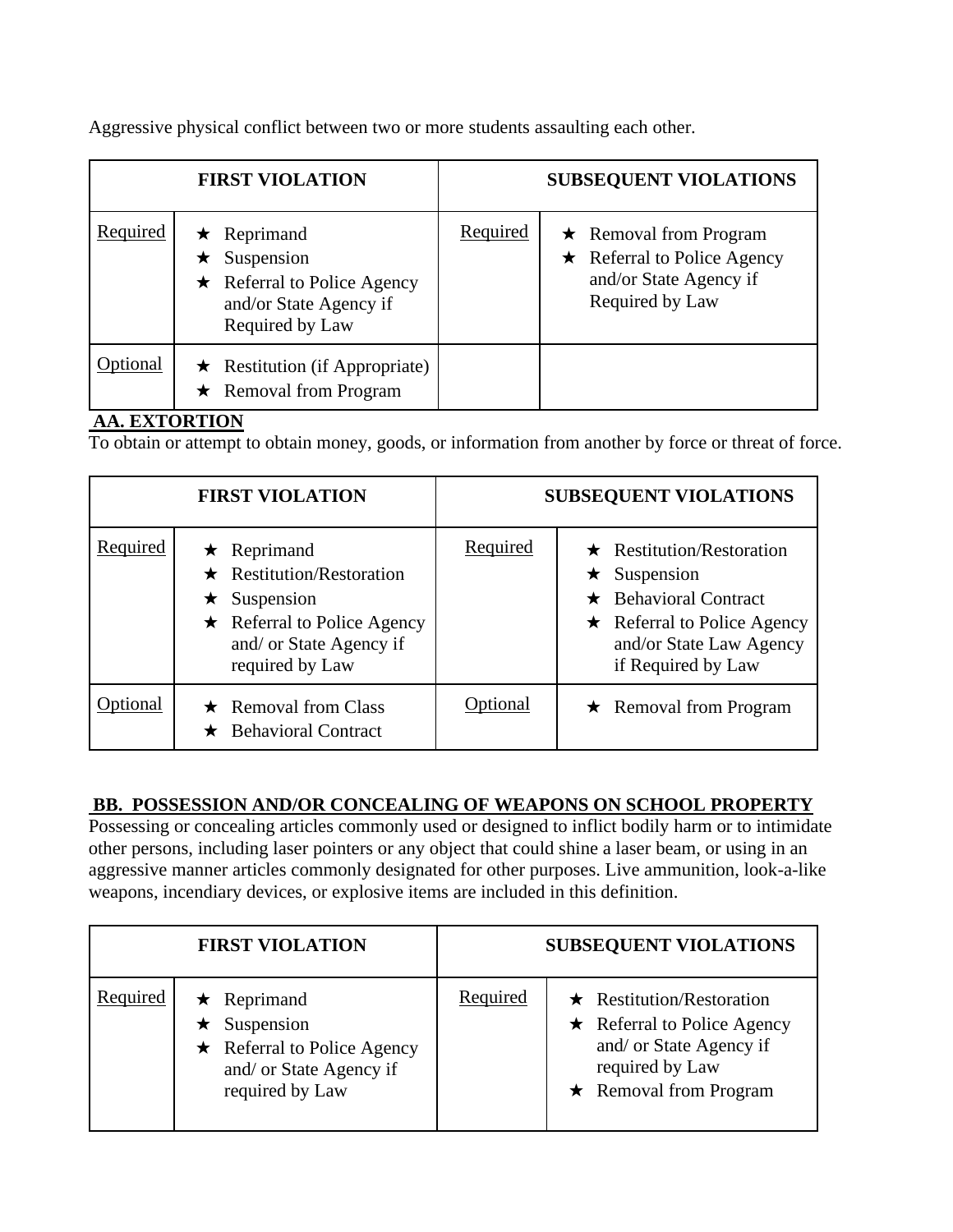Aggressive physical conflict between two or more students assaulting each other.

|          | <b>FIRST VIOLATION</b>                                                                                                    |                 | <b>SUBSEQUENT VIOLATIONS</b>                                                                                   |
|----------|---------------------------------------------------------------------------------------------------------------------------|-----------------|----------------------------------------------------------------------------------------------------------------|
| Required | $\star$ Reprimand<br>$\star$ Suspension<br>$\star$ Referral to Police Agency<br>and/or State Agency if<br>Required by Law | <b>Required</b> | $\star$ Removal from Program<br>$\star$ Referral to Police Agency<br>and/or State Agency if<br>Required by Law |
| Optional | $\star$ Restitution (if Appropriate)<br>$\star$ Removal from Program                                                      |                 |                                                                                                                |

#### **AA. EXTORTION**

To obtain or attempt to obtain money, goods, or information from another by force or threat of force.

|                 | <b>FIRST VIOLATION</b>                                                                                                                                  |          | <b>SUBSEQUENT VIOLATIONS</b>                                                                                                                                               |
|-----------------|---------------------------------------------------------------------------------------------------------------------------------------------------------|----------|----------------------------------------------------------------------------------------------------------------------------------------------------------------------------|
| <b>Required</b> | Reprimand<br>★<br><b>Restitution/Restoration</b><br>Suspension<br>★.<br>$\star$ Referral to Police Agency<br>and/ or State Agency if<br>required by Law | Required | $\star$ Restitution/Restoration<br>$\star$ Suspension<br>$\star$ Behavioral Contract<br>$\star$ Referral to Police Agency<br>and/or State Law Agency<br>if Required by Law |
| ptional         | $\star$ Removal from Class<br><b>Behavioral Contract</b>                                                                                                | Optional | $\star$ Removal from Program                                                                                                                                               |

#### **BB. POSSESSION AND/OR CONCEALING OF WEAPONS ON SCHOOL PROPERTY**

Possessing or concealing articles commonly used or designed to inflict bodily harm or to intimidate other persons, including laser pointers or any object that could shine a laser beam, or using in an aggressive manner articles commonly designated for other purposes. Live ammunition, look-a-like weapons, incendiary devices, or explosive items are included in this definition.

|          | <b>FIRST VIOLATION</b>                                                                                                     |          | <b>SUBSEQUENT VIOLATIONS</b>                                                                                                                       |
|----------|----------------------------------------------------------------------------------------------------------------------------|----------|----------------------------------------------------------------------------------------------------------------------------------------------------|
| Required | $\star$ Reprimand<br>$\star$ Suspension<br>$\star$ Referral to Police Agency<br>and/ or State Agency if<br>required by Law | Required | $\star$ Restitution/Restoration<br>$\star$ Referral to Police Agency<br>and/ or State Agency if<br>required by Law<br>$\star$ Removal from Program |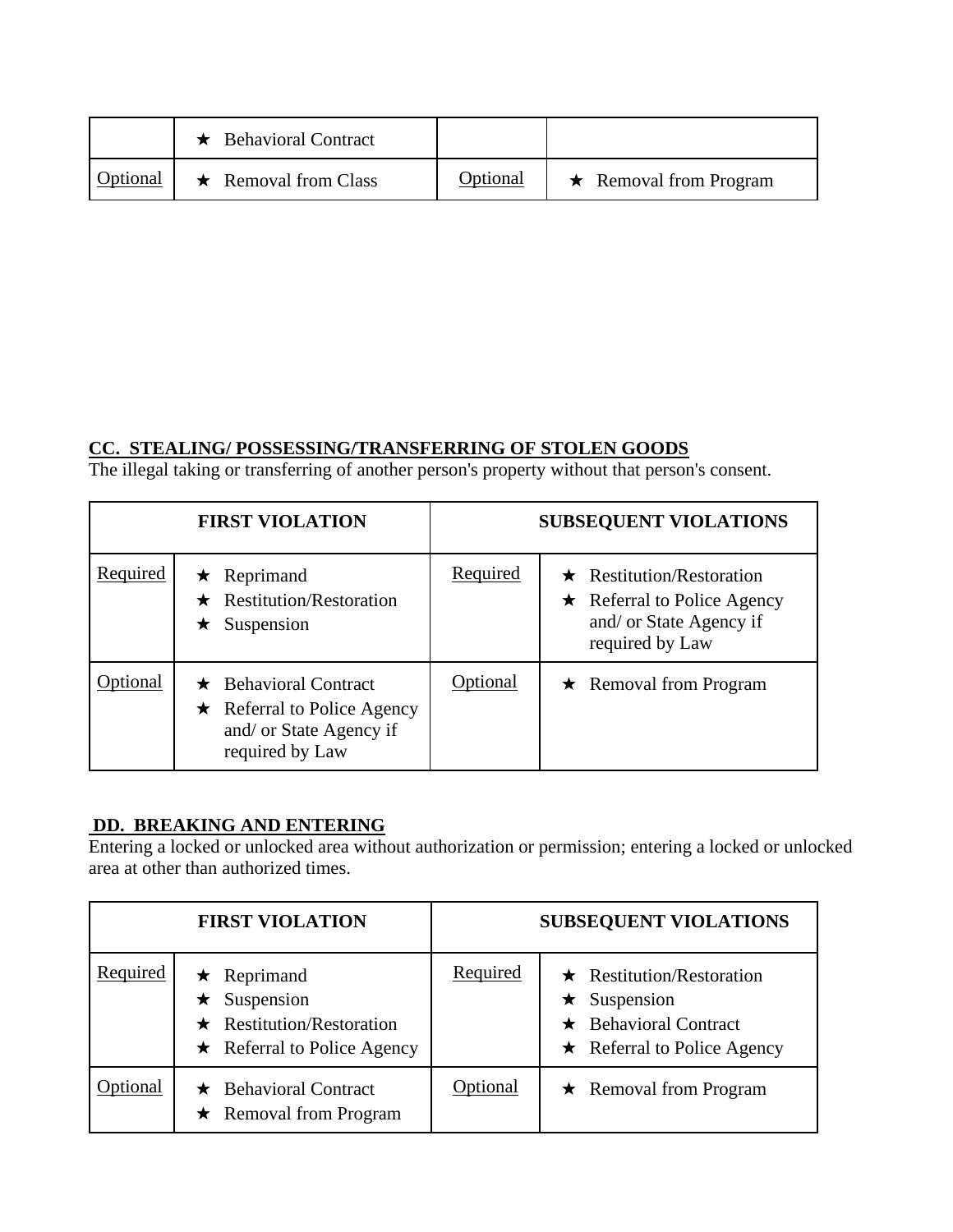|          | $\star$ Behavioral Contract |          |                              |
|----------|-----------------------------|----------|------------------------------|
| Optional | $\star$ Removal from Class  | Optional | $\star$ Removal from Program |

#### **CC. STEALING/ POSSESSING/TRANSFERRING OF STOLEN GOODS**

The illegal taking or transferring of another person's property without that person's consent.

|          | <b>FIRST VIOLATION</b>                                                                                         |                 | <b>SUBSEQUENT VIOLATIONS</b>                                                                                       |
|----------|----------------------------------------------------------------------------------------------------------------|-----------------|--------------------------------------------------------------------------------------------------------------------|
| Required | $\star$ Reprimand<br>$\star$ Restitution/Restoration<br>$\star$ Suspension                                     | Required        | $\star$ Restitution/Restoration<br>$\star$ Referral to Police Agency<br>and/ or State Agency if<br>required by Law |
| Optional | $\star$ Behavioral Contract<br>$\star$ Referral to Police Agency<br>and/ or State Agency if<br>required by Law | <b>Optional</b> | $\star$ Removal from Program                                                                                       |

## **DD. BREAKING AND ENTERING**

Entering a locked or unlocked area without authorization or permission; entering a locked or unlocked area at other than authorized times.

|          | <b>FIRST VIOLATION</b>                                                                                          |          | <b>SUBSEQUENT VIOLATIONS</b>                                                                                              |
|----------|-----------------------------------------------------------------------------------------------------------------|----------|---------------------------------------------------------------------------------------------------------------------------|
| Required | $\star$ Reprimand<br>$\star$ Suspension<br>$\star$ Restitution/Restoration<br>$\star$ Referral to Police Agency | Required | $\star$ Restitution/Restoration<br>$\star$ Suspension<br>$\star$ Behavioral Contract<br>$\star$ Referral to Police Agency |
| ptional  | $\star$ Behavioral Contract<br>$\star$ Removal from Program                                                     | Optional | $\star$ Removal from Program                                                                                              |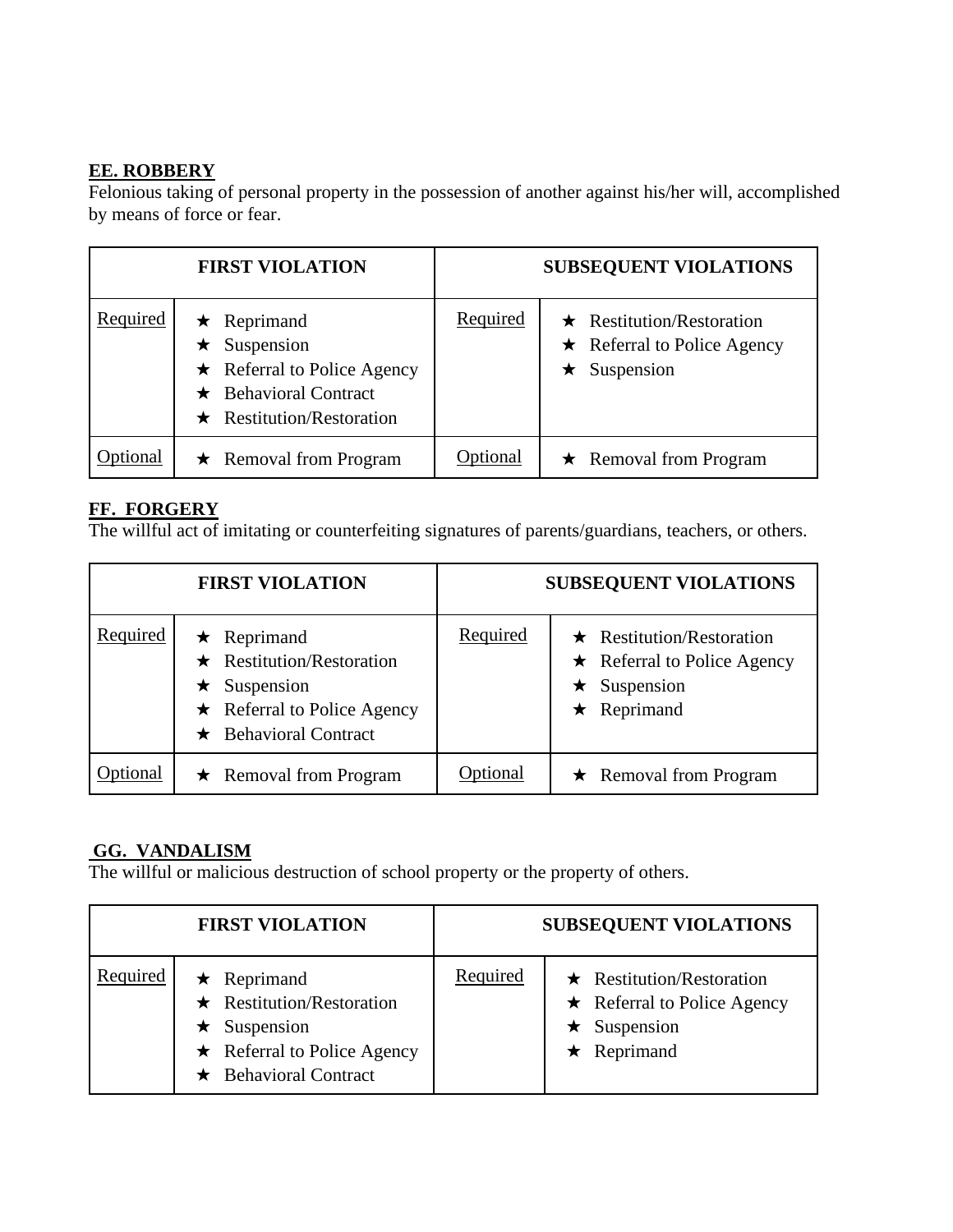#### **EE. ROBBERY**

Felonious taking of personal property in the possession of another against his/her will, accomplished by means of force or fear.

|          | <b>FIRST VIOLATION</b>                                                                                                                         |          | <b>SUBSEQUENT VIOLATIONS</b>                                                                  |
|----------|------------------------------------------------------------------------------------------------------------------------------------------------|----------|-----------------------------------------------------------------------------------------------|
| Required | $\star$ Reprimand<br>$\star$ Suspension<br>$\star$ Referral to Police Agency<br>$\star$ Behavioral Contract<br>$\star$ Restitution/Restoration | Required | $\star$ Restitution/Restoration<br>$\star$ Referral to Police Agency<br>Suspension<br>$\star$ |
| Optional | $\star$ Removal from Program                                                                                                                   | Optional | $\star$ Removal from Program                                                                  |

#### **FF. FORGERY**

The willful act of imitating or counterfeiting signatures of parents/guardians, teachers, or others.

|          | <b>FIRST VIOLATION</b>                                                                                                                         |          | <b>SUBSEQUENT VIOLATIONS</b>                                                                                    |
|----------|------------------------------------------------------------------------------------------------------------------------------------------------|----------|-----------------------------------------------------------------------------------------------------------------|
| Required | $\star$ Reprimand<br>$\star$ Restitution/Restoration<br>$\star$ Suspension<br>$\star$ Referral to Police Agency<br>$\star$ Behavioral Contract | Required | $\star$ Restitution/Restoration<br>$\star$ Referral to Police Agency<br>$\star$ Suspension<br>$\star$ Reprimand |
| ptional  | $\star$ Removal from Program                                                                                                                   | Optional | $\star$ Removal from Program                                                                                    |

#### **GG. VANDALISM**

The willful or malicious destruction of school property or the property of others.

|          | <b>FIRST VIOLATION</b>                                                                                                                         |                 | <b>SUBSEQUENT VIOLATIONS</b>                                                                                    |
|----------|------------------------------------------------------------------------------------------------------------------------------------------------|-----------------|-----------------------------------------------------------------------------------------------------------------|
| Required | $\star$ Reprimand<br>$\star$ Restitution/Restoration<br>$\star$ Suspension<br>$\star$ Referral to Police Agency<br>$\star$ Behavioral Contract | <b>Required</b> | $\star$ Restitution/Restoration<br>$\star$ Referral to Police Agency<br>$\star$ Suspension<br>$\star$ Reprimand |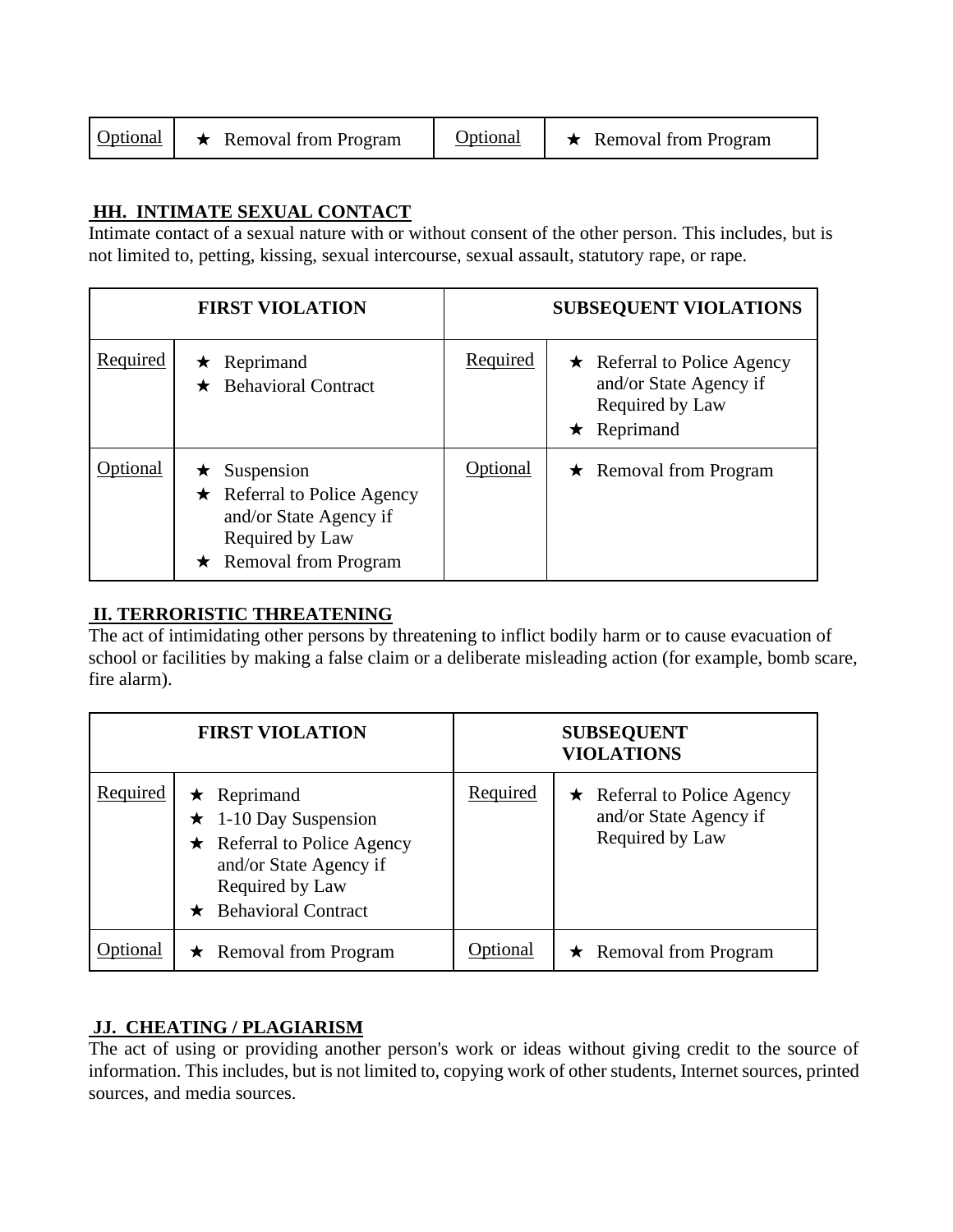#### **HH. INTIMATE SEXUAL CONTACT**

Intimate contact of a sexual nature with or without consent of the other person. This includes, but is not limited to, petting, kissing, sexual intercourse, sexual assault, statutory rape, or rape.

|          | <b>FIRST VIOLATION</b>                                                                                                               |          | <b>SUBSEQUENT VIOLATIONS</b>                                                                        |
|----------|--------------------------------------------------------------------------------------------------------------------------------------|----------|-----------------------------------------------------------------------------------------------------|
| Required | $\star$ Reprimand<br>$\star$ Behavioral Contract                                                                                     | Required | $\star$ Referral to Police Agency<br>and/or State Agency if<br>Required by Law<br>$\star$ Reprimand |
| otional  | $\star$ Suspension<br>$\star$ Referral to Police Agency<br>and/or State Agency if<br>Required by Law<br>$\star$ Removal from Program | Optional | $\star$ Removal from Program                                                                        |

## **II. TERRORISTIC THREATENING**

The act of intimidating other persons by threatening to inflict bodily harm or to cause evacuation of school or facilities by making a false claim or a deliberate misleading action (for example, bomb scare, fire alarm).

|          | <b>FIRST VIOLATION</b>                                                                                                                                            |                 | <b>SUBSEQUENT</b><br><b>VIOLATIONS</b>                                         |
|----------|-------------------------------------------------------------------------------------------------------------------------------------------------------------------|-----------------|--------------------------------------------------------------------------------|
| Required | $\star$ Reprimand<br>$\star$ 1-10 Day Suspension<br>$\star$ Referral to Police Agency<br>and/or State Agency if<br>Required by Law<br>$\star$ Behavioral Contract | <b>Required</b> | $\star$ Referral to Police Agency<br>and/or State Agency if<br>Required by Law |
| ional    | $\star$ Removal from Program                                                                                                                                      | <b>Optional</b> | $\star$ Removal from Program                                                   |

#### **JJ. CHEATING / PLAGIARISM**

The act of using or providing another person's work or ideas without giving credit to the source of information. This includes, but is not limited to, copying work of other students, Internet sources, printed sources, and media sources.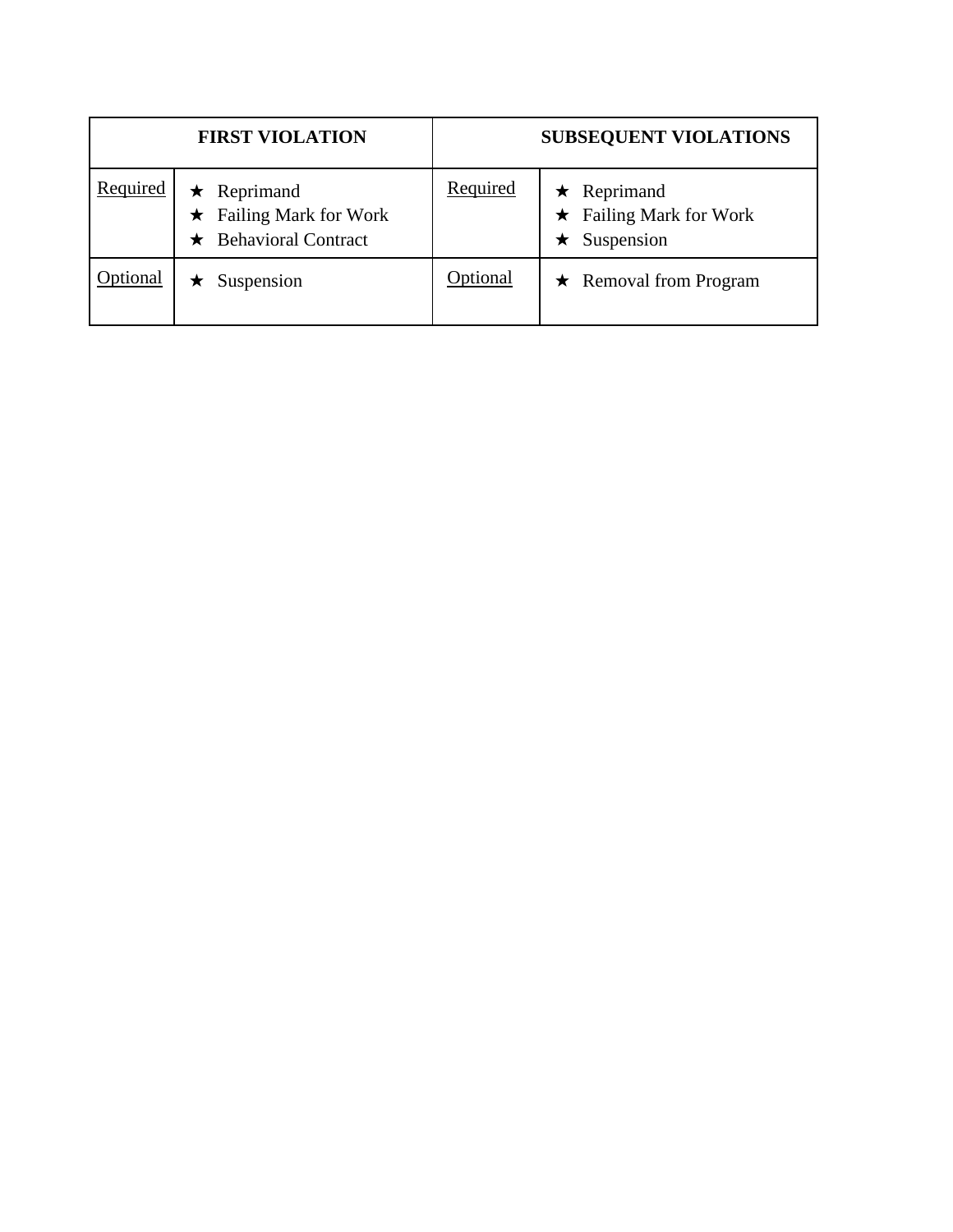| <b>FIRST VIOLATION</b> |                                                                                   | <b>SUBSEQUENT VIOLATIONS</b> |                                                             |
|------------------------|-----------------------------------------------------------------------------------|------------------------------|-------------------------------------------------------------|
| Required               | $\star$ Reprimand<br>$\star$ Failing Mark for Work<br>$\star$ Behavioral Contract | Required                     | Reprimand<br>$\star$<br>Failing Mark for Work<br>Suspension |
| Optional               | Suspension                                                                        | Optional                     | $\star$ Removal from Program                                |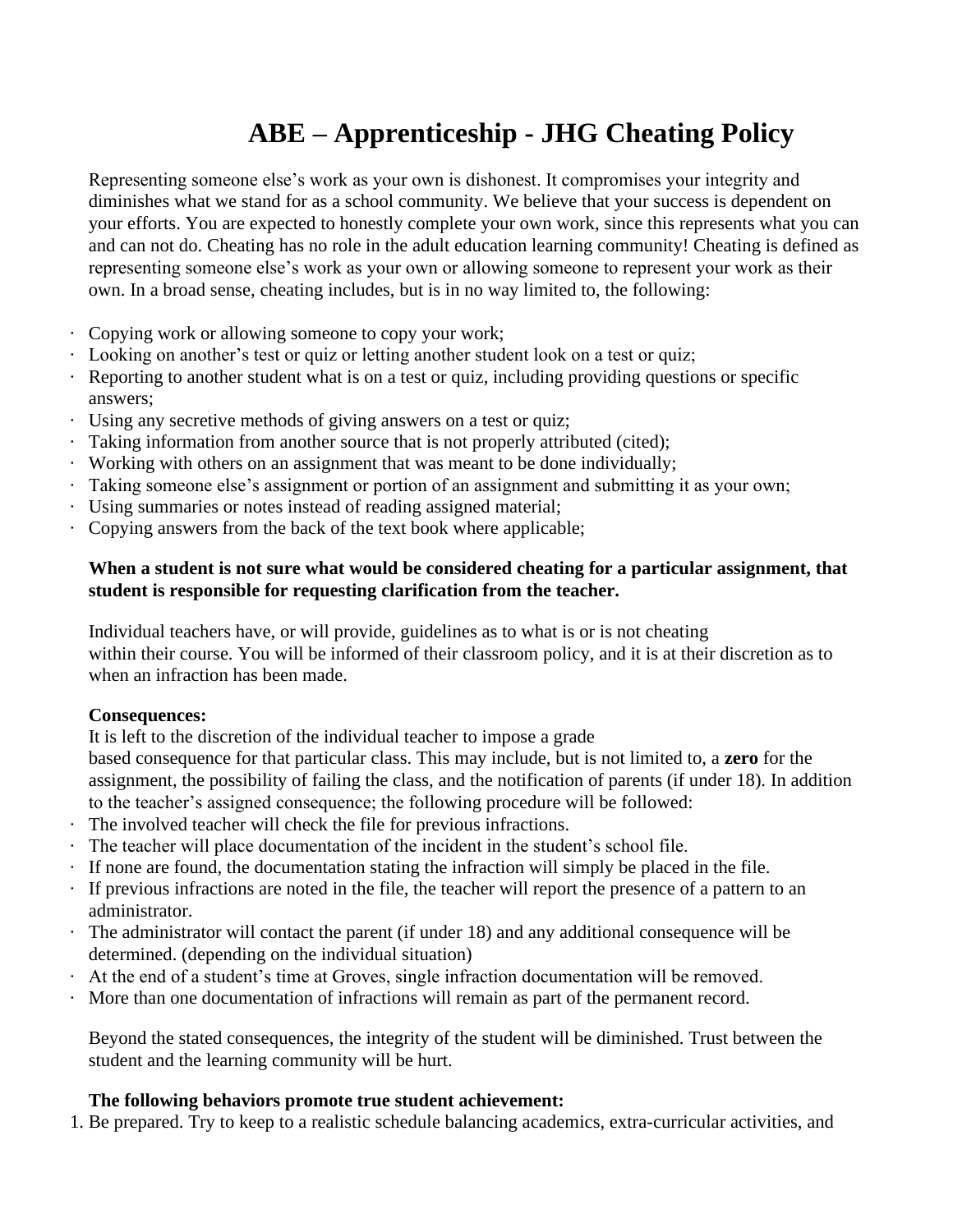# **ABE – Apprenticeship - JHG Cheating Policy**

<span id="page-33-0"></span>Representing someone else's work as your own is dishonest. It compromises your integrity and diminishes what we stand for as a school community. We believe that your success is dependent on your efforts. You are expected to honestly complete your own work, since this represents what you can and can not do. Cheating has no role in the adult education learning community! Cheating is defined as representing someone else's work as your own or allowing someone to represent your work as their own. In a broad sense, cheating includes, but is in no way limited to, the following:

- · Copying work or allowing someone to copy your work;
- · Looking on another's test or quiz or letting another student look on a test or quiz;
- · Reporting to another student what is on a test or quiz, including providing questions or specific answers;
- · Using any secretive methods of giving answers on a test or quiz;
- Taking information from another source that is not properly attributed (cited);
- · Working with others on an assignment that was meant to be done individually;
- · Taking someone else's assignment or portion of an assignment and submitting it as your own;
- · Using summaries or notes instead of reading assigned material;
- · Copying answers from the back of the text book where applicable;

#### **When a student is not sure what would be considered cheating for a particular assignment, that student is responsible for requesting clarification from the teacher.**

Individual teachers have, or will provide, guidelines as to what is or is not cheating within their course. You will be informed of their classroom policy, and it is at their discretion as to when an infraction has been made.

#### **Consequences:**

It is left to the discretion of the individual teacher to impose a grade

based consequence for that particular class. This may include, but is not limited to, a **zero** for the assignment, the possibility of failing the class, and the notification of parents (if under 18). In addition to the teacher's assigned consequence; the following procedure will be followed:

- · The involved teacher will check the file for previous infractions.
- · The teacher will place documentation of the incident in the student's school file.
- · If none are found, the documentation stating the infraction will simply be placed in the file.
- · If previous infractions are noted in the file, the teacher will report the presence of a pattern to an administrator.
- · The administrator will contact the parent (if under 18) and any additional consequence will be determined. (depending on the individual situation)
- · At the end of a student's time at Groves, single infraction documentation will be removed.
- More than one documentation of infractions will remain as part of the permanent record.

Beyond the stated consequences, the integrity of the student will be diminished. Trust between the student and the learning community will be hurt.

#### **The following behaviors promote true student achievement:**

1. Be prepared. Try to keep to a realistic schedule balancing academics, extra-curricular activities, and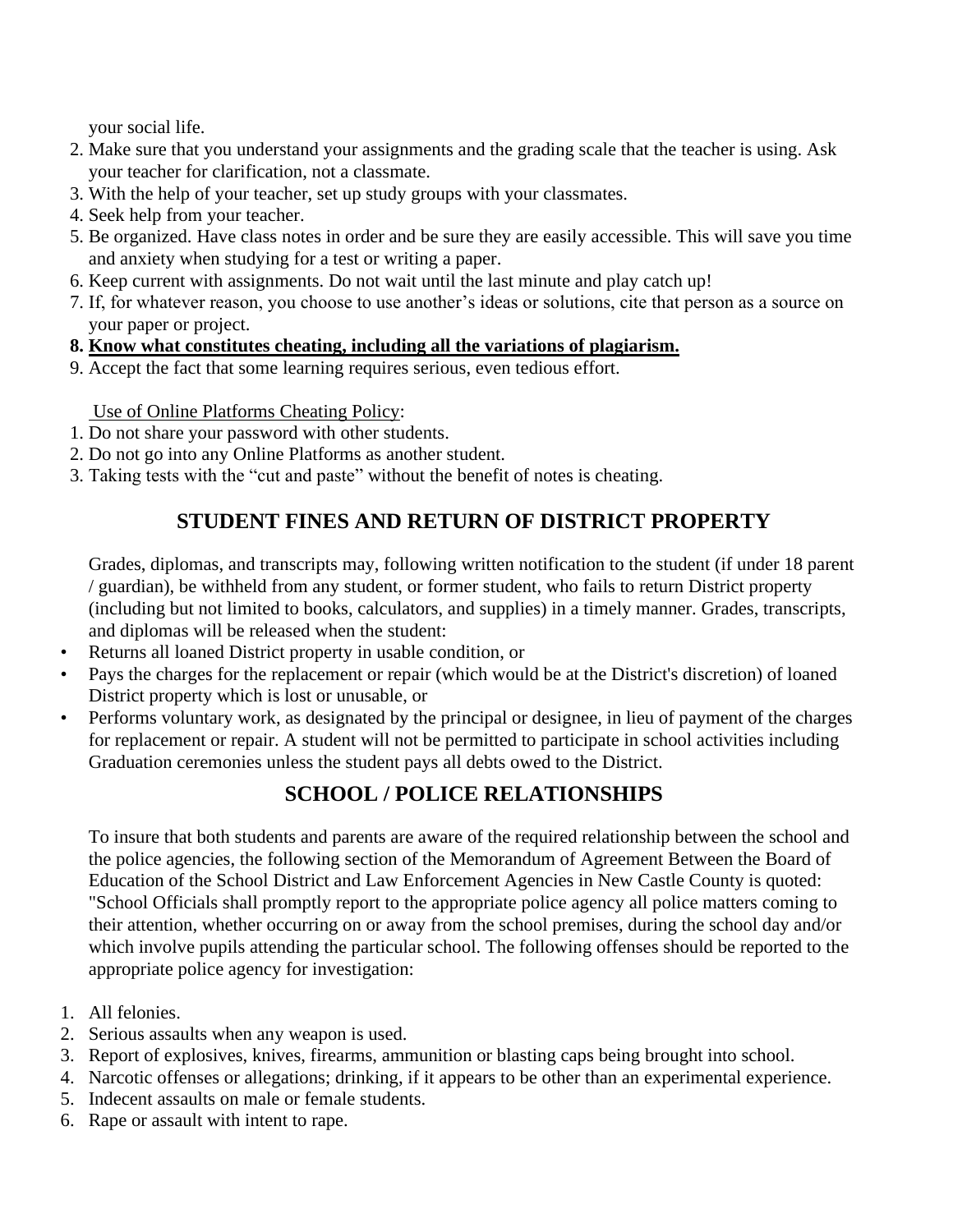your social life.

- 2. Make sure that you understand your assignments and the grading scale that the teacher is using. Ask your teacher for clarification, not a classmate.
- 3. With the help of your teacher, set up study groups with your classmates.
- 4. Seek help from your teacher.
- 5. Be organized. Have class notes in order and be sure they are easily accessible. This will save you time and anxiety when studying for a test or writing a paper.
- 6. Keep current with assignments. Do not wait until the last minute and play catch up!
- 7. If, for whatever reason, you choose to use another's ideas or solutions, cite that person as a source on your paper or project.
- **8. Know what constitutes cheating, including all the variations of plagiarism.**
- 9. Accept the fact that some learning requires serious, even tedious effort.

Use of Online Platforms Cheating Policy:

- 1. Do not share your password with other students.
- 2. Do not go into any Online Platforms as another student.
- 3. Taking tests with the "cut and paste" without the benefit of notes is cheating.

# **STUDENT FINES AND RETURN OF DISTRICT PROPERTY**

<span id="page-34-0"></span>Grades, diplomas, and transcripts may, following written notification to the student (if under 18 parent / guardian), be withheld from any student, or former student, who fails to return District property (including but not limited to books, calculators, and supplies) in a timely manner. Grades, transcripts, and diplomas will be released when the student:

- Returns all loaned District property in usable condition, or
- Pays the charges for the replacement or repair (which would be at the District's discretion) of loaned District property which is lost or unusable, or
- Performs voluntary work, as designated by the principal or designee, in lieu of payment of the charges for replacement or repair. A student will not be permitted to participate in school activities including Graduation ceremonies unless the student pays all debts owed to the District.

# **SCHOOL / POLICE RELATIONSHIPS**

<span id="page-34-1"></span>To insure that both students and parents are aware of the required relationship between the school and the police agencies, the following section of the Memorandum of Agreement Between the Board of Education of the School District and Law Enforcement Agencies in New Castle County is quoted: "School Officials shall promptly report to the appropriate police agency all police matters coming to their attention, whether occurring on or away from the school premises, during the school day and/or which involve pupils attending the particular school. The following offenses should be reported to the appropriate police agency for investigation:

- 1. All felonies.
- 2. Serious assaults when any weapon is used.
- 3. Report of explosives, knives, firearms, ammunition or blasting caps being brought into school.
- 4. Narcotic offenses or allegations; drinking, if it appears to be other than an experimental experience.
- 5. Indecent assaults on male or female students.
- 6. Rape or assault with intent to rape.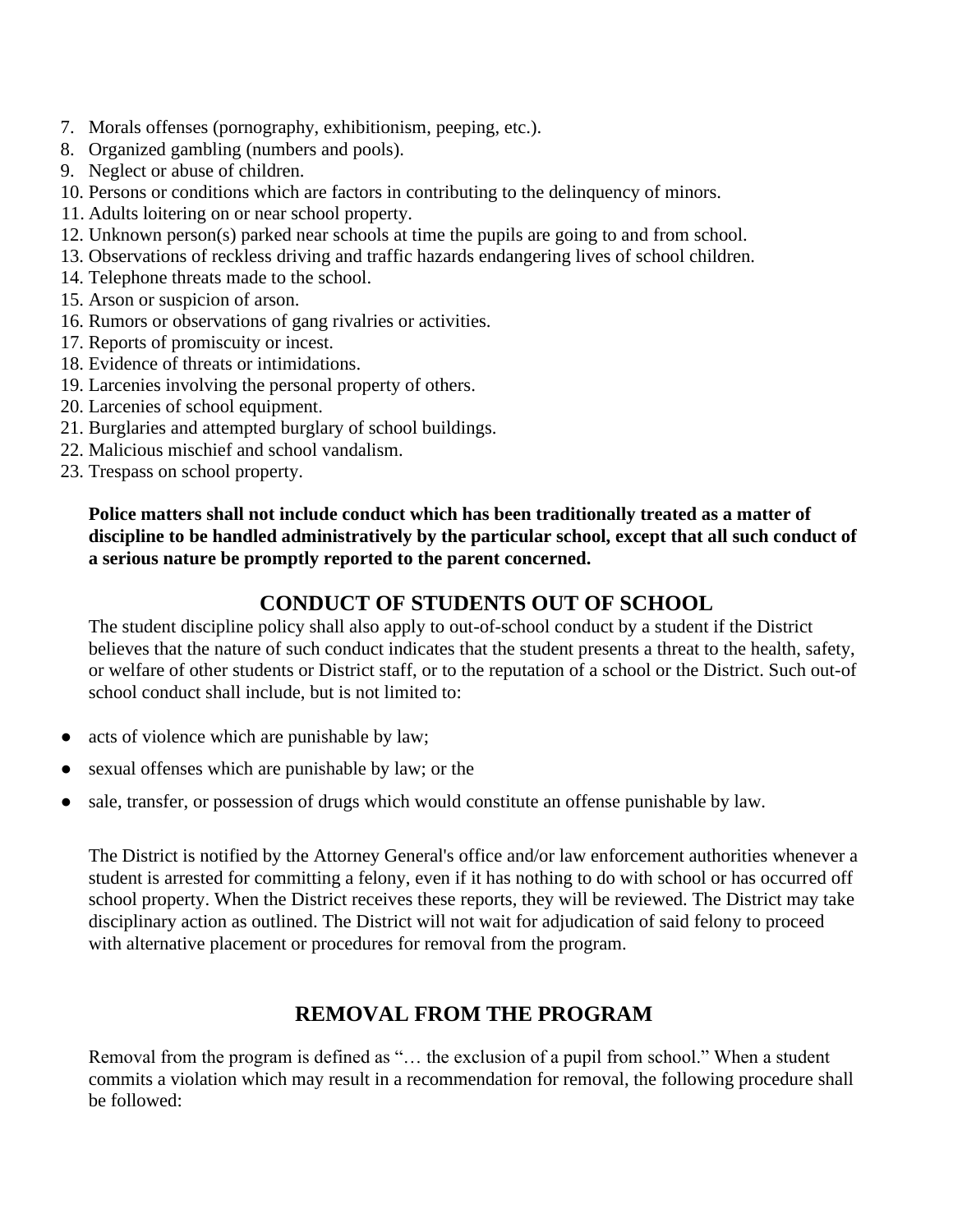- 7. Morals offenses (pornography, exhibitionism, peeping, etc.).
- 8. Organized gambling (numbers and pools).
- 9. Neglect or abuse of children.
- 10. Persons or conditions which are factors in contributing to the delinquency of minors.
- 11. Adults loitering on or near school property.
- 12. Unknown person(s) parked near schools at time the pupils are going to and from school.
- 13. Observations of reckless driving and traffic hazards endangering lives of school children.
- 14. Telephone threats made to the school.
- 15. Arson or suspicion of arson.
- 16. Rumors or observations of gang rivalries or activities.
- 17. Reports of promiscuity or incest.
- 18. Evidence of threats or intimidations.
- 19. Larcenies involving the personal property of others.
- 20. Larcenies of school equipment.
- 21. Burglaries and attempted burglary of school buildings.
- 22. Malicious mischief and school vandalism.
- 23. Trespass on school property.

**Police matters shall not include conduct which has been traditionally treated as a matter of discipline to be handled administratively by the particular school, except that all such conduct of a serious nature be promptly reported to the parent concerned.**

# **CONDUCT OF STUDENTS OUT OF SCHOOL**

<span id="page-35-0"></span>The student discipline policy shall also apply to out-of-school conduct by a student if the District believes that the nature of such conduct indicates that the student presents a threat to the health, safety, or welfare of other students or District staff, or to the reputation of a school or the District. Such out-of school conduct shall include, but is not limited to:

- acts of violence which are punishable by law;
- sexual offenses which are punishable by law; or the
- sale, transfer, or possession of drugs which would constitute an offense punishable by law.

The District is notified by the Attorney General's office and/or law enforcement authorities whenever a student is arrested for committing a felony, even if it has nothing to do with school or has occurred off school property. When the District receives these reports, they will be reviewed. The District may take disciplinary action as outlined. The District will not wait for adjudication of said felony to proceed with alternative placement or procedures for removal from the program.

# **REMOVAL FROM THE PROGRAM**

<span id="page-35-1"></span>Removal from the program is defined as "… the exclusion of a pupil from school." When a student commits a violation which may result in a recommendation for removal, the following procedure shall be followed: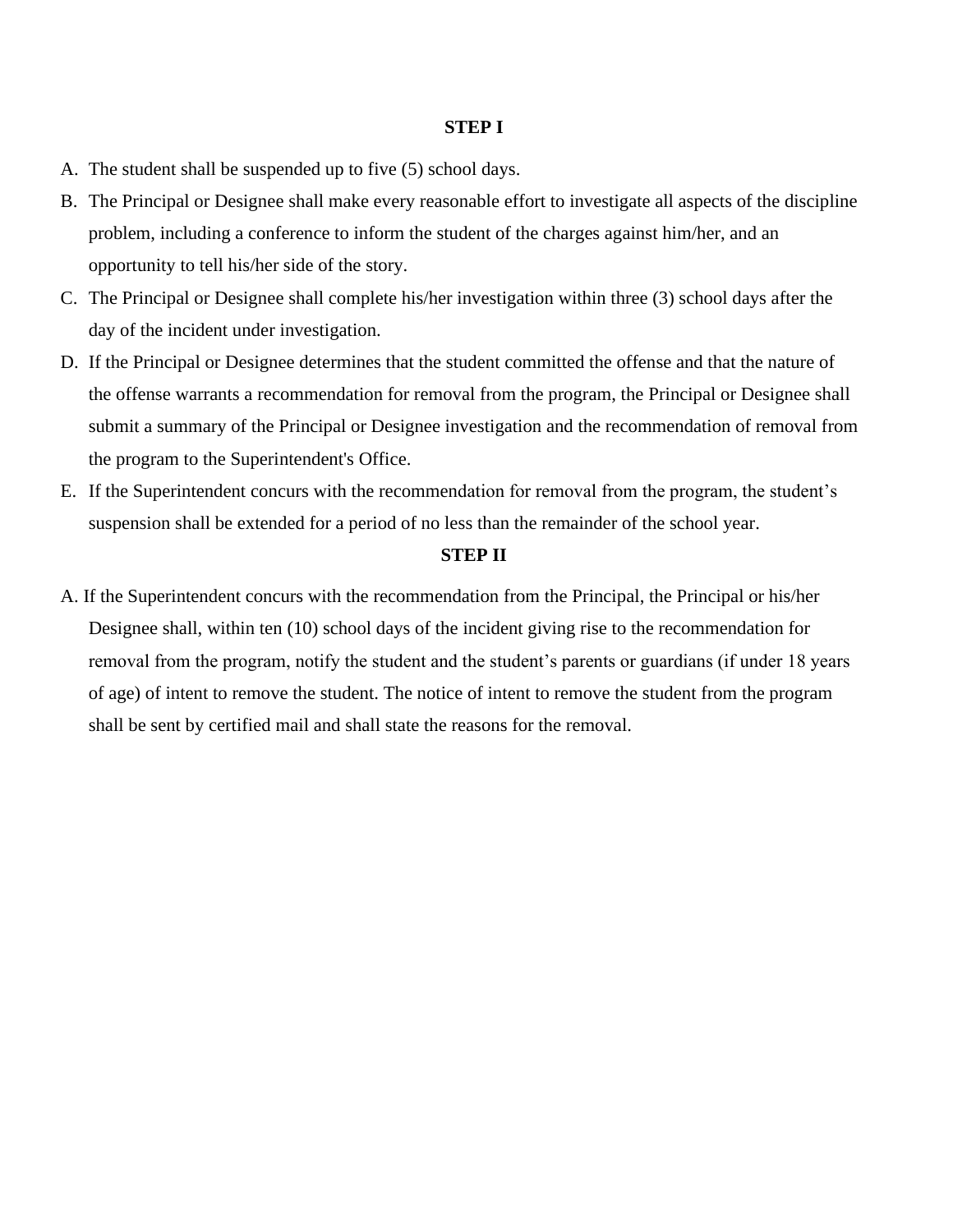### **STEP I**

- A. The student shall be suspended up to five (5) school days.
- B. The Principal or Designee shall make every reasonable effort to investigate all aspects of the discipline problem, including a conference to inform the student of the charges against him/her, and an opportunity to tell his/her side of the story.
- C. The Principal or Designee shall complete his/her investigation within three (3) school days after the day of the incident under investigation.
- D. If the Principal or Designee determines that the student committed the offense and that the nature of the offense warrants a recommendation for removal from the program, the Principal or Designee shall submit a summary of the Principal or Designee investigation and the recommendation of removal from the program to the Superintendent's Office.
- E. If the Superintendent concurs with the recommendation for removal from the program, the student's suspension shall be extended for a period of no less than the remainder of the school year.

### **STEP II**

A. If the Superintendent concurs with the recommendation from the Principal, the Principal or his/her Designee shall, within ten (10) school days of the incident giving rise to the recommendation for removal from the program, notify the student and the student's parents or guardians (if under 18 years of age) of intent to remove the student. The notice of intent to remove the student from the program shall be sent by certified mail and shall state the reasons for the removal.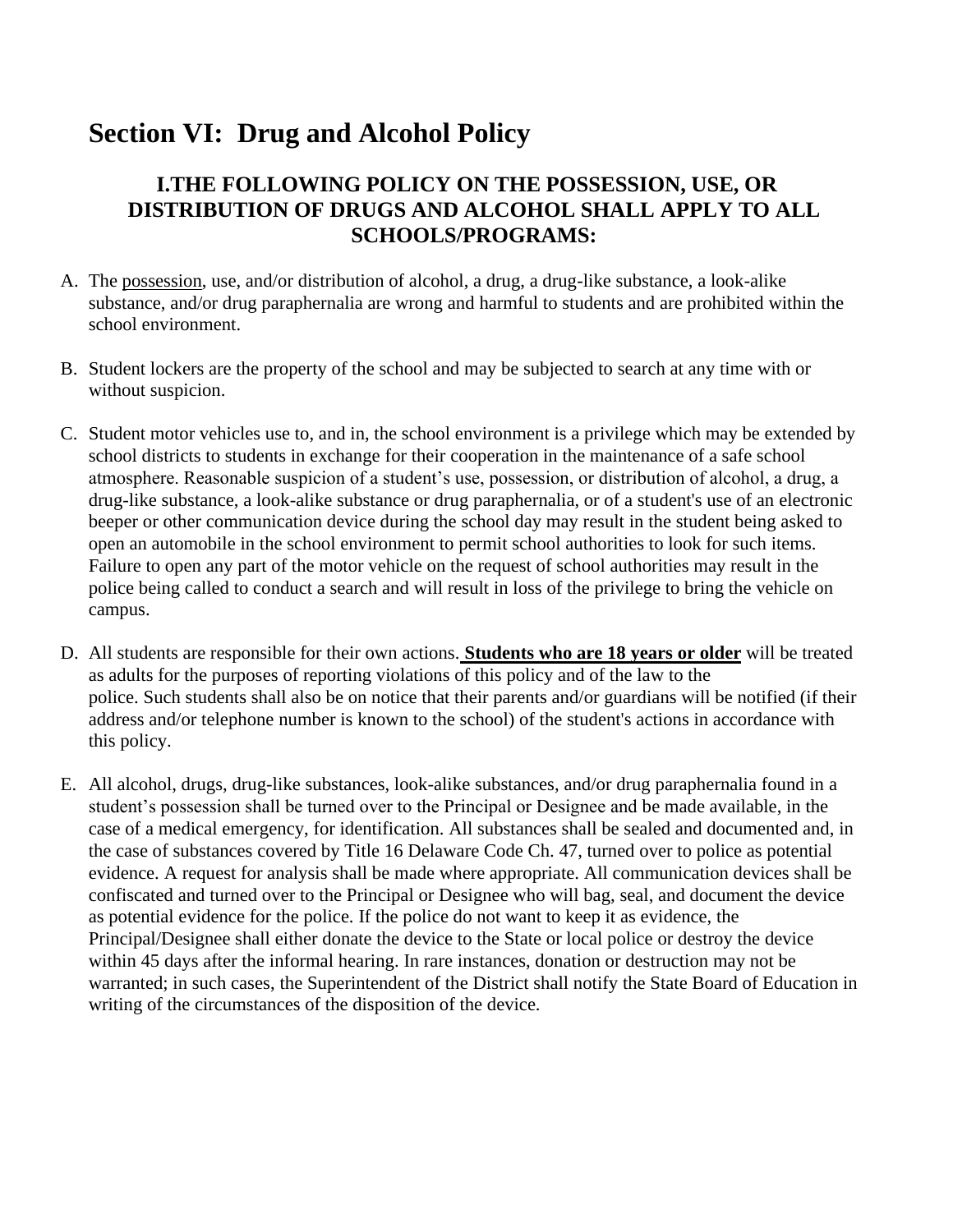# **Section VI: Drug and Alcohol Policy**

## **I.THE FOLLOWING POLICY ON THE POSSESSION, USE, OR DISTRIBUTION OF DRUGS AND ALCOHOL SHALL APPLY TO ALL SCHOOLS/PROGRAMS:**

- A. The possession, use, and/or distribution of alcohol, a drug, a drug-like substance, a look-alike substance, and/or drug paraphernalia are wrong and harmful to students and are prohibited within the school environment.
- B. Student lockers are the property of the school and may be subjected to search at any time with or without suspicion.
- C. Student motor vehicles use to, and in, the school environment is a privilege which may be extended by school districts to students in exchange for their cooperation in the maintenance of a safe school atmosphere. Reasonable suspicion of a student's use, possession, or distribution of alcohol, a drug, a drug-like substance, a look-alike substance or drug paraphernalia, or of a student's use of an electronic beeper or other communication device during the school day may result in the student being asked to open an automobile in the school environment to permit school authorities to look for such items. Failure to open any part of the motor vehicle on the request of school authorities may result in the police being called to conduct a search and will result in loss of the privilege to bring the vehicle on campus.
- D. All students are responsible for their own actions. **Students who are 18 years or older** will be treated as adults for the purposes of reporting violations of this policy and of the law to the police. Such students shall also be on notice that their parents and/or guardians will be notified (if their address and/or telephone number is known to the school) of the student's actions in accordance with this policy.
- E. All alcohol, drugs, drug-like substances, look-alike substances, and/or drug paraphernalia found in a student's possession shall be turned over to the Principal or Designee and be made available, in the case of a medical emergency, for identification. All substances shall be sealed and documented and, in the case of substances covered by Title 16 Delaware Code Ch. 47, turned over to police as potential evidence. A request for analysis shall be made where appropriate. All communication devices shall be confiscated and turned over to the Principal or Designee who will bag, seal, and document the device as potential evidence for the police. If the police do not want to keep it as evidence, the Principal/Designee shall either donate the device to the State or local police or destroy the device within 45 days after the informal hearing. In rare instances, donation or destruction may not be warranted; in such cases, the Superintendent of the District shall notify the State Board of Education in writing of the circumstances of the disposition of the device.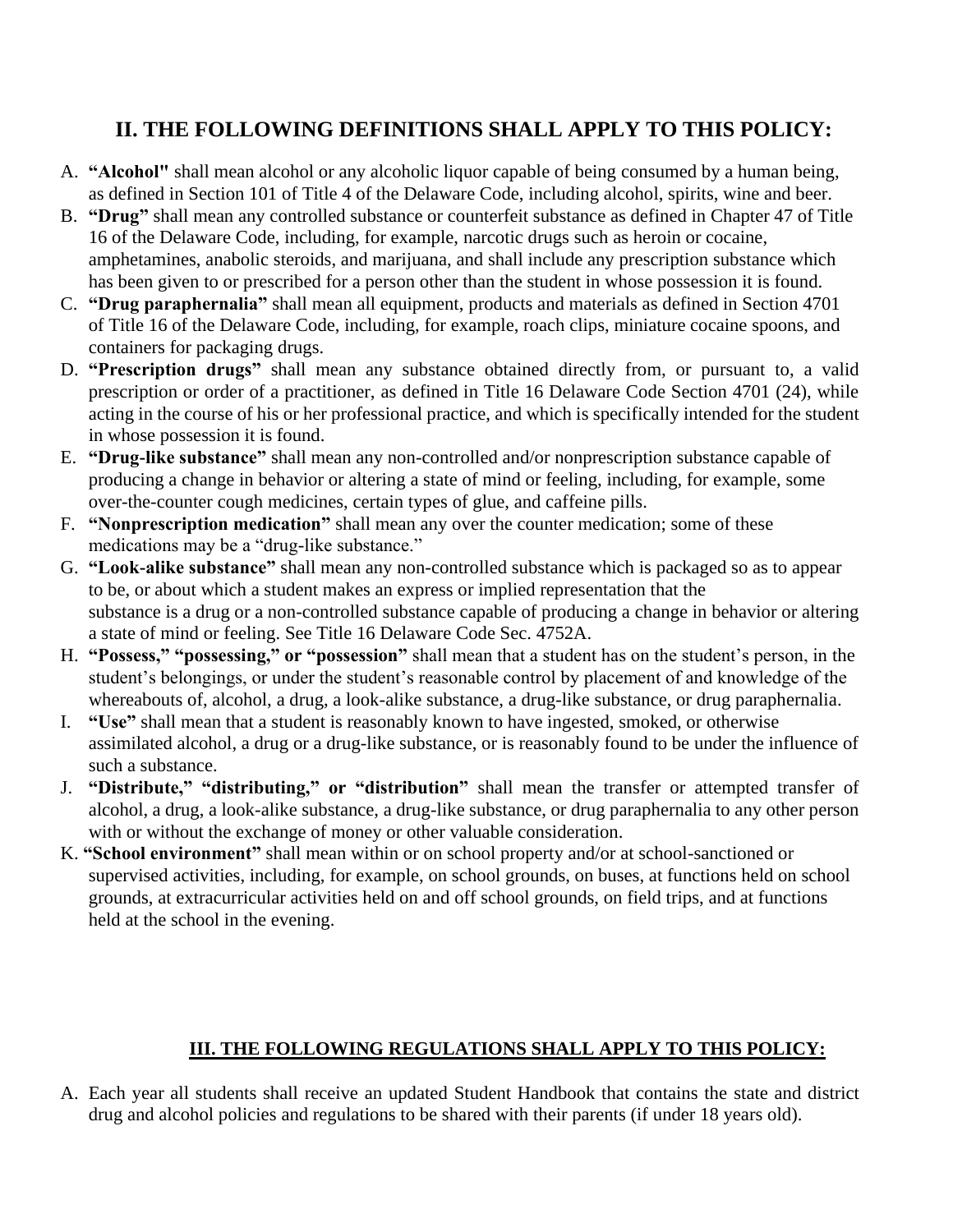## **II. THE FOLLOWING DEFINITIONS SHALL APPLY TO THIS POLICY:**

- A. **"Alcohol"** shall mean alcohol or any alcoholic liquor capable of being consumed by a human being, as defined in Section 101 of Title 4 of the Delaware Code, including alcohol, spirits, wine and beer.
- B. **"Drug"** shall mean any controlled substance or counterfeit substance as defined in Chapter 47 of Title 16 of the Delaware Code, including, for example, narcotic drugs such as heroin or cocaine, amphetamines, anabolic steroids, and marijuana, and shall include any prescription substance which has been given to or prescribed for a person other than the student in whose possession it is found.
- C. **"Drug paraphernalia"** shall mean all equipment, products and materials as defined in Section 4701 of Title 16 of the Delaware Code, including, for example, roach clips, miniature cocaine spoons, and containers for packaging drugs.
- D. **"Prescription drugs"** shall mean any substance obtained directly from, or pursuant to, a valid prescription or order of a practitioner, as defined in Title 16 Delaware Code Section 4701 (24), while acting in the course of his or her professional practice, and which is specifically intended for the student in whose possession it is found.
- E. **"Drug-like substance"** shall mean any non-controlled and/or nonprescription substance capable of producing a change in behavior or altering a state of mind or feeling, including, for example, some over-the-counter cough medicines, certain types of glue, and caffeine pills.
- F. **"Nonprescription medication"** shall mean any over the counter medication; some of these medications may be a "drug-like substance."
- G. **"Look-alike substance"** shall mean any non-controlled substance which is packaged so as to appear to be, or about which a student makes an express or implied representation that the substance is a drug or a non-controlled substance capable of producing a change in behavior or altering a state of mind or feeling. See Title 16 Delaware Code Sec. 4752A.
- H. **"Possess," "possessing," or "possession"** shall mean that a student has on the student's person, in the student's belongings, or under the student's reasonable control by placement of and knowledge of the whereabouts of, alcohol, a drug, a look-alike substance, a drug-like substance, or drug paraphernalia.
- I. **"Use"** shall mean that a student is reasonably known to have ingested, smoked, or otherwise assimilated alcohol, a drug or a drug-like substance, or is reasonably found to be under the influence of such a substance.
- J. **"Distribute," "distributing," or "distribution"** shall mean the transfer or attempted transfer of alcohol, a drug, a look-alike substance, a drug-like substance, or drug paraphernalia to any other person with or without the exchange of money or other valuable consideration.
- K. **"School environment"** shall mean within or on school property and/or at school-sanctioned or supervised activities, including, for example, on school grounds, on buses, at functions held on school grounds, at extracurricular activities held on and off school grounds, on field trips, and at functions held at the school in the evening.

## **III. THE FOLLOWING REGULATIONS SHALL APPLY TO THIS POLICY:**

A. Each year all students shall receive an updated Student Handbook that contains the state and district drug and alcohol policies and regulations to be shared with their parents (if under 18 years old).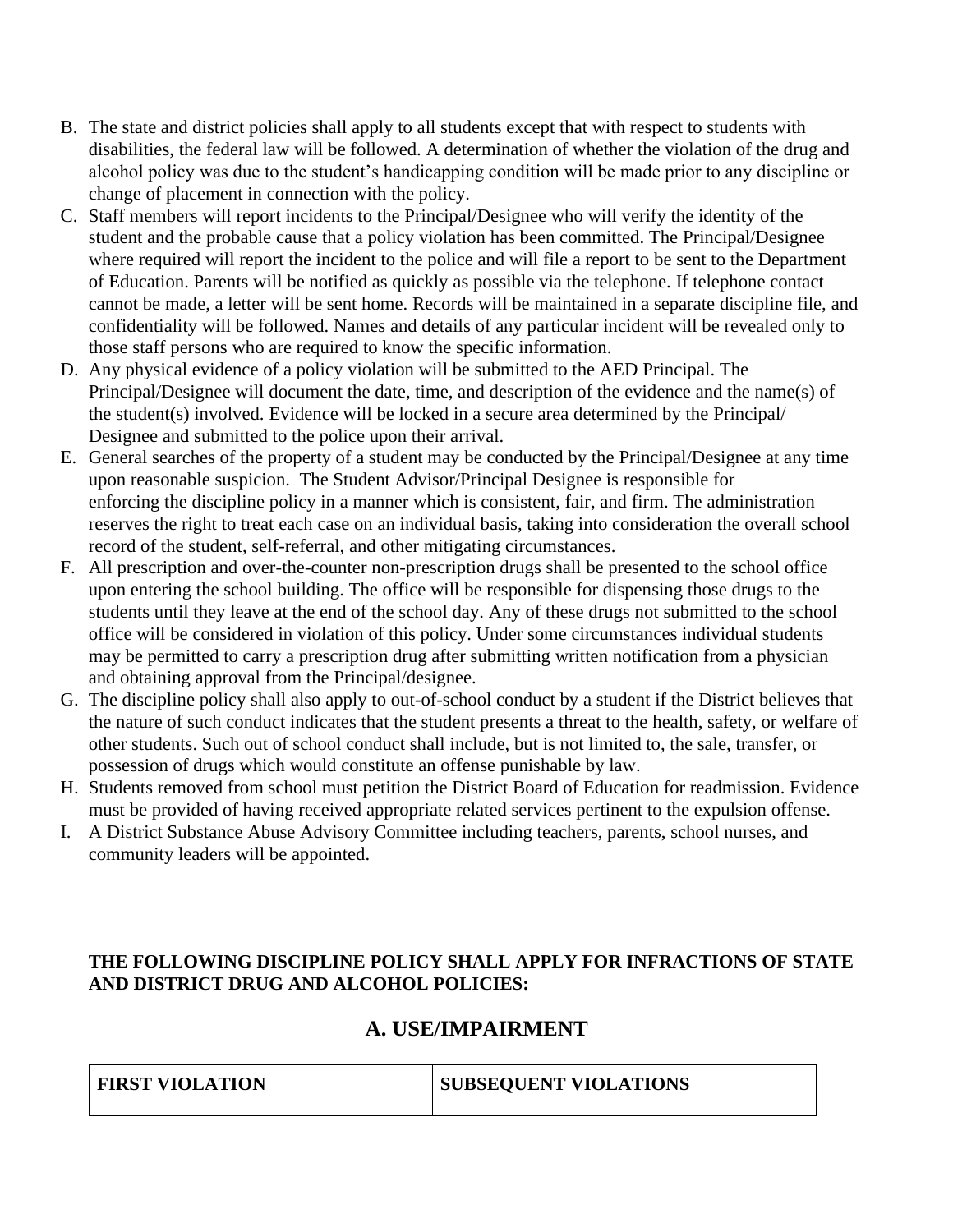- B. The state and district policies shall apply to all students except that with respect to students with disabilities, the federal law will be followed. A determination of whether the violation of the drug and alcohol policy was due to the student's handicapping condition will be made prior to any discipline or change of placement in connection with the policy.
- C. Staff members will report incidents to the Principal/Designee who will verify the identity of the student and the probable cause that a policy violation has been committed. The Principal/Designee where required will report the incident to the police and will file a report to be sent to the Department of Education. Parents will be notified as quickly as possible via the telephone. If telephone contact cannot be made, a letter will be sent home. Records will be maintained in a separate discipline file, and confidentiality will be followed. Names and details of any particular incident will be revealed only to those staff persons who are required to know the specific information.
- D. Any physical evidence of a policy violation will be submitted to the AED Principal. The Principal/Designee will document the date, time, and description of the evidence and the name(s) of the student(s) involved. Evidence will be locked in a secure area determined by the Principal/ Designee and submitted to the police upon their arrival.
- E. General searches of the property of a student may be conducted by the Principal/Designee at any time upon reasonable suspicion. The Student Advisor/Principal Designee is responsible for enforcing the discipline policy in a manner which is consistent, fair, and firm. The administration reserves the right to treat each case on an individual basis, taking into consideration the overall school record of the student, self-referral, and other mitigating circumstances.
- F. All prescription and over-the-counter non-prescription drugs shall be presented to the school office upon entering the school building. The office will be responsible for dispensing those drugs to the students until they leave at the end of the school day. Any of these drugs not submitted to the school office will be considered in violation of this policy. Under some circumstances individual students may be permitted to carry a prescription drug after submitting written notification from a physician and obtaining approval from the Principal/designee.
- G. The discipline policy shall also apply to out-of-school conduct by a student if the District believes that the nature of such conduct indicates that the student presents a threat to the health, safety, or welfare of other students. Such out of school conduct shall include, but is not limited to, the sale, transfer, or possession of drugs which would constitute an offense punishable by law.
- H. Students removed from school must petition the District Board of Education for readmission. Evidence must be provided of having received appropriate related services pertinent to the expulsion offense.
- I. A District Substance Abuse Advisory Committee including teachers, parents, school nurses, and community leaders will be appointed.

## **THE FOLLOWING DISCIPLINE POLICY SHALL APPLY FOR INFRACTIONS OF STATE AND DISTRICT DRUG AND ALCOHOL POLICIES:**

## **A. USE/IMPAIRMENT**

| <b>FIRST VIOLATION</b> | <b>SUBSEQUENT VIOLATIONS</b> |
|------------------------|------------------------------|
|                        |                              |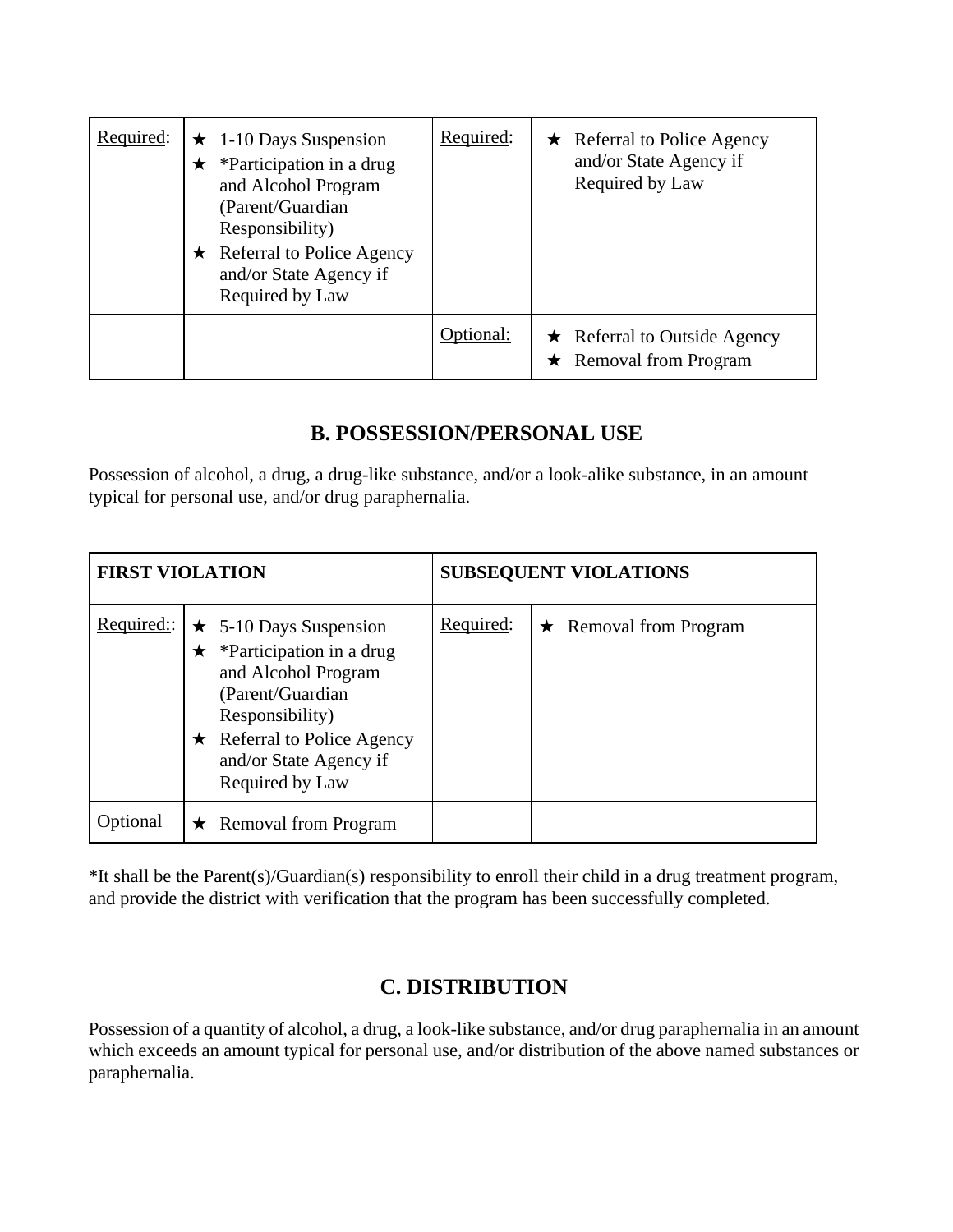| Required: | $\star$ 1-10 Days Suspension<br>*Participation in a drug<br>and Alcohol Program<br>(Parent/Guardian<br>Responsibility)<br><b>Referral to Police Agency</b><br>$\star$<br>and/or State Agency if<br>Required by Law | Required: | $\star$ Referral to Police Agency<br>and/or State Agency if<br>Required by Law |
|-----------|--------------------------------------------------------------------------------------------------------------------------------------------------------------------------------------------------------------------|-----------|--------------------------------------------------------------------------------|
|           |                                                                                                                                                                                                                    | Dptional: | $\star$ Referral to Outside Agency<br>$\star$ Removal from Program             |

## **B. POSSESSION/PERSONAL USE**

Possession of alcohol, a drug, a drug-like substance, and/or a look-alike substance, in an amount typical for personal use, and/or drug paraphernalia.

| <b>FIRST VIOLATION</b> |                                                                                                                                                                                                                         | <b>SUBSEQUENT VIOLATIONS</b> |                              |  |
|------------------------|-------------------------------------------------------------------------------------------------------------------------------------------------------------------------------------------------------------------------|------------------------------|------------------------------|--|
| Required:              | $\star$ 5-10 Days Suspension<br>*Participation in a drug<br>$\bigstar$<br>and Alcohol Program<br>(Parent/Guardian)<br>Responsibility)<br>$\star$ Referral to Police Agency<br>and/or State Agency if<br>Required by Law | Required:                    | $\star$ Removal from Program |  |
|                        | <b>Removal from Program</b><br>$\bigstar$                                                                                                                                                                               |                              |                              |  |

\*It shall be the Parent(s)/Guardian(s) responsibility to enroll their child in a drug treatment program, and provide the district with verification that the program has been successfully completed.

## **C. DISTRIBUTION**

Possession of a quantity of alcohol, a drug, a look-like substance, and/or drug paraphernalia in an amount which exceeds an amount typical for personal use, and/or distribution of the above named substances or paraphernalia.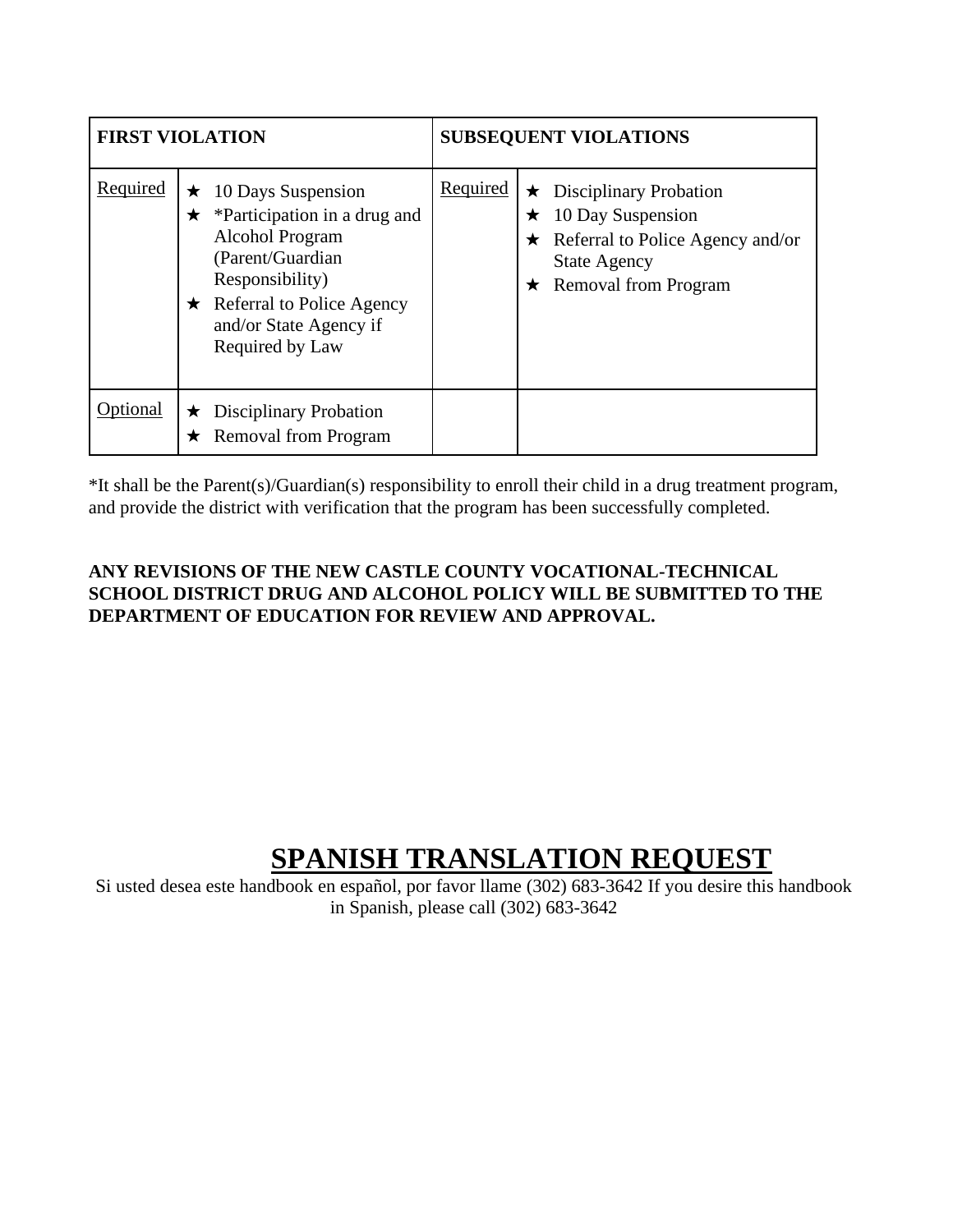| <b>FIRST VIOLATION</b> |              | <b>SUBSEQUENT VIOLATIONS</b>                                                                                                                                                                          |          |                                                                                                                                                             |
|------------------------|--------------|-------------------------------------------------------------------------------------------------------------------------------------------------------------------------------------------------------|----------|-------------------------------------------------------------------------------------------------------------------------------------------------------------|
| Required               | $\star$<br>★ | 10 Days Suspension<br>*Participation in a drug and<br><b>Alcohol Program</b><br>(Parent/Guardian<br>Responsibility)<br>$\star$ Referral to Police Agency<br>and/or State Agency if<br>Required by Law | Required | $\star$ Disciplinary Probation<br>10 Day Suspension<br>★<br>$\star$ Referral to Police Agency and/or<br><b>State Agency</b><br>$\star$ Removal from Program |
| Optional               | $\star$      | <b>Disciplinary Probation</b><br><b>Removal from Program</b>                                                                                                                                          |          |                                                                                                                                                             |

\*It shall be the Parent(s)/Guardian(s) responsibility to enroll their child in a drug treatment program, and provide the district with verification that the program has been successfully completed.

## **ANY REVISIONS OF THE NEW CASTLE COUNTY VOCATIONAL-TECHNICAL SCHOOL DISTRICT DRUG AND ALCOHOL POLICY WILL BE SUBMITTED TO THE DEPARTMENT OF EDUCATION FOR REVIEW AND APPROVAL.**

# **SPANISH TRANSLATION REQUEST**

Si usted desea este handbook en español, por favor llame (302) 683-3642 If you desire this handbook in Spanish, please call (302) 683-3642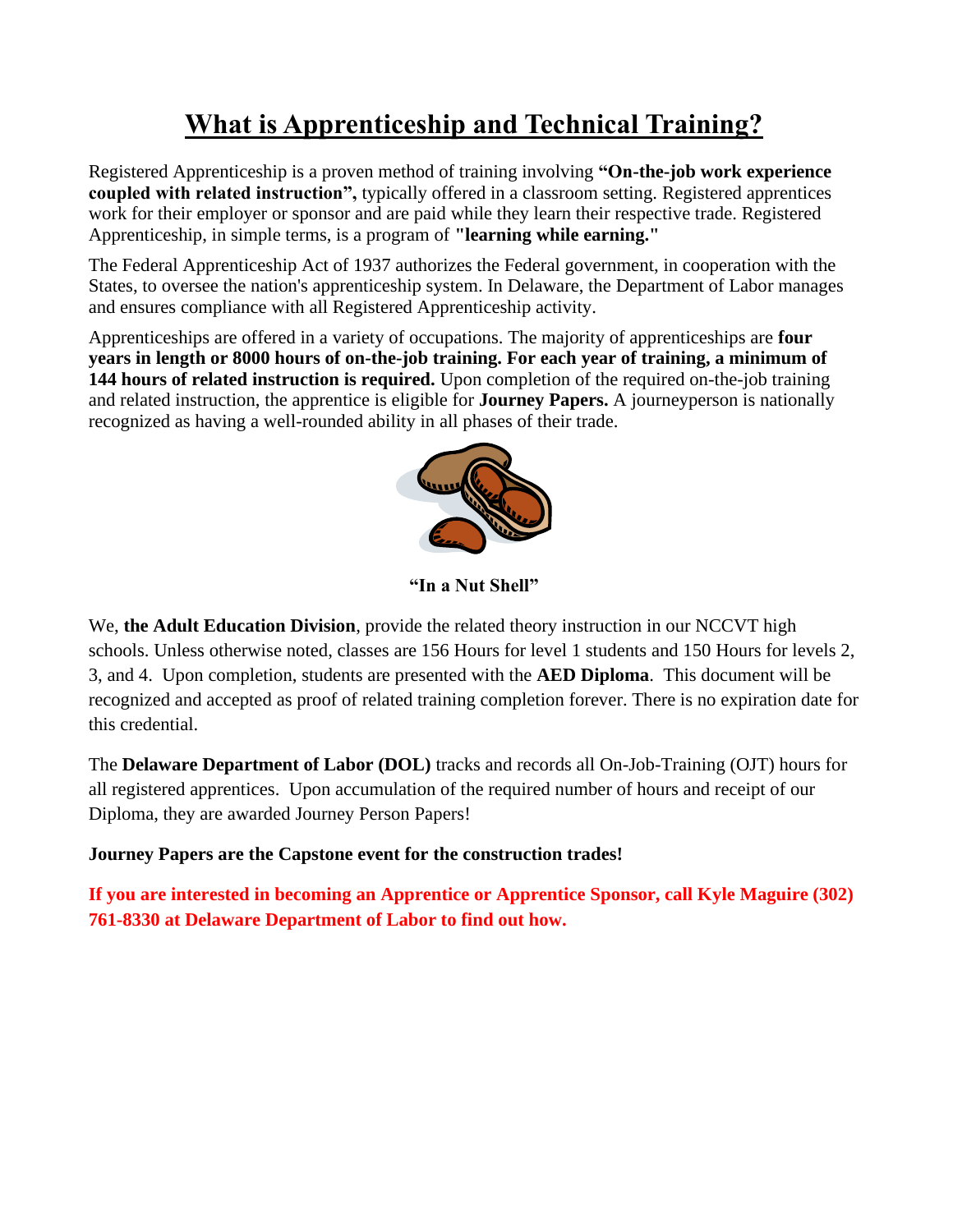# **What is Apprenticeship and Technical Training?**

Registered Apprenticeship is a proven method of training involving **"On-the-job work experience coupled with related instruction",** typically offered in a classroom setting. Registered apprentices work for their employer or sponsor and are paid while they learn their respective trade. Registered Apprenticeship, in simple terms, is a program of **"learning while earning."**

The Federal Apprenticeship Act of 1937 authorizes the Federal government, in cooperation with the States, to oversee the nation's apprenticeship system. In Delaware, the Department of Labor manages and ensures compliance with all Registered Apprenticeship activity.

Apprenticeships are offered in a variety of occupations. The majority of apprenticeships are **four years in length or 8000 hours of on-the-job training. For each year of training, a minimum of 144 hours of related instruction is required.** Upon completion of the required on-the-job training and related instruction, the apprentice is eligible for **Journey Papers.** A journeyperson is nationally recognized as having a well-rounded ability in all phases of their trade.



**"In a Nut Shell"**

We, **the Adult Education Division**, provide the related theory instruction in our NCCVT high schools. Unless otherwise noted, classes are 156 Hours for level 1 students and 150 Hours for levels 2, 3, and 4. Upon completion, students are presented with the **AED Diploma**. This document will be recognized and accepted as proof of related training completion forever. There is no expiration date for this credential.

The **Delaware Department of Labor (DOL)** tracks and records all On-Job-Training (OJT) hours for all registered apprentices. Upon accumulation of the required number of hours and receipt of our Diploma, they are awarded Journey Person Papers!

### **Journey Papers are the Capstone event for the construction trades!**

**If you are interested in becoming an Apprentice or Apprentice Sponsor, call Kyle Maguire (302) 761-8330 at Delaware Department of Labor to find out how.**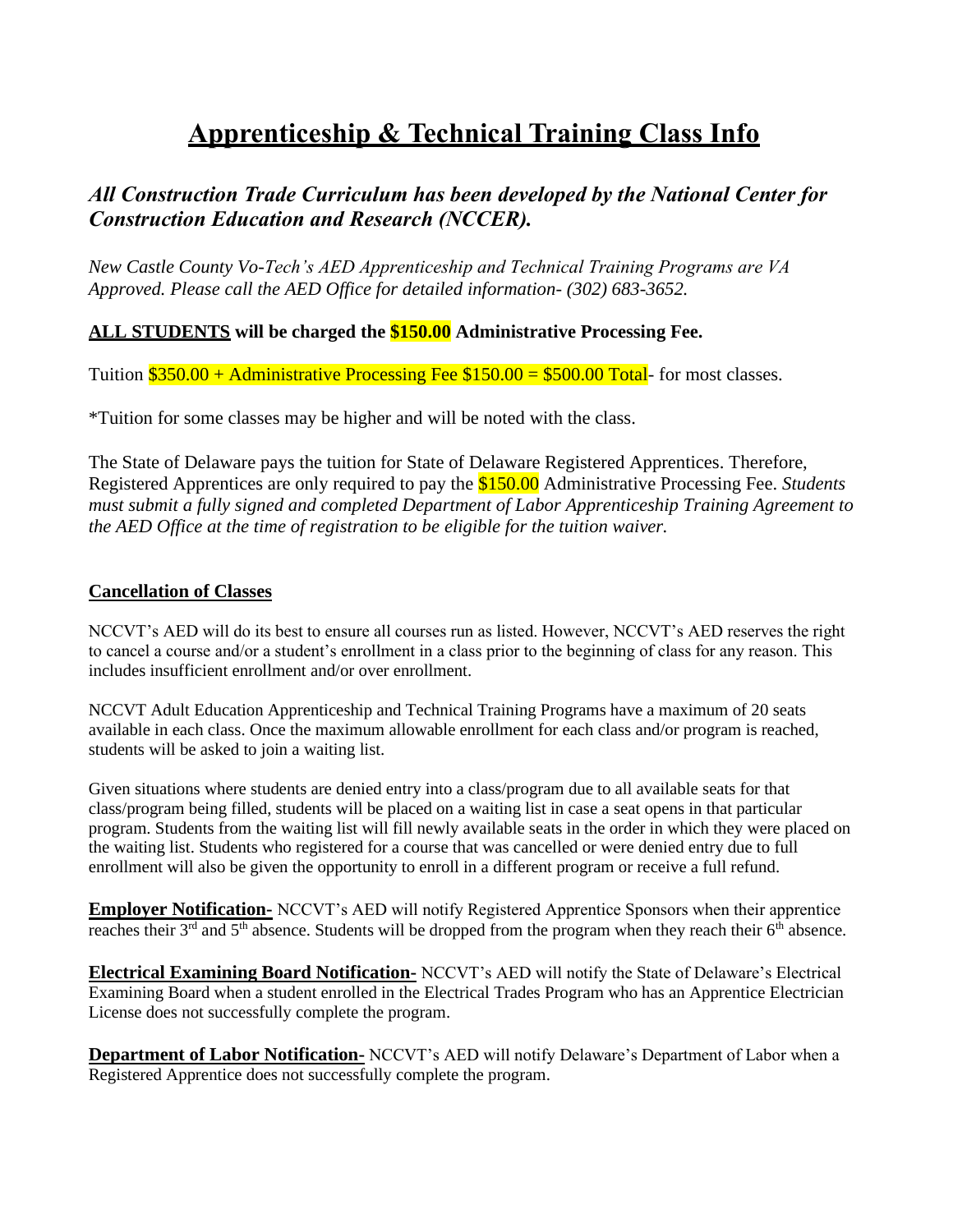# **Apprenticeship & Technical Training Class Info**

## *All Construction Trade Curriculum has been developed by the National Center for Construction Education and Research (NCCER).*

*New Castle County Vo-Tech's AED Apprenticeship and Technical Training Programs are VA Approved. Please call the AED Office for detailed information- (302) 683-3652.*

### **ALL STUDENTS will be charged the \$150.00 Administrative Processing Fee.**

Tuition  $\$350.00 +$  Administrative Processing Fee  $\$150.00 = \$500.00$  Total- for most classes.

\*Tuition for some classes may be higher and will be noted with the class.

The State of Delaware pays the tuition for State of Delaware Registered Apprentices. Therefore, Registered Apprentices are only required to pay the \$150.00 Administrative Processing Fee. *Students must submit a fully signed and completed Department of Labor Apprenticeship Training Agreement to the AED Office at the time of registration to be eligible for the tuition waiver.*

### **Cancellation of Classes**

NCCVT's AED will do its best to ensure all courses run as listed. However, NCCVT's AED reserves the right to cancel a course and/or a student's enrollment in a class prior to the beginning of class for any reason. This includes insufficient enrollment and/or over enrollment.

NCCVT Adult Education Apprenticeship and Technical Training Programs have a maximum of 20 seats available in each class. Once the maximum allowable enrollment for each class and/or program is reached, students will be asked to join a waiting list.

Given situations where students are denied entry into a class/program due to all available seats for that class/program being filled, students will be placed on a waiting list in case a seat opens in that particular program. Students from the waiting list will fill newly available seats in the order in which they were placed on the waiting list. Students who registered for a course that was cancelled or were denied entry due to full enrollment will also be given the opportunity to enroll in a different program or receive a full refund.

**Employer Notification-** NCCVT's AED will notify Registered Apprentice Sponsors when their apprentice reaches their 3<sup>rd</sup> and 5<sup>th</sup> absence. Students will be dropped from the program when they reach their 6<sup>th</sup> absence.

**Electrical Examining Board Notification-** NCCVT's AED will notify the State of Delaware's Electrical Examining Board when a student enrolled in the Electrical Trades Program who has an Apprentice Electrician License does not successfully complete the program.

**Department of Labor Notification-** NCCVT's AED will notify Delaware's Department of Labor when a Registered Apprentice does not successfully complete the program.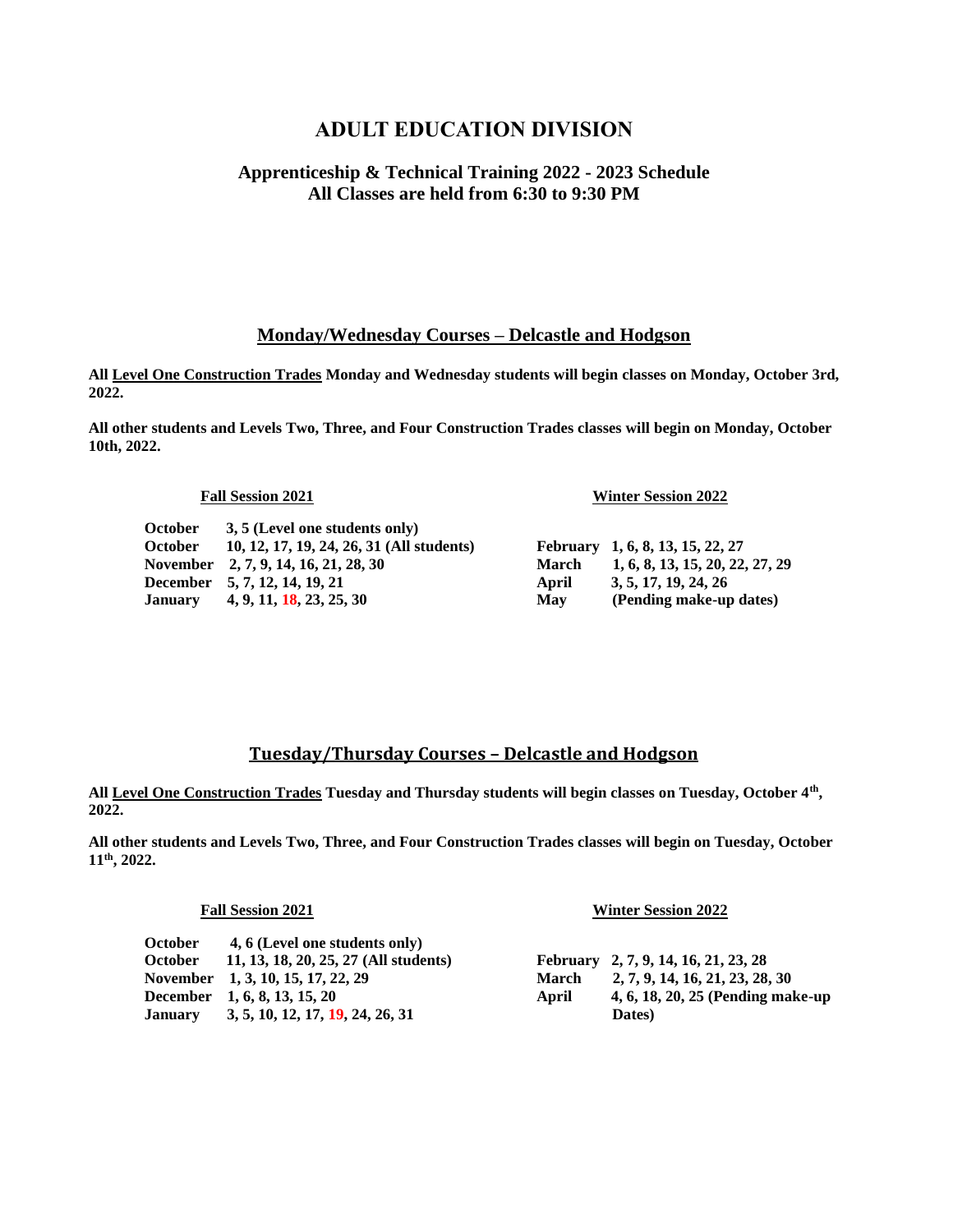## **ADULT EDUCATION DIVISION**

### **Apprenticeship & Technical Training 2022 - 2023 Schedule All Classes are held from 6:30 to 9:30 PM**

### **Monday/Wednesday Courses – Delcastle and Hodgson**

**All Level One Construction Trades Monday and Wednesday students will begin classes on Monday, October 3rd, 2022.**

**All other students and Levels Two, Three, and Four Construction Trades classes will begin on Monday, October 10th, 2022.**

**October 3, 5 (Level one students only) October 10, 12, 17, 19, 24, 26, 31 (All students) February 1, 6, 8, 13, 15, 22, 27 November 2, 7, 9, 14, 16, 21, 28, 30 March 1, 6, 8, 13, 15, 20, 22, 27, 29 December** 5, 7, 12, 14, 19, 21 **April** 3, 5, 17, 19, 24, 26 **January** 4, 9, 11, 18, 23, 25, 30 May (Pending make-up dates)

**Fall Session 2021 Winter Session 2022**

### **Tuesday/Thursday Courses – Delcastle and Hodgson**

**All Level One Construction Trades Tuesday and Thursday students will begin classes on Tuesday, October 4th , 2022.**

**All other students and Levels Two, Three, and Four Construction Trades classes will begin on Tuesday, October 11th, 2022.**

### **Fall Session 2021 Winter Session 2022**

| <b>October</b> | 4, 6 (Level one students only)        |              |                                      |
|----------------|---------------------------------------|--------------|--------------------------------------|
| <b>October</b> | 11, 13, 18, 20, 25, 27 (All students) |              | February 2, 7, 9, 14, 16, 21, 23, 28 |
|                | November 1, 3, 10, 15, 17, 22, 29     | <b>March</b> | 2, 7, 9, 14, 16, 21, 23, 28, 30      |
|                | December 1, 6, 8, 13, 15, 20          | April        | 4, 6, 18, 20, 25 (Pending make-up    |
| <b>January</b> | 3, 5, 10, 12, 17, 19, 24, 26, 31      |              | Dates)                               |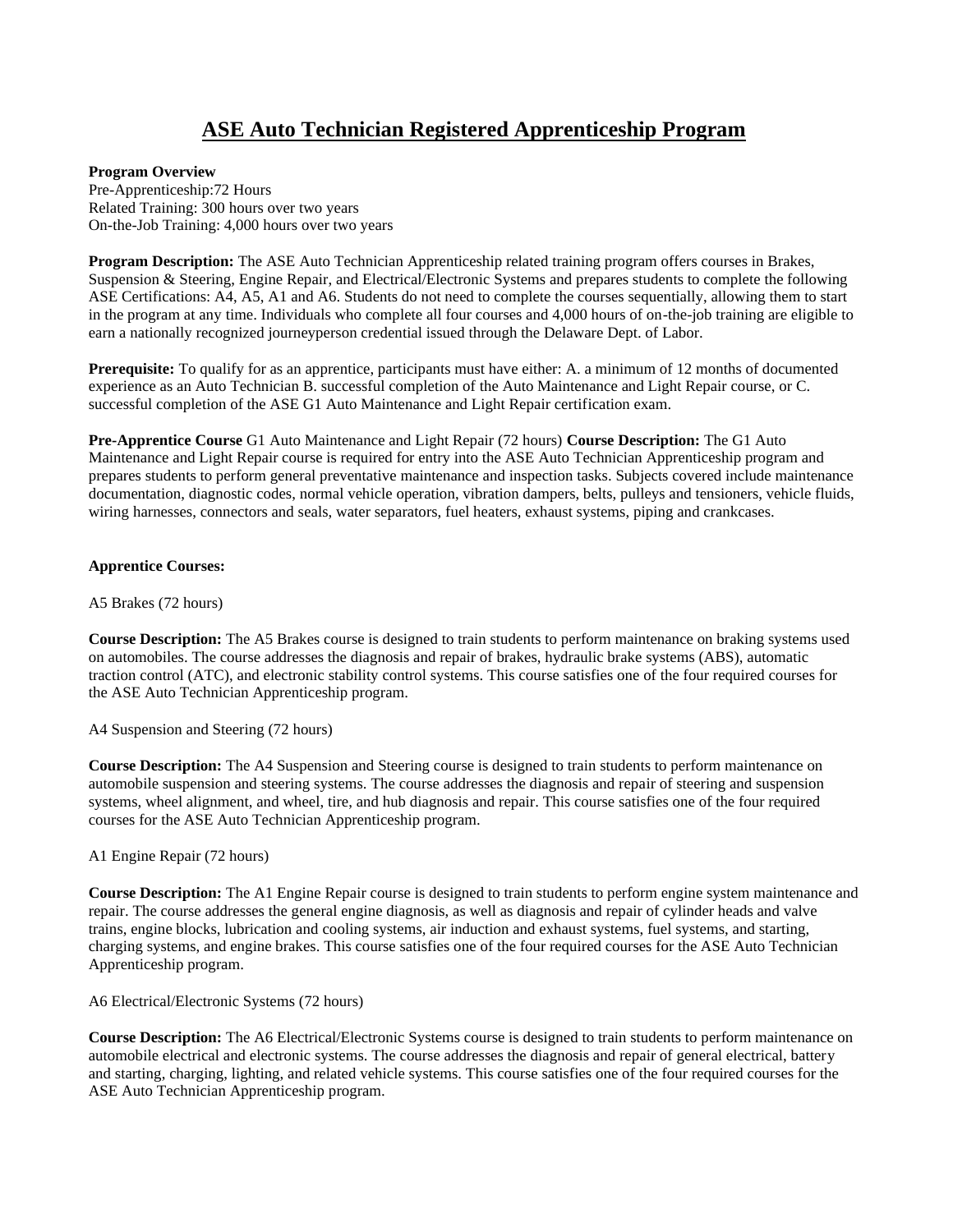## **ASE Auto Technician Registered Apprenticeship Program**

### **Program Overview**

Pre-Apprenticeship:72 Hours Related Training: 300 hours over two years On-the-Job Training: 4,000 hours over two years

**Program Description:** The ASE Auto Technician Apprenticeship related training program offers courses in Brakes, Suspension & Steering, Engine Repair, and Electrical/Electronic Systems and prepares students to complete the following ASE Certifications: A4, A5, A1 and A6. Students do not need to complete the courses sequentially, allowing them to start in the program at any time. Individuals who complete all four courses and 4,000 hours of on-the-job training are eligible to earn a nationally recognized journeyperson credential issued through the Delaware Dept. of Labor.

**Prerequisite:** To qualify for as an apprentice, participants must have either: A. a minimum of 12 months of documented experience as an Auto Technician B. successful completion of the Auto Maintenance and Light Repair course, or C. successful completion of the ASE G1 Auto Maintenance and Light Repair certification exam.

**Pre-Apprentice Course** G1 Auto Maintenance and Light Repair (72 hours) **Course Description:** The G1 Auto Maintenance and Light Repair course is required for entry into the ASE Auto Technician Apprenticeship program and prepares students to perform general preventative maintenance and inspection tasks. Subjects covered include maintenance documentation, diagnostic codes, normal vehicle operation, vibration dampers, belts, pulleys and tensioners, vehicle fluids, wiring harnesses, connectors and seals, water separators, fuel heaters, exhaust systems, piping and crankcases.

### **Apprentice Courses:**

A5 Brakes (72 hours)

**Course Description:** The A5 Brakes course is designed to train students to perform maintenance on braking systems used on automobiles. The course addresses the diagnosis and repair of brakes, hydraulic brake systems (ABS), automatic traction control (ATC), and electronic stability control systems. This course satisfies one of the four required courses for the ASE Auto Technician Apprenticeship program.

### A4 Suspension and Steering (72 hours)

**Course Description:** The A4 Suspension and Steering course is designed to train students to perform maintenance on automobile suspension and steering systems. The course addresses the diagnosis and repair of steering and suspension systems, wheel alignment, and wheel, tire, and hub diagnosis and repair. This course satisfies one of the four required courses for the ASE Auto Technician Apprenticeship program.

A1 Engine Repair (72 hours)

**Course Description:** The A1 Engine Repair course is designed to train students to perform engine system maintenance and repair. The course addresses the general engine diagnosis, as well as diagnosis and repair of cylinder heads and valve trains, engine blocks, lubrication and cooling systems, air induction and exhaust systems, fuel systems, and starting, charging systems, and engine brakes. This course satisfies one of the four required courses for the ASE Auto Technician Apprenticeship program.

### A6 Electrical/Electronic Systems (72 hours)

**Course Description:** The A6 Electrical/Electronic Systems course is designed to train students to perform maintenance on automobile electrical and electronic systems. The course addresses the diagnosis and repair of general electrical, battery and starting, charging, lighting, and related vehicle systems. This course satisfies one of the four required courses for the ASE Auto Technician Apprenticeship program.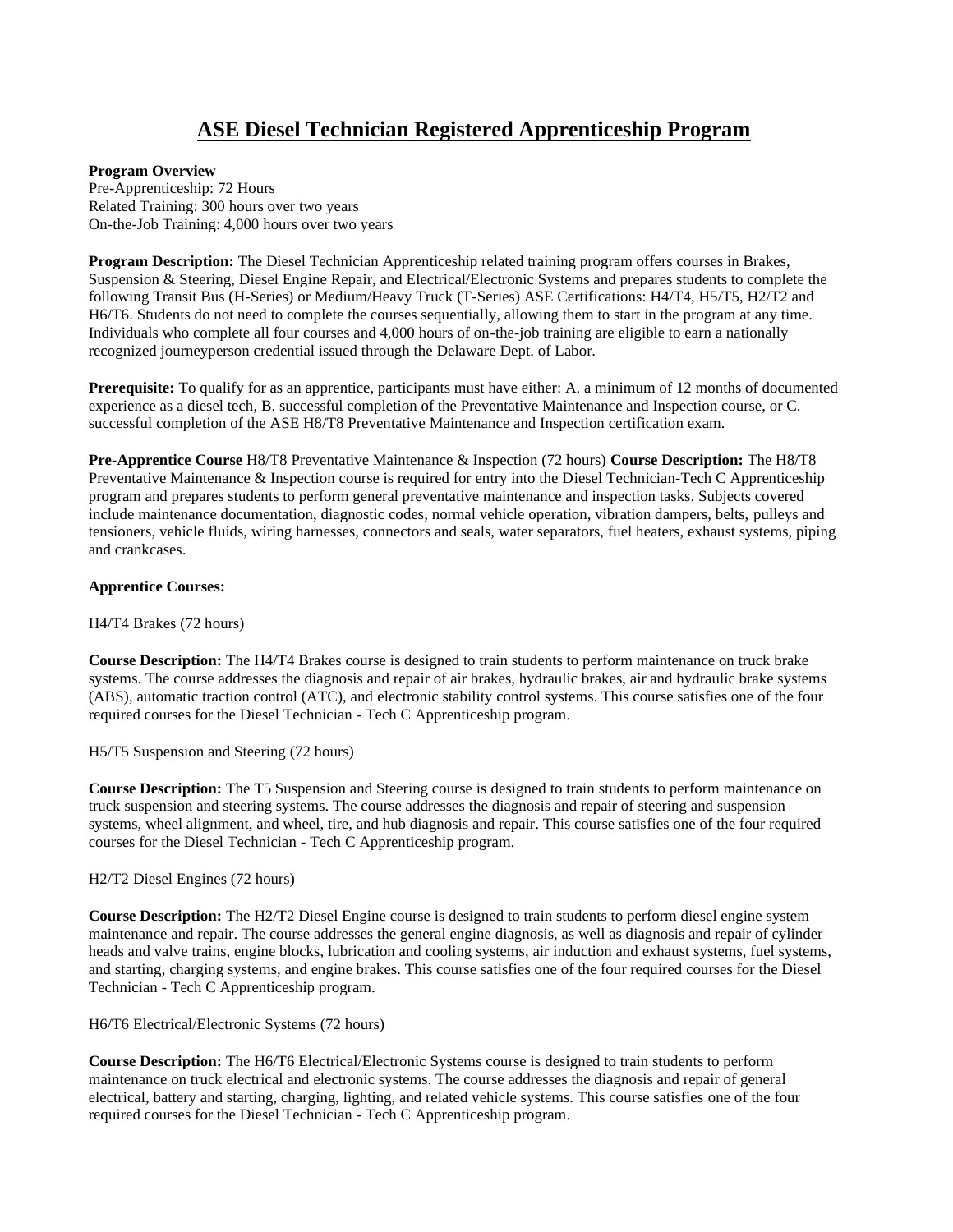## **ASE Diesel Technician Registered Apprenticeship Program**

### **Program Overview**

Pre-Apprenticeship: 72 Hours Related Training: 300 hours over two years On-the-Job Training: 4,000 hours over two years

**Program Description:** The Diesel Technician Apprenticeship related training program offers courses in Brakes, Suspension & Steering, Diesel Engine Repair, and Electrical/Electronic Systems and prepares students to complete the following Transit Bus (H-Series) or Medium/Heavy Truck (T-Series) ASE Certifications: H4/T4, H5/T5, H2/T2 and H6/T6. Students do not need to complete the courses sequentially, allowing them to start in the program at any time. Individuals who complete all four courses and 4,000 hours of on-the-job training are eligible to earn a nationally recognized journeyperson credential issued through the Delaware Dept. of Labor.

**Prerequisite:** To qualify for as an apprentice, participants must have either: A. a minimum of 12 months of documented experience as a diesel tech, B. successful completion of the Preventative Maintenance and Inspection course, or C. successful completion of the ASE H8/T8 Preventative Maintenance and Inspection certification exam.

**Pre-Apprentice Course** H8/T8 Preventative Maintenance & Inspection (72 hours) **Course Description:** The H8/T8 Preventative Maintenance & Inspection course is required for entry into the Diesel Technician-Tech C Apprenticeship program and prepares students to perform general preventative maintenance and inspection tasks. Subjects covered include maintenance documentation, diagnostic codes, normal vehicle operation, vibration dampers, belts, pulleys and tensioners, vehicle fluids, wiring harnesses, connectors and seals, water separators, fuel heaters, exhaust systems, piping and crankcases.

### **Apprentice Courses:**

H4/T4 Brakes (72 hours)

**Course Description:** The H4/T4 Brakes course is designed to train students to perform maintenance on truck brake systems. The course addresses the diagnosis and repair of air brakes, hydraulic brakes, air and hydraulic brake systems (ABS), automatic traction control (ATC), and electronic stability control systems. This course satisfies one of the four required courses for the Diesel Technician - Tech C Apprenticeship program.

H5/T5 Suspension and Steering (72 hours)

**Course Description:** The T5 Suspension and Steering course is designed to train students to perform maintenance on truck suspension and steering systems. The course addresses the diagnosis and repair of steering and suspension systems, wheel alignment, and wheel, tire, and hub diagnosis and repair. This course satisfies one of the four required courses for the Diesel Technician - Tech C Apprenticeship program.

H2/T2 Diesel Engines (72 hours)

**Course Description:** The H2/T2 Diesel Engine course is designed to train students to perform diesel engine system maintenance and repair. The course addresses the general engine diagnosis, as well as diagnosis and repair of cylinder heads and valve trains, engine blocks, lubrication and cooling systems, air induction and exhaust systems, fuel systems, and starting, charging systems, and engine brakes. This course satisfies one of the four required courses for the Diesel Technician - Tech C Apprenticeship program.

H6/T6 Electrical/Electronic Systems (72 hours)

**Course Description:** The H6/T6 Electrical/Electronic Systems course is designed to train students to perform maintenance on truck electrical and electronic systems. The course addresses the diagnosis and repair of general electrical, battery and starting, charging, lighting, and related vehicle systems. This course satisfies one of the four required courses for the Diesel Technician - Tech C Apprenticeship program.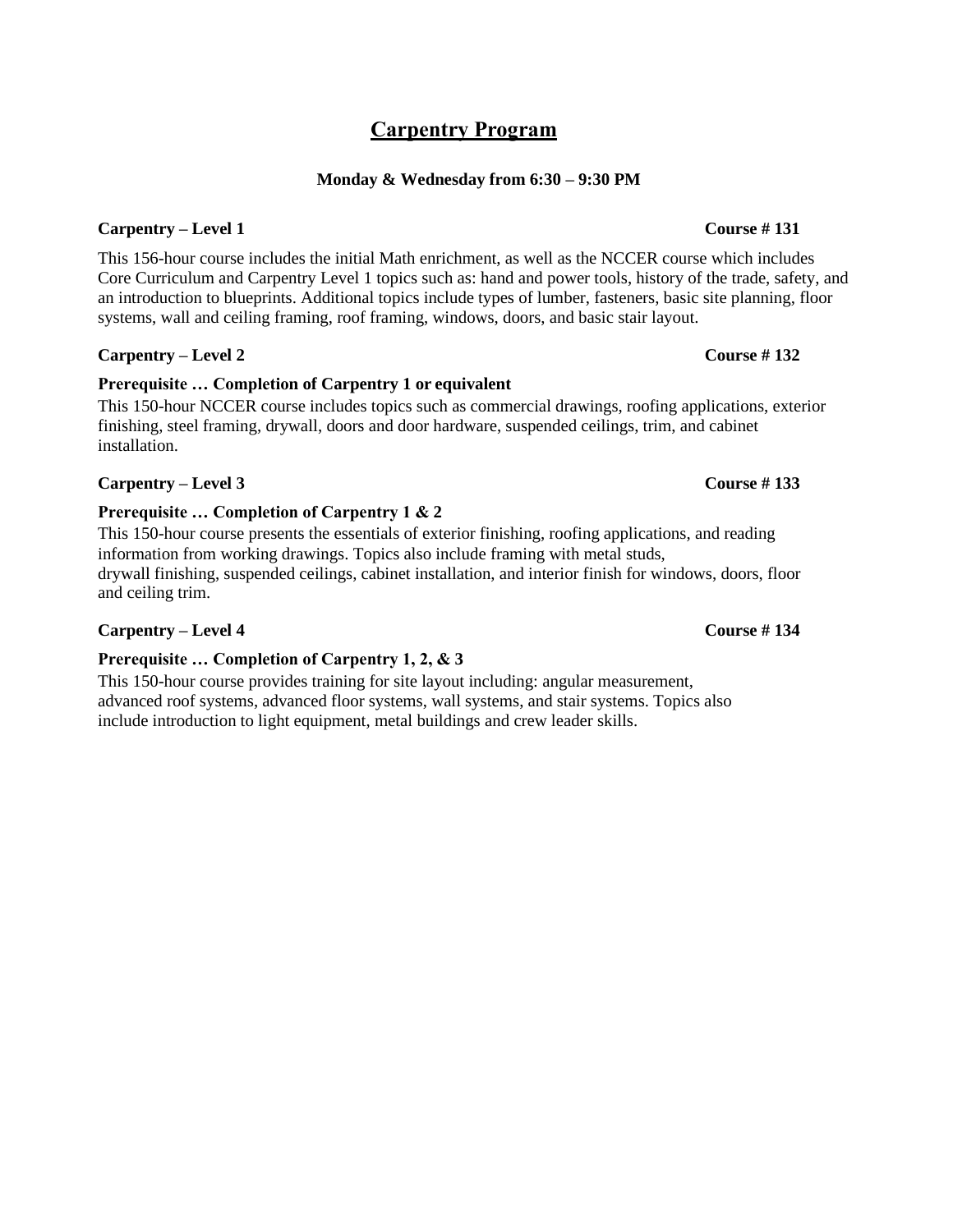## **Carpentry Program**

### **Monday & Wednesday from 6:30 – 9:30 PM**

### **Carpentry – Level 1 Course # 131**

This 156-hour course includes the initial Math enrichment, as well as the NCCER course which includes Core Curriculum and Carpentry Level 1 topics such as: hand and power tools, history of the trade, safety, and an introduction to blueprints. Additional topics include types of lumber, fasteners, basic site planning, floor systems, wall and ceiling framing, roof framing, windows, doors, and basic stair layout.

### **Carpentry – Level 2 Course # 132**

## **Prerequisite … Completion of Carpentry 1 or equivalent**

This 150-hour NCCER course includes topics such as commercial drawings, roofing applications, exterior finishing, steel framing, drywall, doors and door hardware, suspended ceilings, trim, and cabinet installation.

### **Carpentry – Level 3 Course # 133**

### **Prerequisite … Completion of Carpentry 1 & 2**

This 150-hour course presents the essentials of exterior finishing, roofing applications, and reading information from working drawings. Topics also include framing with metal studs, drywall finishing, suspended ceilings, cabinet installation, and interior finish for windows, doors, floor and ceiling trim.

### **Carpentry – Level 4 Course # 134**

### **Prerequisite … Completion of Carpentry 1, 2, & 3**

This 150-hour course provides training for site layout including: angular measurement, advanced roof systems, advanced floor systems, wall systems, and stair systems. Topics also include introduction to light equipment, metal buildings and crew leader skills.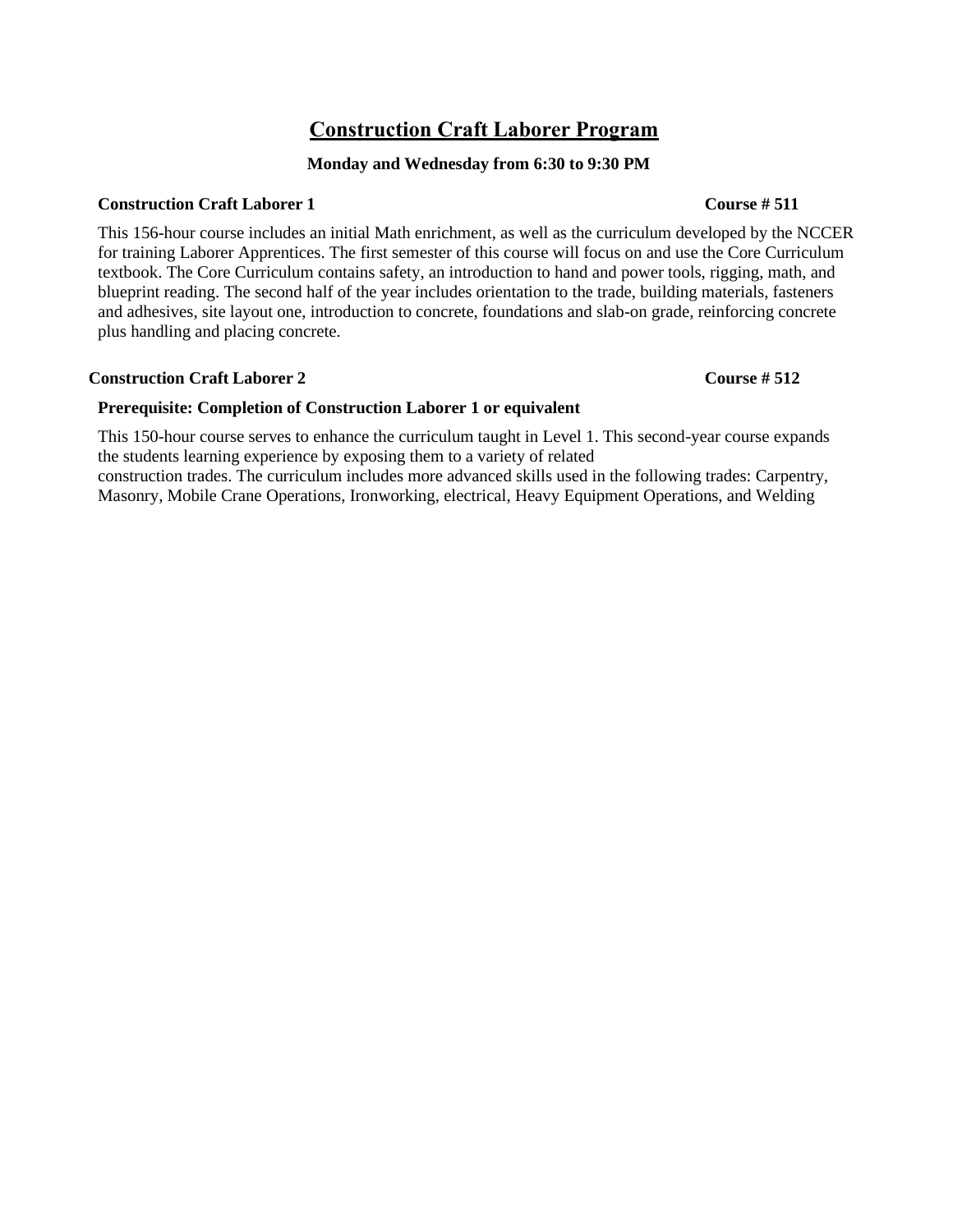## **Construction Craft Laborer Program**

### **Monday and Wednesday from 6:30 to 9:30 PM**

### **Construction Craft Laborer 1 Course # 511**

This 156-hour course includes an initial Math enrichment, as well as the curriculum developed by the NCCER for training Laborer Apprentices. The first semester of this course will focus on and use the Core Curriculum textbook. The Core Curriculum contains safety, an introduction to hand and power tools, rigging, math, and blueprint reading. The second half of the year includes orientation to the trade, building materials, fasteners and adhesives, site layout one, introduction to concrete, foundations and slab-on grade, reinforcing concrete plus handling and placing concrete.

### **Construction Craft Laborer 2 Course # 512**

### **Prerequisite: Completion of Construction Laborer 1 or equivalent**

This 150-hour course serves to enhance the curriculum taught in Level 1. This second-year course expands the students learning experience by exposing them to a variety of related

construction trades. The curriculum includes more advanced skills used in the following trades: Carpentry, Masonry, Mobile Crane Operations, Ironworking, electrical, Heavy Equipment Operations, and Welding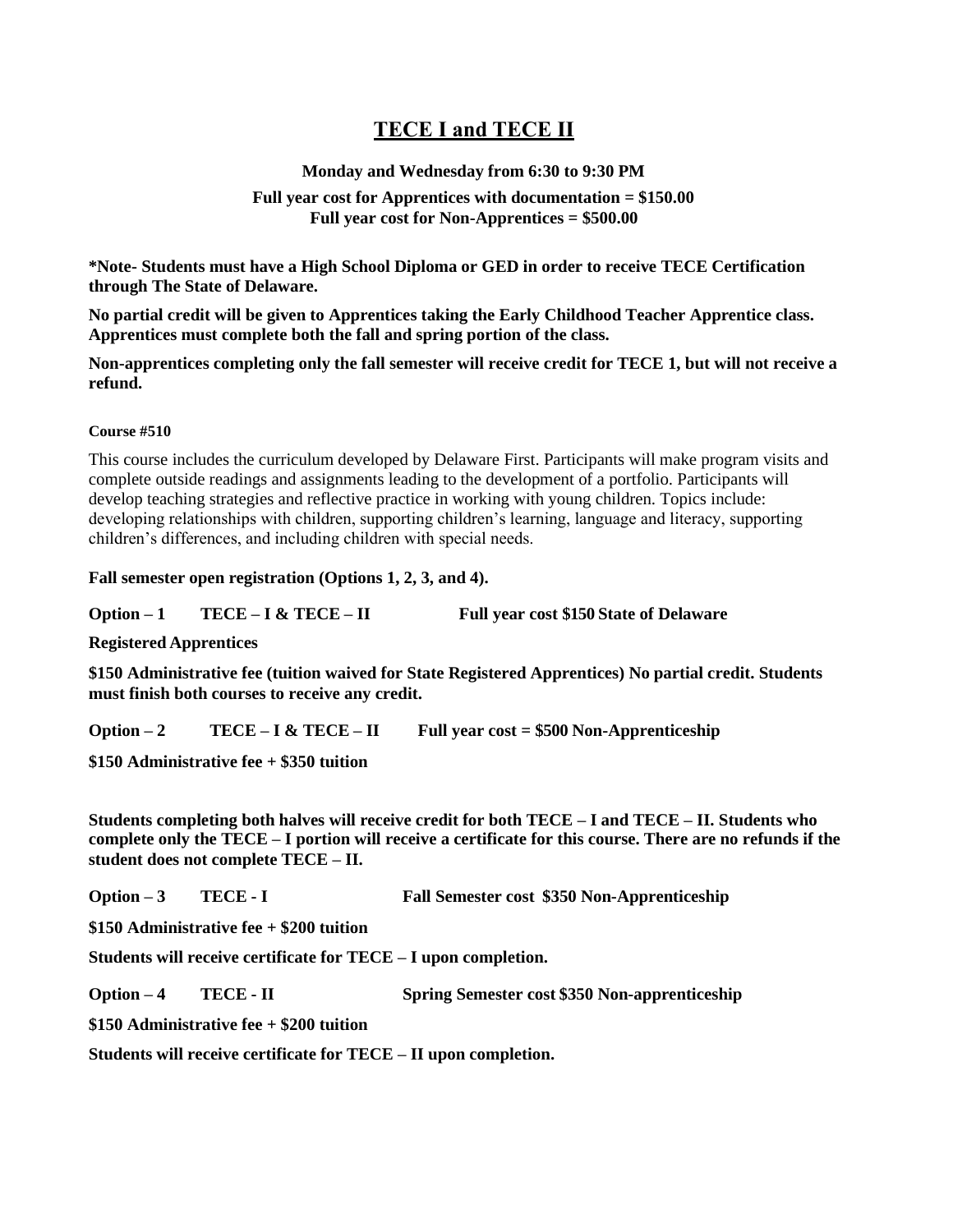## **TECE I and TECE II**

### **Monday and Wednesday from 6:30 to 9:30 PM**

### **Full year cost for Apprentices with documentation = \$150.00 Full year cost for Non-Apprentices = \$500.00**

**\*Note- Students must have a High School Diploma or GED in order to receive TECE Certification through The State of Delaware.**

**No partial credit will be given to Apprentices taking the Early Childhood Teacher Apprentice class. Apprentices must complete both the fall and spring portion of the class.**

**Non-apprentices completing only the fall semester will receive credit for TECE 1, but will not receive a refund.**

### **Course #510**

This course includes the curriculum developed by Delaware First. Participants will make program visits and complete outside readings and assignments leading to the development of a portfolio. Participants will develop teaching strategies and reflective practice in working with young children. Topics include: developing relationships with children, supporting children's learning, language and literacy, supporting children's differences, and including children with special needs.

**Fall semester open registration (Options 1, 2, 3, and 4).**

**Option – 1 TECE – I & TECE – II Full year cost \$150 State of Delaware** 

**Registered Apprentices**

**\$150 Administrative fee (tuition waived for State Registered Apprentices) No partial credit. Students must finish both courses to receive any credit.**

**Option – 2 TECE – I & TECE – II Full year cost = \$500 Non-Apprenticeship**

**\$150 Administrative fee + \$350 tuition**

**Students completing both halves will receive credit for both TECE – I and TECE – II. Students who complete only the TECE – I portion will receive a certificate for this course. There are no refunds if the student does not complete TECE – II.**

**Option – 3 TECE - I Fall Semester cost \$350 Non-Apprenticeship**

**\$150 Administrative fee + \$200 tuition**

**Students will receive certificate for TECE – I upon completion.**

**Option – 4 TECE - II Spring Semester cost \$350 Non-apprenticeship**

**\$150 Administrative fee + \$200 tuition**

**Students will receive certificate for TECE – II upon completion.**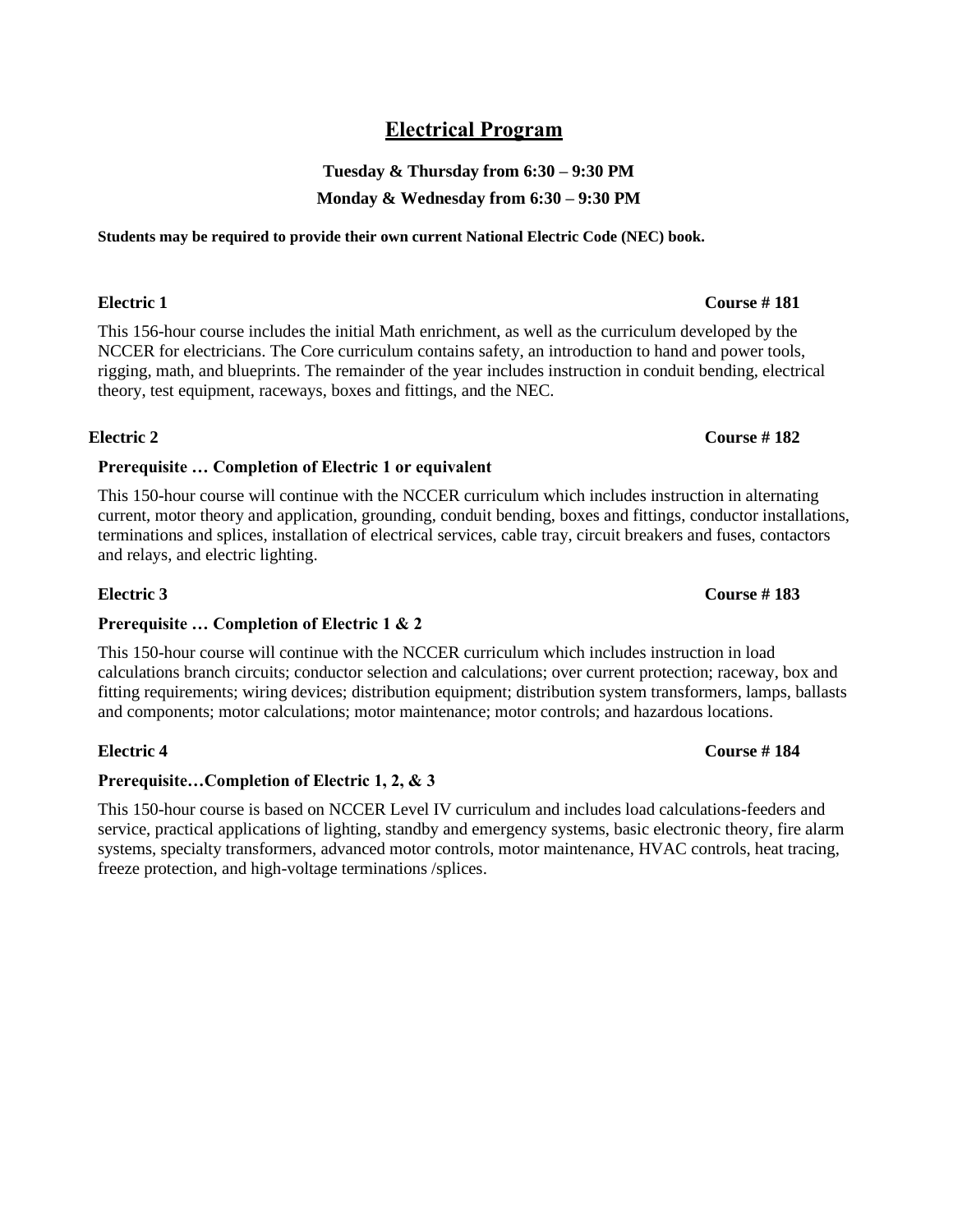## **Electrical Program**

## **Tuesday & Thursday from 6:30 – 9:30 PM Monday & Wednesday from 6:30 – 9:30 PM**

**Students may be required to provide their own current National Electric Code (NEC) book.**

This 156-hour course includes the initial Math enrichment, as well as the curriculum developed by the NCCER for electricians. The Core curriculum contains safety, an introduction to hand and power tools, rigging, math, and blueprints. The remainder of the year includes instruction in conduit bending, electrical theory, test equipment, raceways, boxes and fittings, and the NEC.

### **Electric 2 Course # 182**

### **Prerequisite … Completion of Electric 1 or equivalent**

This 150-hour course will continue with the NCCER curriculum which includes instruction in alternating current, motor theory and application, grounding, conduit bending, boxes and fittings, conductor installations, terminations and splices, installation of electrical services, cable tray, circuit breakers and fuses, contactors and relays, and electric lighting.

### **Electric 3 Course # 183**

### **Prerequisite … Completion of Electric 1 & 2**

This 150-hour course will continue with the NCCER curriculum which includes instruction in load calculations branch circuits; conductor selection and calculations; over current protection; raceway, box and fitting requirements; wiring devices; distribution equipment; distribution system transformers, lamps, ballasts and components; motor calculations; motor maintenance; motor controls; and hazardous locations.

### **Prerequisite…Completion of Electric 1, 2, & 3**

This 150-hour course is based on NCCER Level IV curriculum and includes load calculations-feeders and service, practical applications of lighting, standby and emergency systems, basic electronic theory, fire alarm systems, specialty transformers, advanced motor controls, motor maintenance, HVAC controls, heat tracing, freeze protection, and high-voltage terminations /splices.

### **Electric 4 Course # 184**

### **Electric 1 Course # 181**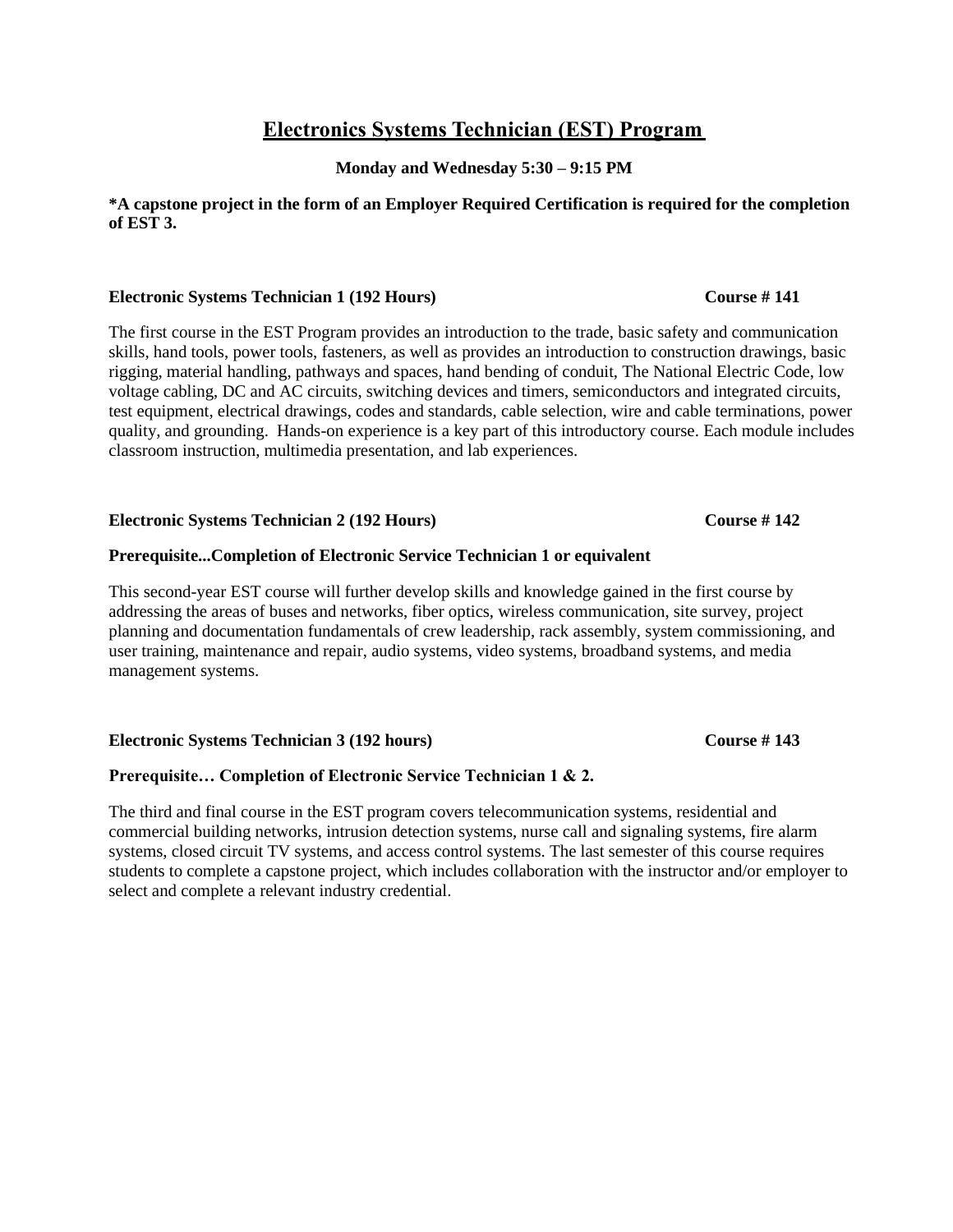## **Electronics Systems Technician (EST) Program**

**Monday and Wednesday 5:30 – 9:15 PM**

### **\*A capstone project in the form of an Employer Required Certification is required for the completion of EST 3.**

### **Electronic Systems Technician 1 (192 Hours) Course # 141**

The first course in the EST Program provides an introduction to the trade, basic safety and communication skills, hand tools, power tools, fasteners, as well as provides an introduction to construction drawings, basic rigging, material handling, pathways and spaces, hand bending of conduit, The National Electric Code, low voltage cabling, DC and AC circuits, switching devices and timers, semiconductors and integrated circuits, test equipment, electrical drawings, codes and standards, cable selection, wire and cable terminations, power quality, and grounding. Hands-on experience is a key part of this introductory course. Each module includes classroom instruction, multimedia presentation, and lab experiences.

### **Electronic Systems Technician 2 (192 Hours) Course # 142**

### **Prerequisite...Completion of Electronic Service Technician 1 or equivalent**

This second-year EST course will further develop skills and knowledge gained in the first course by addressing the areas of buses and networks, fiber optics, wireless communication, site survey, project planning and documentation fundamentals of crew leadership, rack assembly, system commissioning, and user training, maintenance and repair, audio systems, video systems, broadband systems, and media management systems.

### **Electronic Systems Technician 3 (192 hours) Course # 143**

### **Prerequisite… Completion of Electronic Service Technician 1 & 2.**

The third and final course in the EST program covers telecommunication systems, residential and commercial building networks, intrusion detection systems, nurse call and signaling systems, fire alarm systems, closed circuit TV systems, and access control systems. The last semester of this course requires students to complete a capstone project, which includes collaboration with the instructor and/or employer to select and complete a relevant industry credential.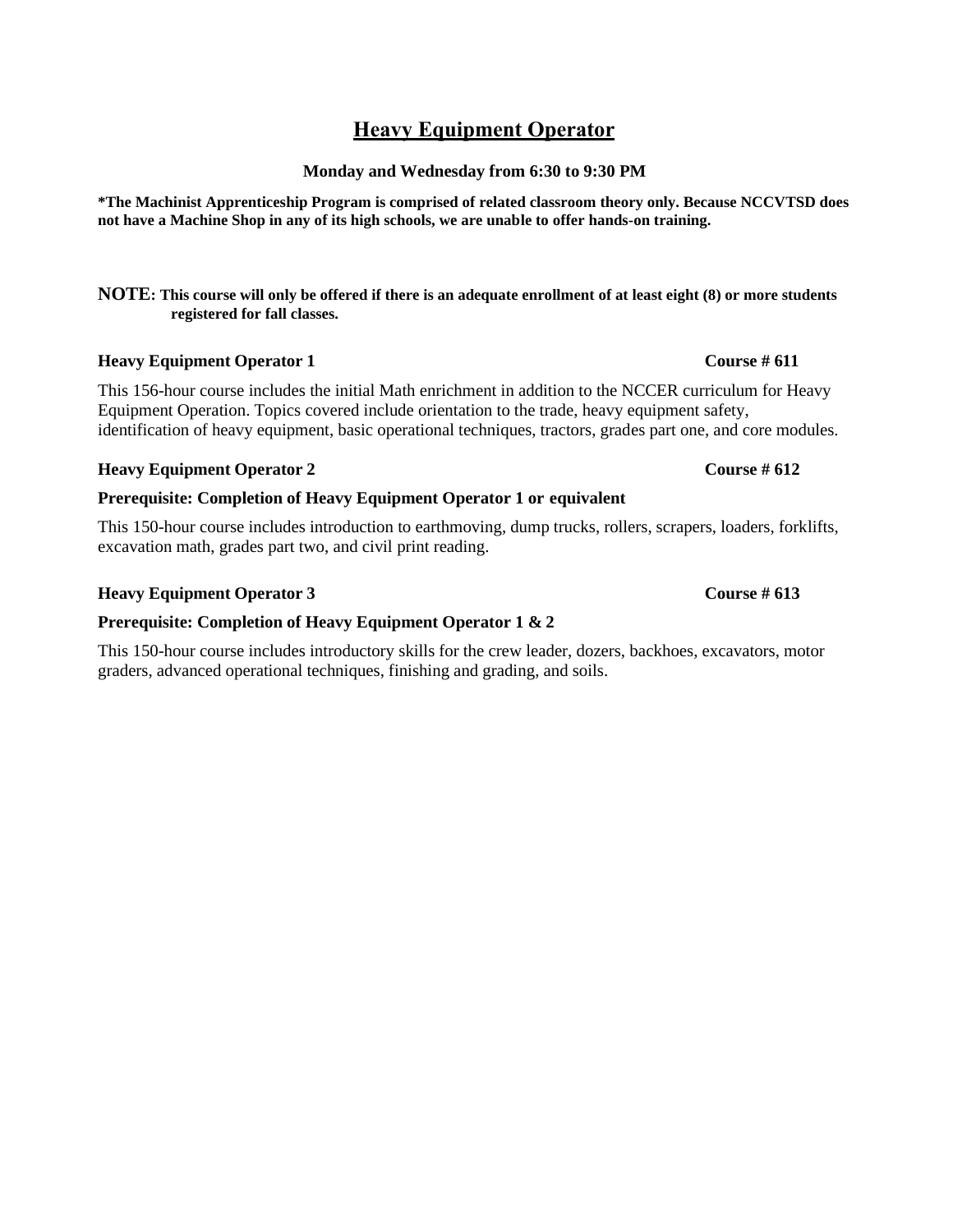## **Heavy Equipment Operator**

### **Monday and Wednesday from 6:30 to 9:30 PM**

**\*The Machinist Apprenticeship Program is comprised of related classroom theory only. Because NCCVTSD does not have a Machine Shop in any of its high schools, we are unable to offer hands-on training.**

### **NOTE: This course will only be offered if there is an adequate enrollment of at least eight (8) or more students registered for fall classes.**

### **Heavy Equipment Operator 1 Course # 611**

This 156-hour course includes the initial Math enrichment in addition to the NCCER curriculum for Heavy Equipment Operation. Topics covered include orientation to the trade, heavy equipment safety, identification of heavy equipment, basic operational techniques, tractors, grades part one, and core modules.

### **Heavy Equipment Operator 2 Course # 612**

### **Prerequisite: Completion of Heavy Equipment Operator 1 or equivalent**

This 150-hour course includes introduction to earthmoving, dump trucks, rollers, scrapers, loaders, forklifts, excavation math, grades part two, and civil print reading.

### **Heavy Equipment Operator 3 Course # 613**

### **Prerequisite: Completion of Heavy Equipment Operator 1 & 2**

This 150-hour course includes introductory skills for the crew leader, dozers, backhoes, excavators, motor graders, advanced operational techniques, finishing and grading, and soils.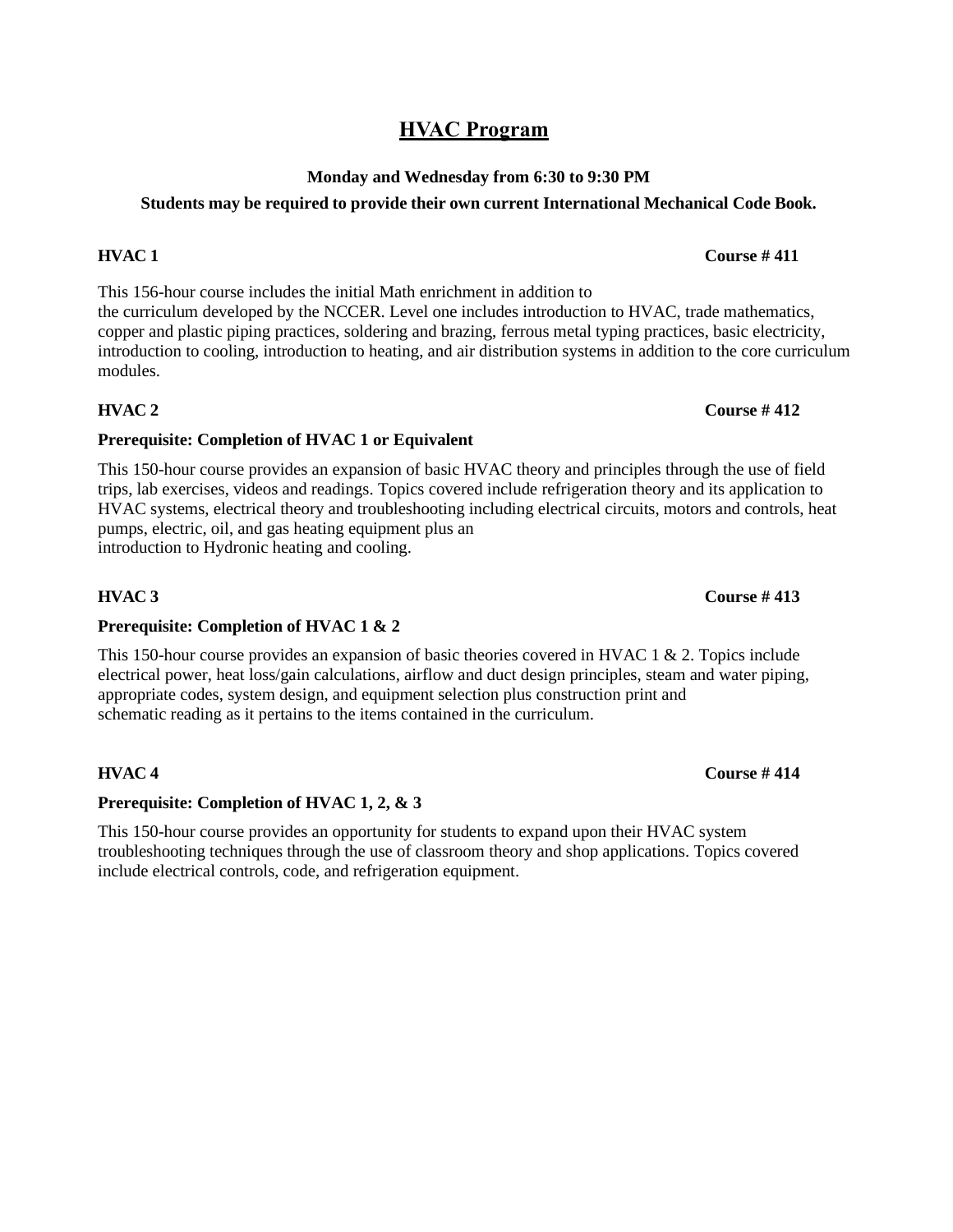## **HVAC Program**

## **Monday and Wednesday from 6:30 to 9:30 PM**

## **Students may be required to provide their own current International Mechanical Code Book.**

This 156-hour course includes the initial Math enrichment in addition to the curriculum developed by the NCCER. Level one includes introduction to HVAC, trade mathematics, copper and plastic piping practices, soldering and brazing, ferrous metal typing practices, basic electricity, introduction to cooling, introduction to heating, and air distribution systems in addition to the core curriculum modules.

### **HVAC 2 Course # 412**

### **Prerequisite: Completion of HVAC 1 or Equivalent**

This 150-hour course provides an expansion of basic HVAC theory and principles through the use of field trips, lab exercises, videos and readings. Topics covered include refrigeration theory and its application to HVAC systems, electrical theory and troubleshooting including electrical circuits, motors and controls, heat pumps, electric, oil, and gas heating equipment plus an introduction to Hydronic heating and cooling.

### **Prerequisite: Completion of HVAC 1 & 2**

This 150-hour course provides an expansion of basic theories covered in HVAC 1 & 2. Topics include electrical power, heat loss/gain calculations, airflow and duct design principles, steam and water piping, appropriate codes, system design, and equipment selection plus construction print and schematic reading as it pertains to the items contained in the curriculum.

### **HVAC 4 Course # 414**

### **Prerequisite: Completion of HVAC 1, 2, & 3**

This 150-hour course provides an opportunity for students to expand upon their HVAC system troubleshooting techniques through the use of classroom theory and shop applications. Topics covered include electrical controls, code, and refrigeration equipment.

### **HVAC 3 Course # 413**

### **HVAC 1 Course # 411**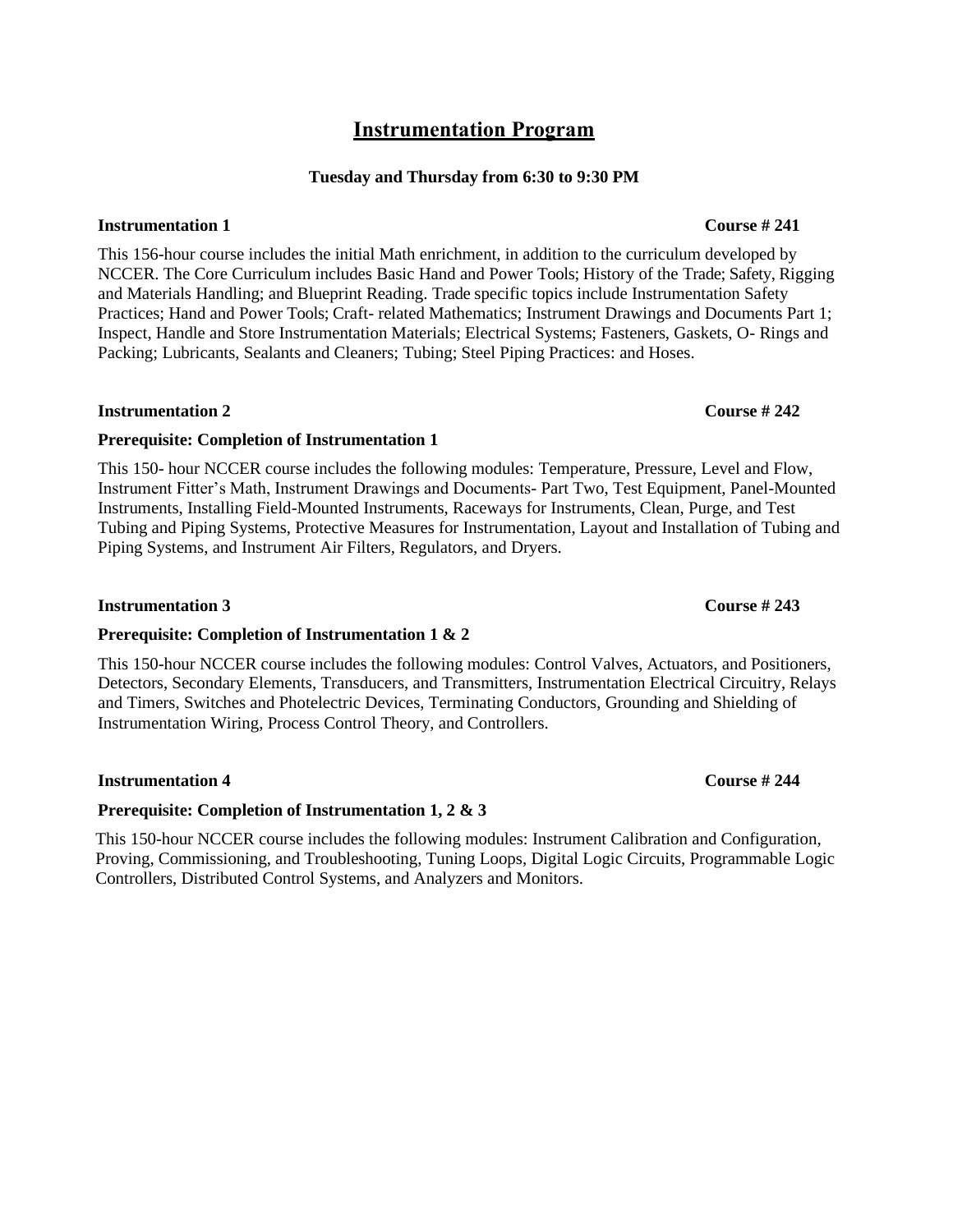## **Instrumentation Program**

### **Tuesday and Thursday from 6:30 to 9:30 PM**

### **Instrumentation 1 Course # 241**

This 156-hour course includes the initial Math enrichment, in addition to the curriculum developed by NCCER. The Core Curriculum includes Basic Hand and Power Tools; History of the Trade; Safety, Rigging and Materials Handling; and Blueprint Reading. Trade specific topics include Instrumentation Safety Practices; Hand and Power Tools; Craft- related Mathematics; Instrument Drawings and Documents Part 1; Inspect, Handle and Store Instrumentation Materials; Electrical Systems; Fasteners, Gaskets, O- Rings and Packing; Lubricants, Sealants and Cleaners; Tubing; Steel Piping Practices: and Hoses.

### **Instrumentation 2 Course # 242**

### **Prerequisite: Completion of Instrumentation 1**

This 150- hour NCCER course includes the following modules: Temperature, Pressure, Level and Flow, Instrument Fitter's Math, Instrument Drawings and Documents- Part Two, Test Equipment, Panel-Mounted Instruments, Installing Field-Mounted Instruments, Raceways for Instruments, Clean, Purge, and Test Tubing and Piping Systems, Protective Measures for Instrumentation, Layout and Installation of Tubing and Piping Systems, and Instrument Air Filters, Regulators, and Dryers.

### **Instrumentation 3 Course # 243**

### **Prerequisite: Completion of Instrumentation 1 & 2**

This 150-hour NCCER course includes the following modules: Control Valves, Actuators, and Positioners, Detectors, Secondary Elements, Transducers, and Transmitters, Instrumentation Electrical Circuitry, Relays and Timers, Switches and Photelectric Devices, Terminating Conductors, Grounding and Shielding of Instrumentation Wiring, Process Control Theory, and Controllers.

### **Instrumentation 4 Course # 244**

### **Prerequisite: Completion of Instrumentation 1, 2 & 3**

This 150-hour NCCER course includes the following modules: Instrument Calibration and Configuration, Proving, Commissioning, and Troubleshooting, Tuning Loops, Digital Logic Circuits, Programmable Logic Controllers, Distributed Control Systems, and Analyzers and Monitors.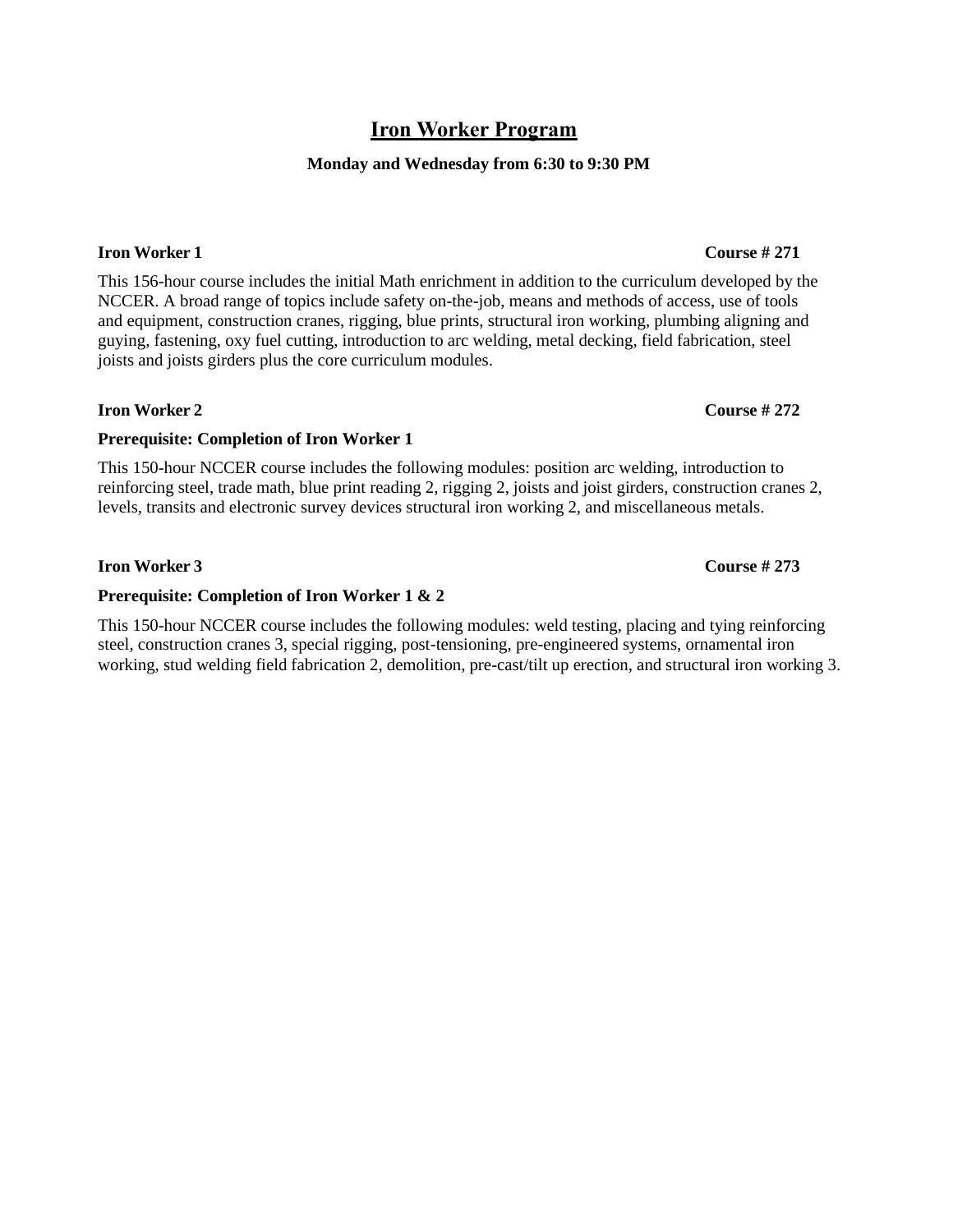## **Iron Worker Program**

### **Monday and Wednesday from 6:30 to 9:30 PM**

### **Iron Worker 1 Course # 271**

This 156-hour course includes the initial Math enrichment in addition to the curriculum developed by the NCCER. A broad range of topics include safety on-the-job, means and methods of access, use of tools and equipment, construction cranes, rigging, blue prints, structural iron working, plumbing aligning and guying, fastening, oxy fuel cutting, introduction to arc welding, metal decking, field fabrication, steel joists and joists girders plus the core curriculum modules.

### **Iron Worker 2 Course # 272**

### **Prerequisite: Completion of Iron Worker 1**

This 150-hour NCCER course includes the following modules: position arc welding, introduction to reinforcing steel, trade math, blue print reading 2, rigging 2, joists and joist girders, construction cranes 2, levels, transits and electronic survey devices structural iron working 2, and miscellaneous metals.

### **Iron Worker 3 Course # 273**

### **Prerequisite: Completion of Iron Worker 1 & 2**

This 150-hour NCCER course includes the following modules: weld testing, placing and tying reinforcing steel, construction cranes 3, special rigging, post-tensioning, pre-engineered systems, ornamental iron working, stud welding field fabrication 2, demolition, pre-cast/tilt up erection, and structural iron working 3.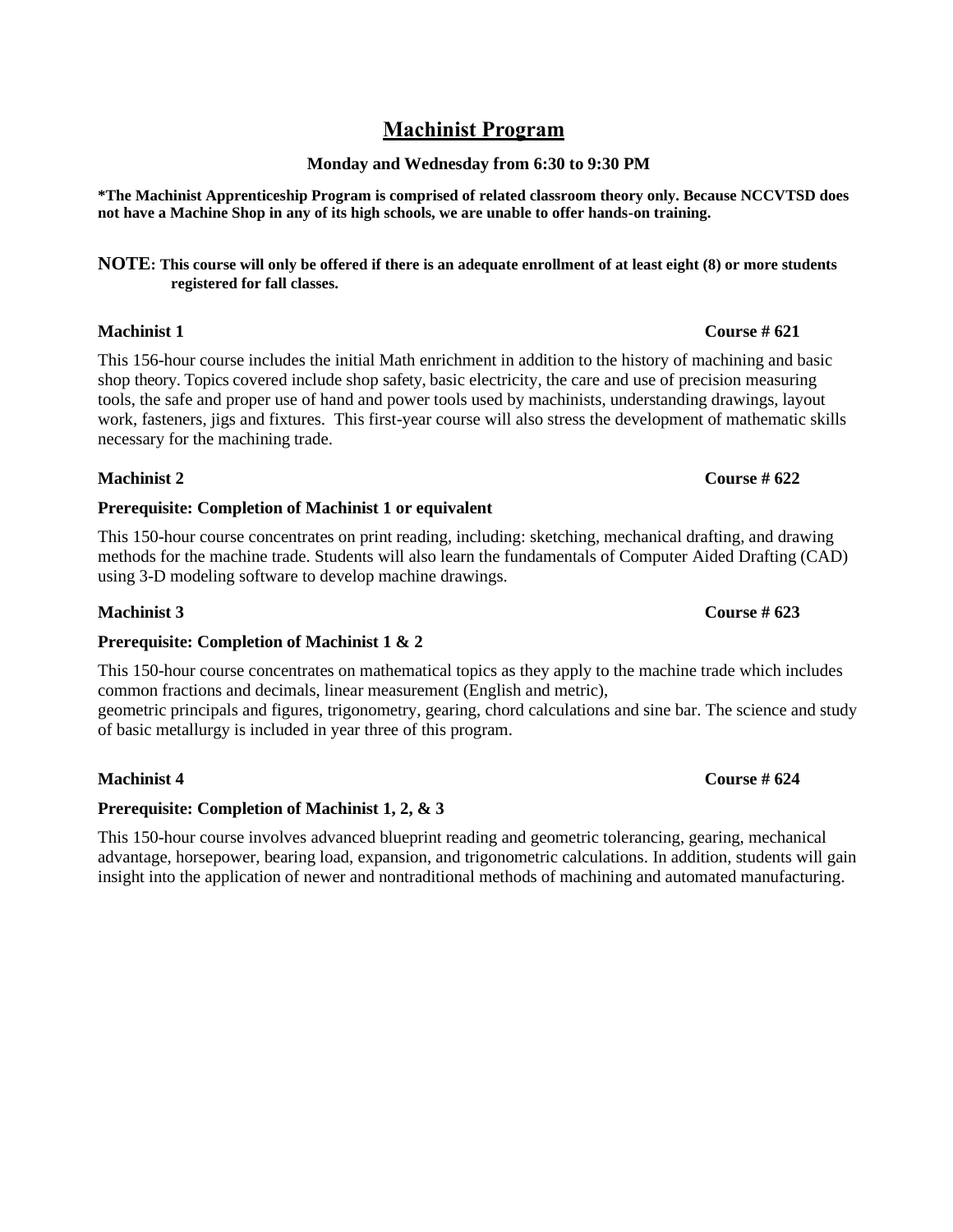## **Machinist Program**

### **Monday and Wednesday from 6:30 to 9:30 PM**

**\*The Machinist Apprenticeship Program is comprised of related classroom theory only. Because NCCVTSD does not have a Machine Shop in any of its high schools, we are unable to offer hands-on training.**

**NOTE: This course will only be offered if there is an adequate enrollment of at least eight (8) or more students registered for fall classes.**

### **Machinist 1 Course # 621**

This 156-hour course includes the initial Math enrichment in addition to the history of machining and basic shop theory. Topics covered include shop safety, basic electricity, the care and use of precision measuring tools, the safe and proper use of hand and power tools used by machinists, understanding drawings, layout work, fasteners, jigs and fixtures. This first-year course will also stress the development of mathematic skills necessary for the machining trade.

## **Prerequisite: Completion of Machinist 1 or equivalent**

This 150-hour course concentrates on print reading, including: sketching, mechanical drafting, and drawing methods for the machine trade. Students will also learn the fundamentals of Computer Aided Drafting (CAD) using 3-D modeling software to develop machine drawings.

### **Machinist 3 Course # 623**

### **Prerequisite: Completion of Machinist 1 & 2**

This 150-hour course concentrates on mathematical topics as they apply to the machine trade which includes common fractions and decimals, linear measurement (English and metric), geometric principals and figures, trigonometry, gearing, chord calculations and sine bar. The science and study of basic metallurgy is included in year three of this program.

### **Prerequisite: Completion of Machinist 1, 2, & 3**

This 150-hour course involves advanced blueprint reading and geometric tolerancing, gearing, mechanical advantage, horsepower, bearing load, expansion, and trigonometric calculations. In addition, students will gain insight into the application of newer and nontraditional methods of machining and automated manufacturing.

## **Machinist 2 Course # 622**

### **Machinist 4 Course # 624**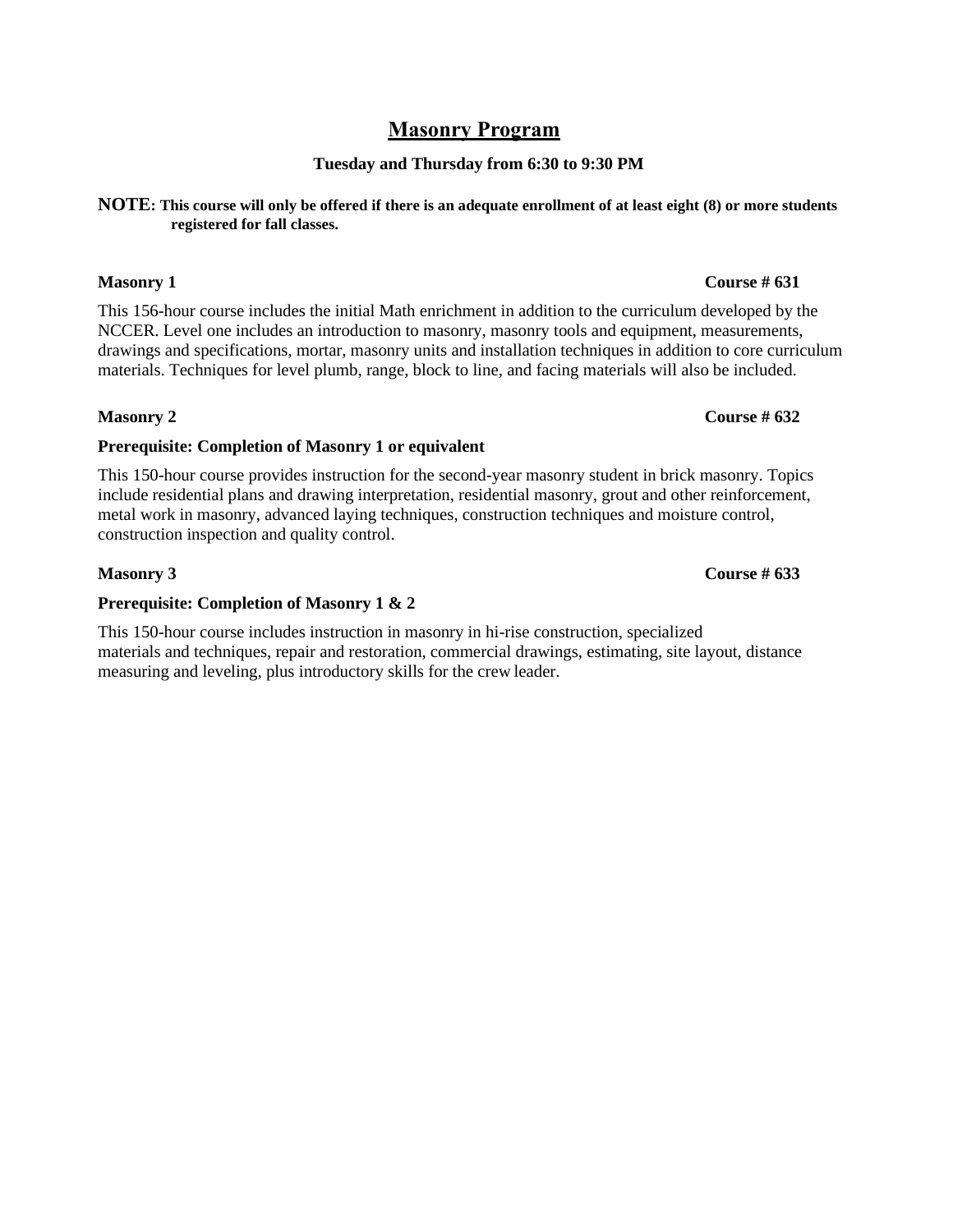## **Masonry Program**

### **Tuesday and Thursday from 6:30 to 9:30 PM**

### **NOTE: This course will only be offered if there is an adequate enrollment of at least eight (8) or more students registered for fall classes.**

This 156-hour course includes the initial Math enrichment in addition to the curriculum developed by the NCCER. Level one includes an introduction to masonry, masonry tools and equipment, measurements, drawings and specifications, mortar, masonry units and installation techniques in addition to core curriculum materials. Techniques for level plumb, range, block to line, and facing materials will also be included.

### **Masonry 2 Course # 632**

### **Prerequisite: Completion of Masonry 1 or equivalent**

This 150-hour course provides instruction for the second-year masonry student in brick masonry. Topics include residential plans and drawing interpretation, residential masonry, grout and other reinforcement, metal work in masonry, advanced laying techniques, construction techniques and moisture control, construction inspection and quality control.

### **Prerequisite: Completion of Masonry 1 & 2**

This 150-hour course includes instruction in masonry in hi-rise construction, specialized materials and techniques, repair and restoration, commercial drawings, estimating, site layout, distance measuring and leveling, plus introductory skills for the crew leader.

### **Masonry 1 Course # 631**

**Masonry 3 Course # 633**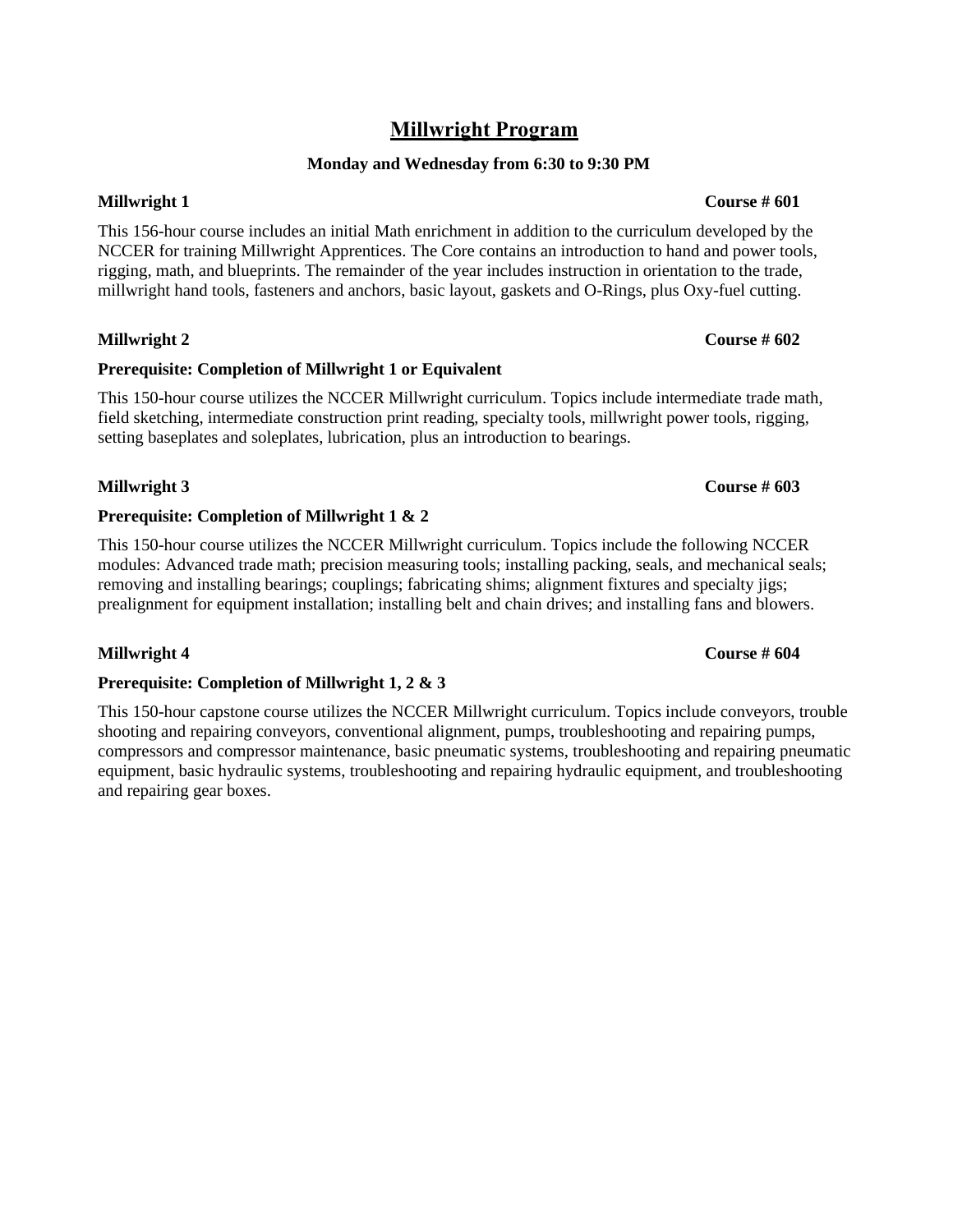## **Millwright Program**

### **Monday and Wednesday from 6:30 to 9:30 PM**

This 156-hour course includes an initial Math enrichment in addition to the curriculum developed by the NCCER for training Millwright Apprentices. The Core contains an introduction to hand and power tools, rigging, math, and blueprints. The remainder of the year includes instruction in orientation to the trade, millwright hand tools, fasteners and anchors, basic layout, gaskets and O-Rings, plus Oxy-fuel cutting.

### **Millwright 2 Course # 602**

### **Prerequisite: Completion of Millwright 1 or Equivalent**

This 150-hour course utilizes the NCCER Millwright curriculum. Topics include intermediate trade math, field sketching, intermediate construction print reading, specialty tools, millwright power tools, rigging, setting baseplates and soleplates, lubrication, plus an introduction to bearings.

### **Millwright 3 Course # 603**

### **Prerequisite: Completion of Millwright 1 & 2**

This 150-hour course utilizes the NCCER Millwright curriculum. Topics include the following NCCER modules: Advanced trade math; precision measuring tools; installing packing, seals, and mechanical seals; removing and installing bearings; couplings; fabricating shims; alignment fixtures and specialty jigs; prealignment for equipment installation; installing belt and chain drives; and installing fans and blowers.

### **Millwright 4 Course # 604**

### **Prerequisite: Completion of Millwright 1, 2 & 3**

This 150-hour capstone course utilizes the NCCER Millwright curriculum. Topics include conveyors, trouble shooting and repairing conveyors, conventional alignment, pumps, troubleshooting and repairing pumps, compressors and compressor maintenance, basic pneumatic systems, troubleshooting and repairing pneumatic equipment, basic hydraulic systems, troubleshooting and repairing hydraulic equipment, and troubleshooting and repairing gear boxes.

### **Millwright 1 Course # 601**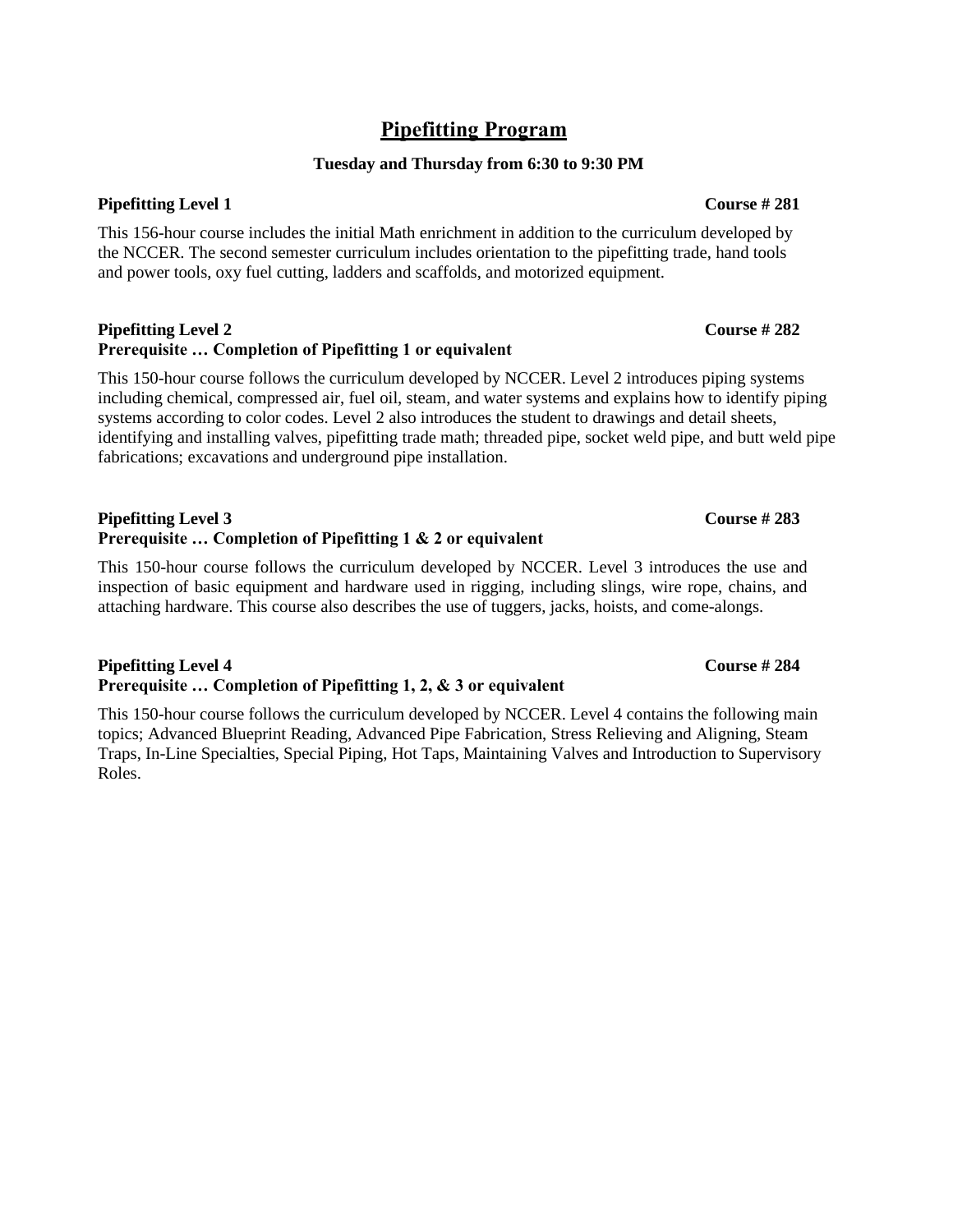## **Pipefitting Program**

### **Tuesday and Thursday from 6:30 to 9:30 PM**

This 156-hour course includes the initial Math enrichment in addition to the curriculum developed by the NCCER. The second semester curriculum includes orientation to the pipefitting trade, hand tools and power tools, oxy fuel cutting, ladders and scaffolds, and motorized equipment.

### **Pipefitting Level 2 Course # 282 Prerequisite … Completion of Pipefitting 1 or equivalent**

This 150-hour course follows the curriculum developed by NCCER. Level 2 introduces piping systems including chemical, compressed air, fuel oil, steam, and water systems and explains how to identify piping systems according to color codes. Level 2 also introduces the student to drawings and detail sheets, identifying and installing valves, pipefitting trade math; threaded pipe, socket weld pipe, and butt weld pipe fabrications; excavations and underground pipe installation.

### **Pipefitting Level 3 Course # 283 Prerequisite … Completion of Pipefitting 1 & 2 or equivalent**

This 150-hour course follows the curriculum developed by NCCER. Level 3 introduces the use and inspection of basic equipment and hardware used in rigging, including slings, wire rope, chains, and attaching hardware. This course also describes the use of tuggers, jacks, hoists, and come-alongs.

### **Pipefitting Level 4 Course # 284 Prerequisite … Completion of Pipefitting 1, 2, & 3 or equivalent**

This 150-hour course follows the curriculum developed by NCCER. Level 4 contains the following main topics; Advanced Blueprint Reading, Advanced Pipe Fabrication, Stress Relieving and Aligning, Steam Traps, In-Line Specialties, Special Piping, Hot Taps, Maintaining Valves and Introduction to Supervisory Roles.

**Pipefitting Level 1 Course # 281**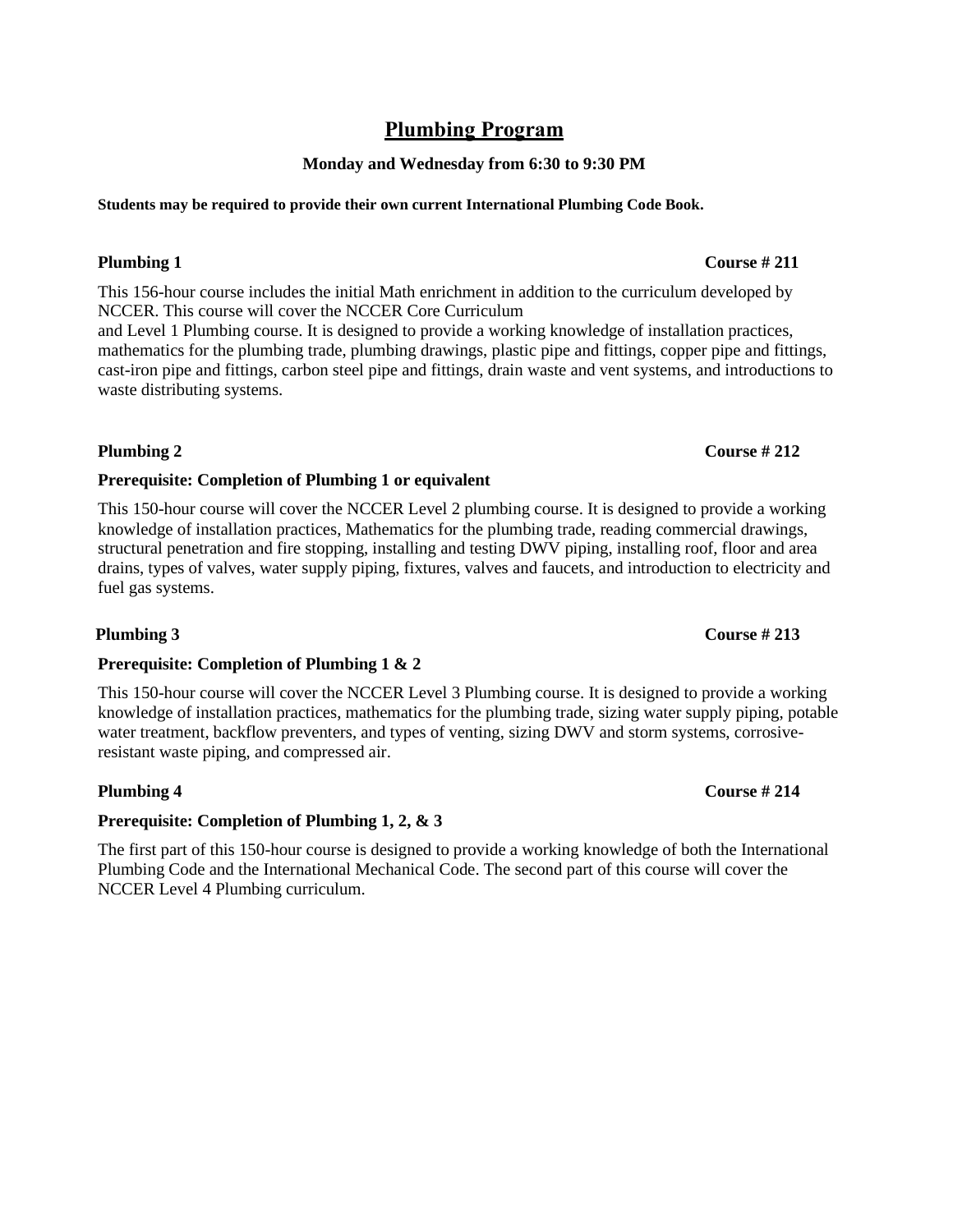## **Plumbing Program**

### **Monday and Wednesday from 6:30 to 9:30 PM**

### **Students may be required to provide their own current International Plumbing Code Book.**

### **Plumbing 1 Course # 211**

This 156-hour course includes the initial Math enrichment in addition to the curriculum developed by NCCER. This course will cover the NCCER Core Curriculum

and Level 1 Plumbing course. It is designed to provide a working knowledge of installation practices, mathematics for the plumbing trade, plumbing drawings, plastic pipe and fittings, copper pipe and fittings, cast-iron pipe and fittings, carbon steel pipe and fittings, drain waste and vent systems, and introductions to waste distributing systems.

### **Plumbing 2 Course # 212**

### **Prerequisite: Completion of Plumbing 1 or equivalent**

This 150-hour course will cover the NCCER Level 2 plumbing course. It is designed to provide a working knowledge of installation practices, Mathematics for the plumbing trade, reading commercial drawings, structural penetration and fire stopping, installing and testing DWV piping, installing roof, floor and area drains, types of valves, water supply piping, fixtures, valves and faucets, and introduction to electricity and fuel gas systems.

### **Plumbing 3 Course # 213**

### **Prerequisite: Completion of Plumbing 1 & 2**

This 150-hour course will cover the NCCER Level 3 Plumbing course. It is designed to provide a working knowledge of installation practices, mathematics for the plumbing trade, sizing water supply piping, potable water treatment, backflow preventers, and types of venting, sizing DWV and storm systems, corrosiveresistant waste piping, and compressed air.

### **Prerequisite: Completion of Plumbing 1, 2, & 3**

The first part of this 150-hour course is designed to provide a working knowledge of both the International Plumbing Code and the International Mechanical Code. The second part of this course will cover the NCCER Level 4 Plumbing curriculum.

### **Plumbing 4 Course # 214**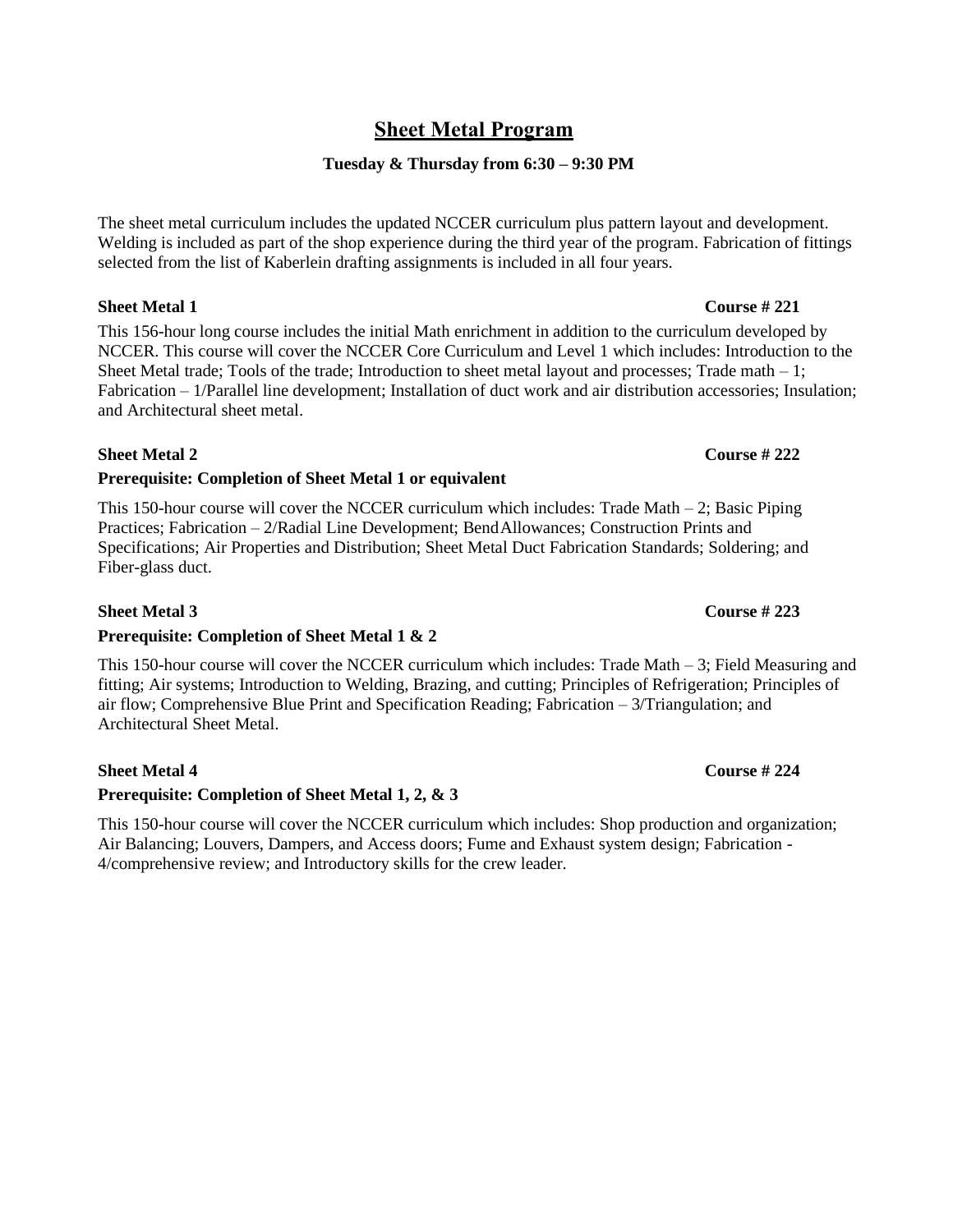## **Sheet Metal Program**

### **Tuesday & Thursday from 6:30 – 9:30 PM**

The sheet metal curriculum includes the updated NCCER curriculum plus pattern layout and development. Welding is included as part of the shop experience during the third year of the program. Fabrication of fittings selected from the list of Kaberlein drafting assignments is included in all four years.

This 156-hour long course includes the initial Math enrichment in addition to the curriculum developed by NCCER. This course will cover the NCCER Core Curriculum and Level 1 which includes: Introduction to the Sheet Metal trade; Tools of the trade; Introduction to sheet metal layout and processes; Trade math  $-1$ ; Fabrication – 1/Parallel line development; Installation of duct work and air distribution accessories; Insulation; and Architectural sheet metal.

### **Sheet Metal 2 Course # 222**

### **Prerequisite: Completion of Sheet Metal 1 or equivalent**

This 150-hour course will cover the NCCER curriculum which includes: Trade Math – 2; Basic Piping Practices; Fabrication – 2/Radial Line Development; BendAllowances; Construction Prints and Specifications; Air Properties and Distribution; Sheet Metal Duct Fabrication Standards; Soldering; and Fiber-glass duct.

### **Sheet Metal 3 Course # 223**

### **Prerequisite: Completion of Sheet Metal 1 & 2**

This 150-hour course will cover the NCCER curriculum which includes: Trade Math  $-3$ ; Field Measuring and fitting; Air systems; Introduction to Welding, Brazing, and cutting; Principles of Refrigeration; Principles of air flow; Comprehensive Blue Print and Specification Reading; Fabrication – 3/Triangulation; and Architectural Sheet Metal.

### **Sheet Metal 4 Course # 224**

### **Prerequisite: Completion of Sheet Metal 1, 2, & 3**

This 150-hour course will cover the NCCER curriculum which includes: Shop production and organization; Air Balancing; Louvers, Dampers, and Access doors; Fume and Exhaust system design; Fabrication - 4/comprehensive review; and Introductory skills for the crew leader.

### **Sheet Metal 1 Course # 221**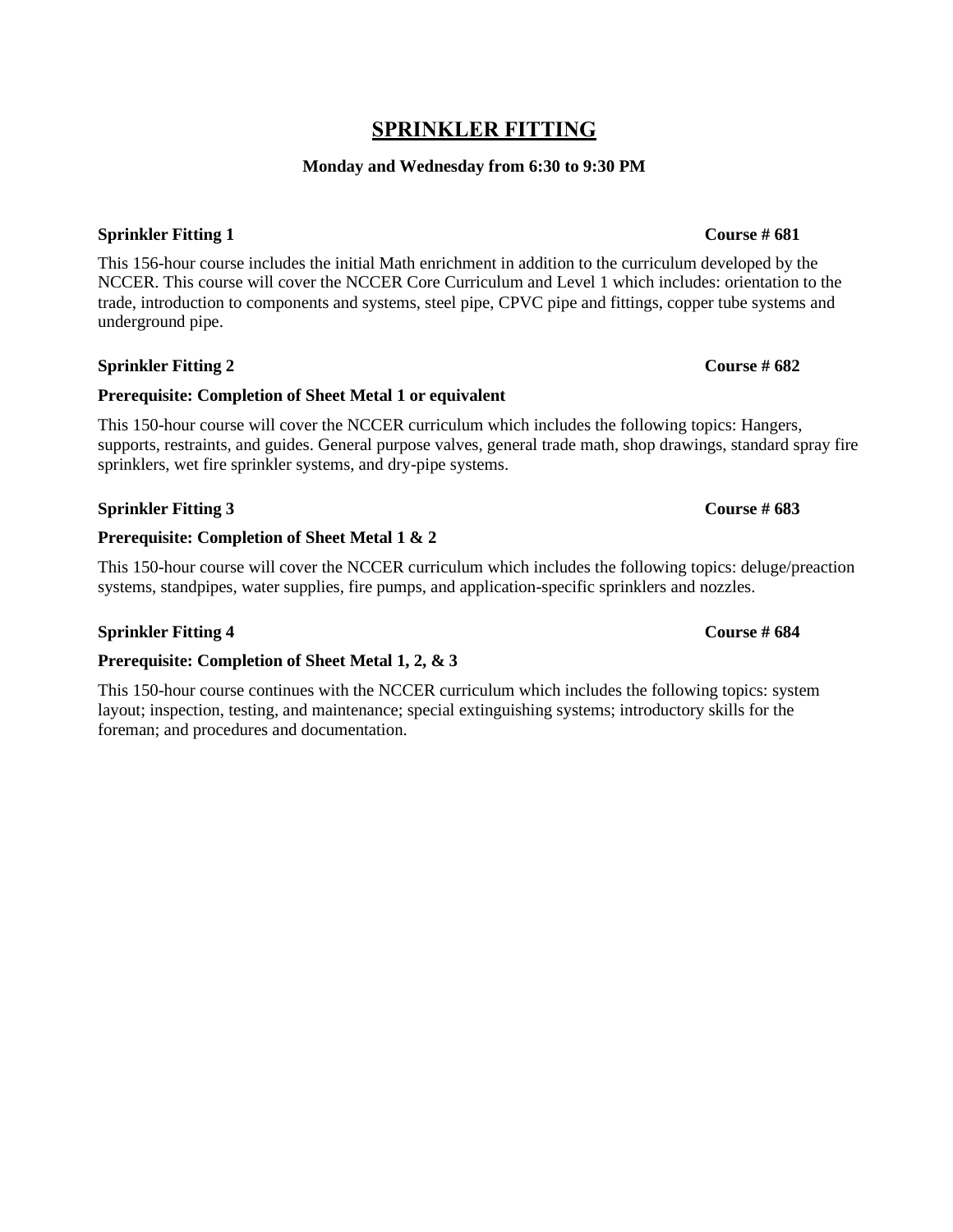## **SPRINKLER FITTING**

### **Monday and Wednesday from 6:30 to 9:30 PM**

### **Sprinkler Fitting 1 Course # 681**

This 156-hour course includes the initial Math enrichment in addition to the curriculum developed by the NCCER. This course will cover the NCCER Core Curriculum and Level 1 which includes: orientation to the trade, introduction to components and systems, steel pipe, CPVC pipe and fittings, copper tube systems and underground pipe.

### **Sprinkler Fitting 2 Course # 682**

## **Prerequisite: Completion of Sheet Metal 1 or equivalent**

This 150-hour course will cover the NCCER curriculum which includes the following topics: Hangers, supports, restraints, and guides. General purpose valves, general trade math, shop drawings, standard spray fire sprinklers, wet fire sprinkler systems, and dry-pipe systems.

## **Sprinkler Fitting 3 Course # 683**

## **Prerequisite: Completion of Sheet Metal 1 & 2**

This 150-hour course will cover the NCCER curriculum which includes the following topics: deluge/preaction systems, standpipes, water supplies, fire pumps, and application-specific sprinklers and nozzles.

## **Sprinkler Fitting 4 Course # 684**

## **Prerequisite: Completion of Sheet Metal 1, 2, & 3**

This 150-hour course continues with the NCCER curriculum which includes the following topics: system layout; inspection, testing, and maintenance; special extinguishing systems; introductory skills for the foreman; and procedures and documentation.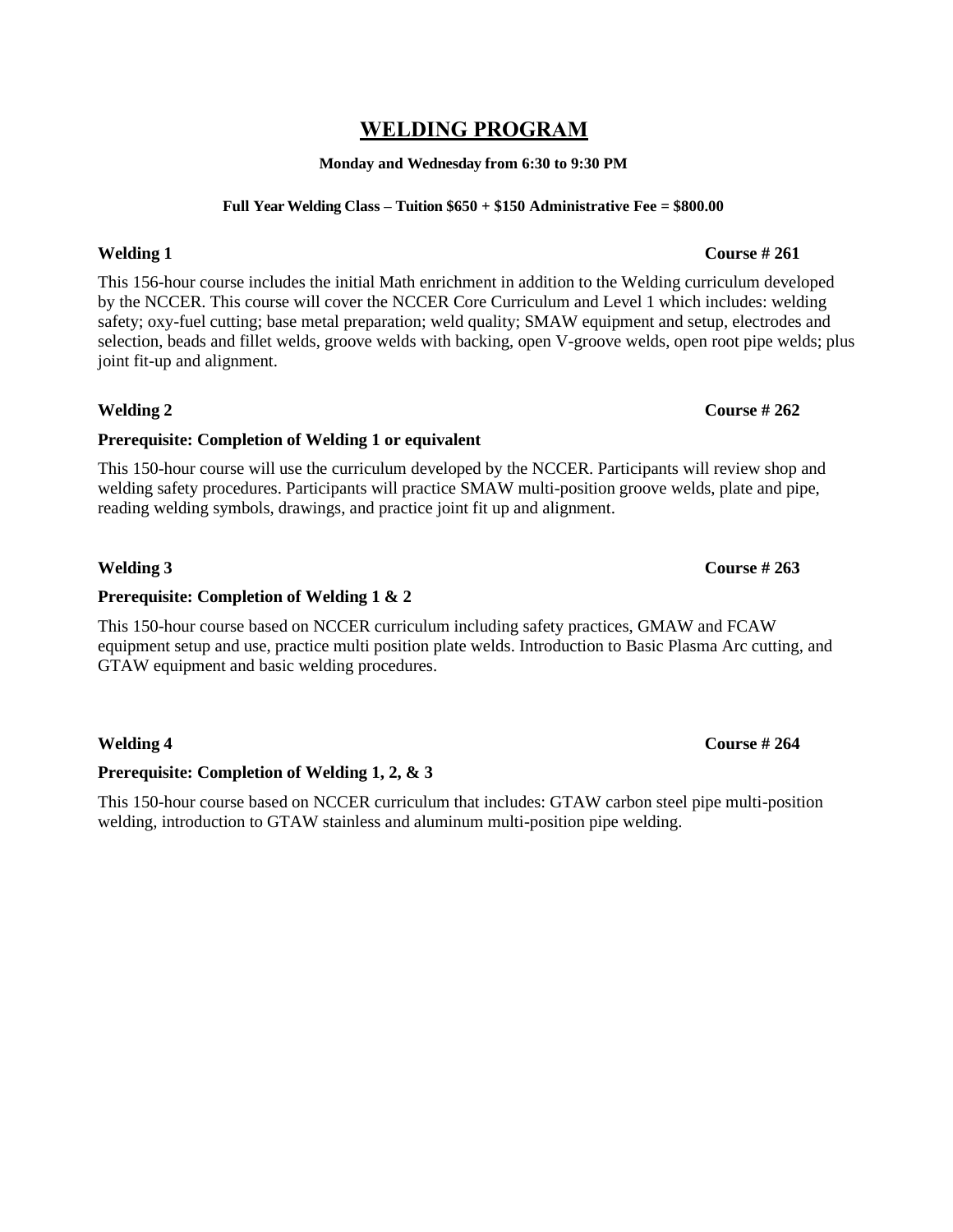## **WELDING PROGRAM**

**Monday and Wednesday from 6:30 to 9:30 PM**

### **Full Year Welding Class – Tuition \$650 + \$150 Administrative Fee = \$800.00**

### **Welding 1 Course # 261**

This 156-hour course includes the initial Math enrichment in addition to the Welding curriculum developed by the NCCER. This course will cover the NCCER Core Curriculum and Level 1 which includes: welding safety; oxy-fuel cutting; base metal preparation; weld quality; SMAW equipment and setup, electrodes and selection, beads and fillet welds, groove welds with backing, open V-groove welds, open root pipe welds; plus joint fit-up and alignment.

**Prerequisite: Completion of Welding 1 or equivalent** This 150-hour course will use the curriculum developed by the NCCER. Participants will review shop and welding safety procedures. Participants will practice SMAW multi-position groove welds, plate and pipe, reading welding symbols, drawings, and practice joint fit up and alignment.

**Welding 2 Course # 262** 

**Prerequisite: Completion of Welding 1 & 2**

This 150-hour course based on NCCER curriculum including safety practices, GMAW and FCAW equipment setup and use, practice multi position plate welds. Introduction to Basic Plasma Arc cutting, and GTAW equipment and basic welding procedures.

### **Prerequisite: Completion of Welding 1, 2, & 3**

This 150-hour course based on NCCER curriculum that includes: GTAW carbon steel pipe multi-position welding, introduction to GTAW stainless and aluminum multi-position pipe welding.

### **Welding 3 Course # 263**

### **Welding 4 Course # 264**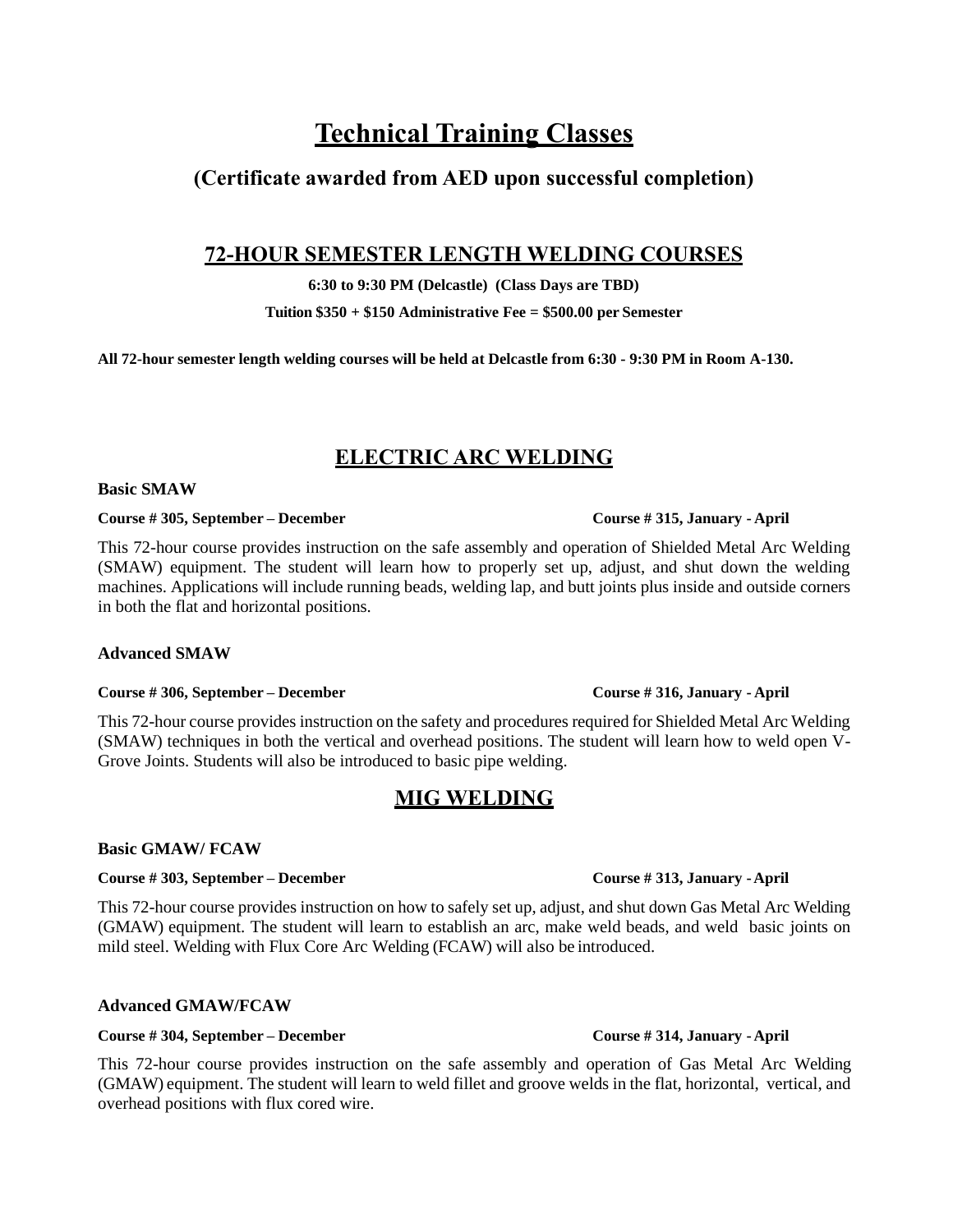# **Technical Training Classes**

## **(Certificate awarded from AED upon successful completion)**

## **72-HOUR SEMESTER LENGTH WELDING COURSES**

**6:30 to 9:30 PM (Delcastle) (Class Days are TBD)** 

**Tuition \$350 + \$150 Administrative Fee = \$500.00 per Semester**

**All 72-hour semester length welding courses will be held at Delcastle from 6:30 - 9:30 PM in Room A-130.** 

## **ELECTRIC ARC WELDING**

### **Basic SMAW**

### **Course # 305, September – December Course # 315, January - April**

This 72-hour course provides instruction on the safe assembly and operation of Shielded Metal Arc Welding (SMAW) equipment. The student will learn how to properly set up, adjust, and shut down the welding machines. Applications will include running beads, welding lap, and butt joints plus inside and outside corners in both the flat and horizontal positions.

### **Advanced SMAW**

### **Course # 306, September – December Course # 316, January - April**

This 72-hour course provides instruction on the safety and procedures required for Shielded Metal Arc Welding (SMAW) techniques in both the vertical and overhead positions. The student will learn how to weld open V-Grove Joints. Students will also be introduced to basic pipe welding.

## **MIG WELDING**

### **Basic GMAW/ FCAW**

### **Course # 303, September – December Course # 313, January -April**

This 72-hour course provides instruction on how to safely set up, adjust, and shut down Gas Metal Arc Welding (GMAW) equipment. The student will learn to establish an arc, make weld beads, and weld basic joints on mild steel. Welding with Flux Core Arc Welding (FCAW) will also be introduced.

### **Advanced GMAW/FCAW**

### **Course # 304, September – December Course # 314, January - April**

This 72-hour course provides instruction on the safe assembly and operation of Gas Metal Arc Welding (GMAW) equipment. The student will learn to weld fillet and groove welds in the flat, horizontal, vertical, and overhead positions with flux cored wire.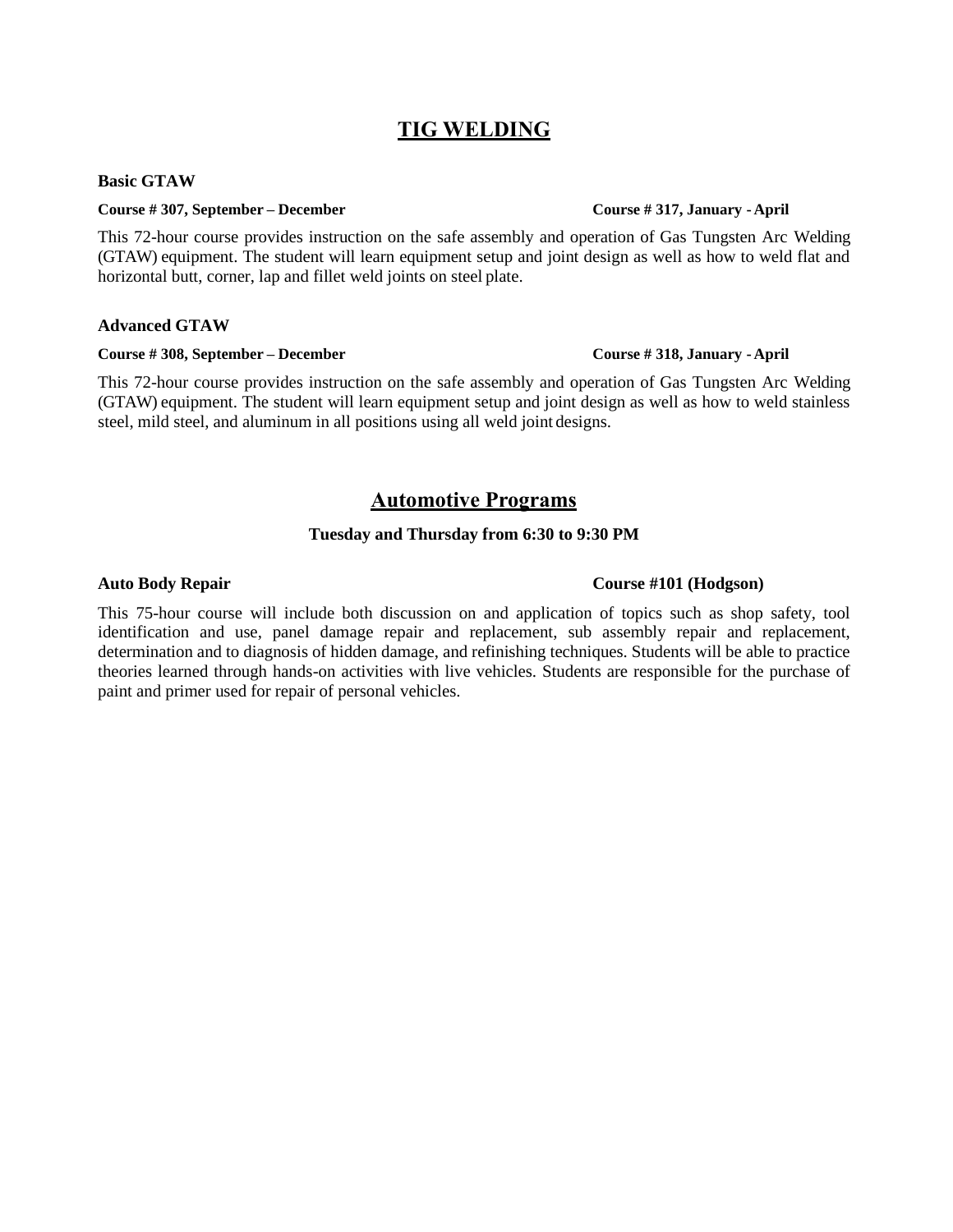## **TIG WELDING**

### **Basic GTAW**

### **Course # 307, September – December Course # 317, January - April**

This 72-hour course provides instruction on the safe assembly and operation of Gas Tungsten Arc Welding (GTAW) equipment. The student will learn equipment setup and joint design as well as how to weld flat and horizontal butt, corner, lap and fillet weld joints on steel plate.

### **Advanced GTAW**

### **Course # 308, September – December Course # 318, January - April**

This 72-hour course provides instruction on the safe assembly and operation of Gas Tungsten Arc Welding (GTAW) equipment. The student will learn equipment setup and joint design as well as how to weld stainless steel, mild steel, and aluminum in all positions using all weld joint designs.

### **Automotive Programs**

### **Tuesday and Thursday from 6:30 to 9:30 PM**

### **Auto Body Repair Course #101 (Hodgson)**

This 75-hour course will include both discussion on and application of topics such as shop safety, tool identification and use, panel damage repair and replacement, sub assembly repair and replacement, determination and to diagnosis of hidden damage, and refinishing techniques. Students will be able to practice theories learned through hands-on activities with live vehicles. Students are responsible for the purchase of paint and primer used for repair of personal vehicles.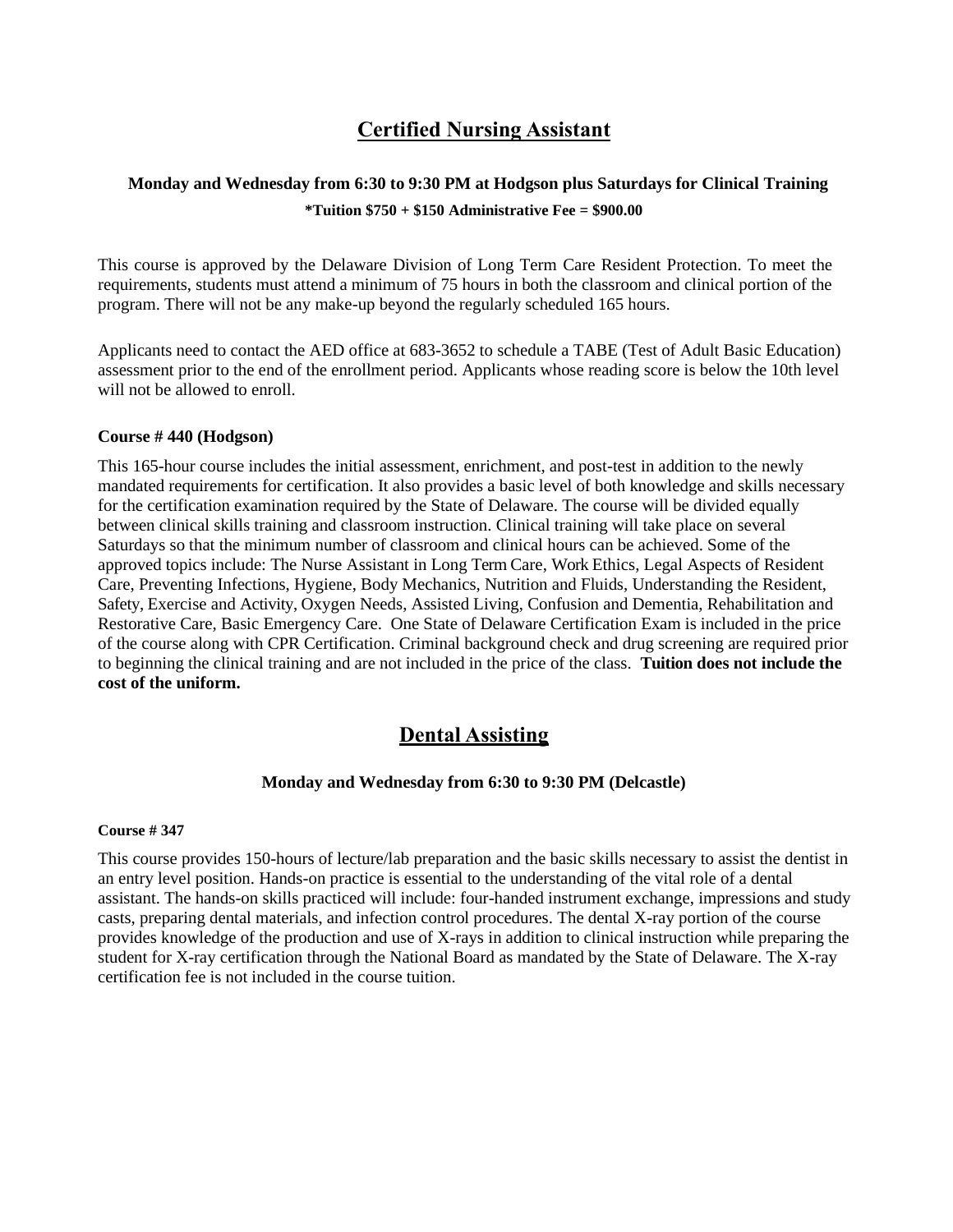## **Certified Nursing Assistant**

### **Monday and Wednesday from 6:30 to 9:30 PM at Hodgson plus Saturdays for Clinical Training \*Tuition \$750 + \$150 Administrative Fee = \$900.00**

This course is approved by the Delaware Division of Long Term Care Resident Protection. To meet the requirements, students must attend a minimum of 75 hours in both the classroom and clinical portion of the program. There will not be any make-up beyond the regularly scheduled 165 hours.

Applicants need to contact the AED office at 683-3652 to schedule a TABE (Test of Adult Basic Education) assessment prior to the end of the enrollment period. Applicants whose reading score is below the 10th level will not be allowed to enroll.

### **Course # 440 (Hodgson)**

This 165-hour course includes the initial assessment, enrichment, and post-test in addition to the newly mandated requirements for certification. It also provides a basic level of both knowledge and skills necessary for the certification examination required by the State of Delaware. The course will be divided equally between clinical skills training and classroom instruction. Clinical training will take place on several Saturdays so that the minimum number of classroom and clinical hours can be achieved. Some of the approved topics include: The Nurse Assistant in Long Term Care, Work Ethics, Legal Aspects of Resident Care, Preventing Infections, Hygiene, Body Mechanics, Nutrition and Fluids, Understanding the Resident, Safety, Exercise and Activity, Oxygen Needs, Assisted Living, Confusion and Dementia, Rehabilitation and Restorative Care, Basic Emergency Care. One State of Delaware Certification Exam is included in the price of the course along with CPR Certification. Criminal background check and drug screening are required prior to beginning the clinical training and are not included in the price of the class. **Tuition does not include the cost of the uniform.**

### **Dental Assisting**

### **Monday and Wednesday from 6:30 to 9:30 PM (Delcastle)**

### **Course # 347**

This course provides 150-hours of lecture/lab preparation and the basic skills necessary to assist the dentist in an entry level position. Hands-on practice is essential to the understanding of the vital role of a dental assistant. The hands-on skills practiced will include: four-handed instrument exchange, impressions and study casts, preparing dental materials, and infection control procedures. The dental X-ray portion of the course provides knowledge of the production and use of X-rays in addition to clinical instruction while preparing the student for X-ray certification through the National Board as mandated by the State of Delaware. The X-ray certification fee is not included in the course tuition.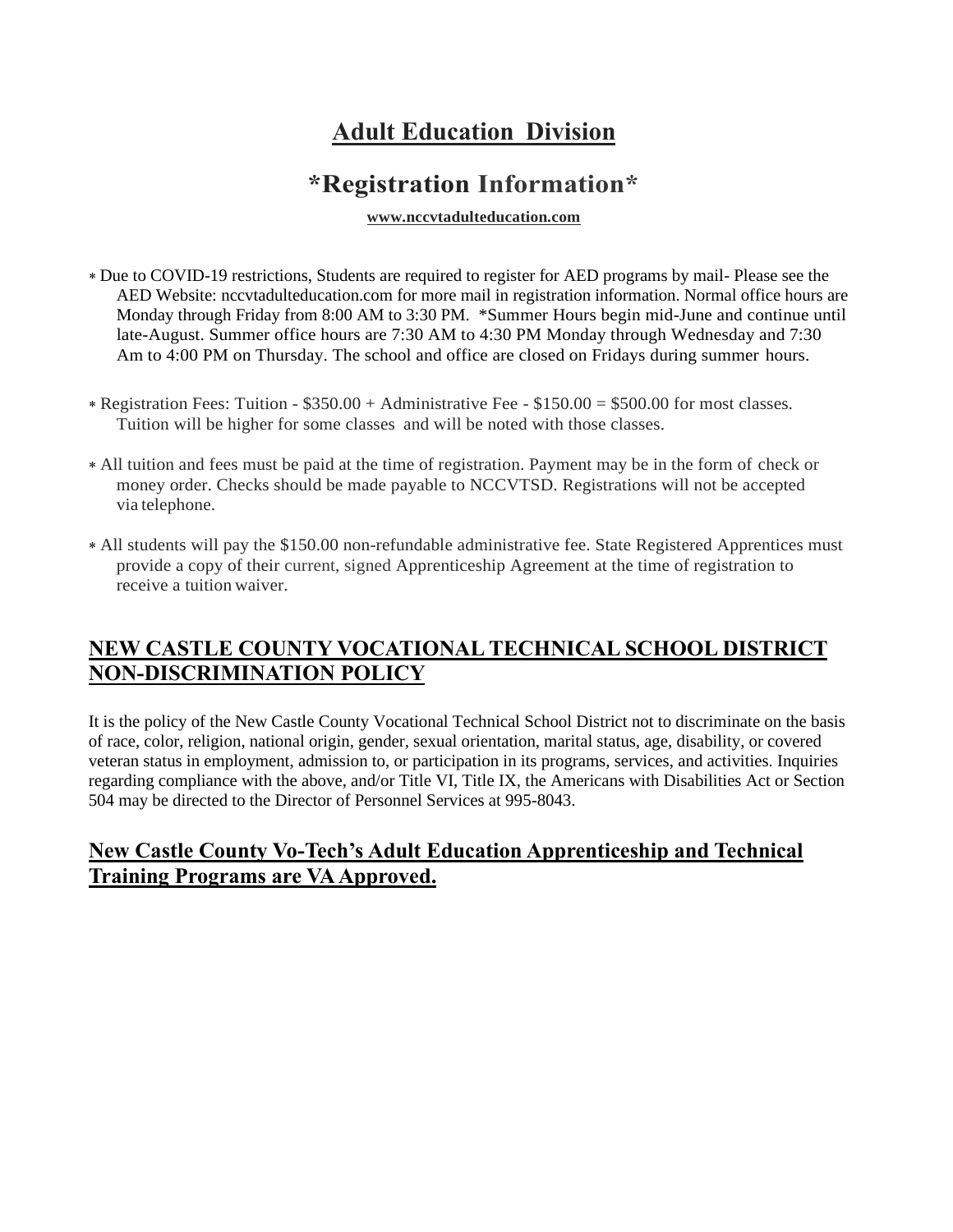# **Adult Education Division**

# **\*Registration Information\***

**[www.nccvtadulteducation.com](http://www.nccvtadulteducation.com/)**

- Due to COVID-19 restrictions, Students are required to register for AED programs by mail- Please see the AED Website: nccvtadulteducation.com for more mail in registration information. Normal office hours are Monday through Friday from 8:00 AM to 3:30 PM. \*Summer Hours begin mid-June and continue until late-August. Summer office hours are 7:30 AM to 4:30 PM Monday through Wednesday and 7:30 Am to 4:00 PM on Thursday. The school and office are closed on Fridays during summer hours.
- Registration Fees: Tuition \$350.00 + Administrative Fee \$150.00 = \$500.00 for most classes. Tuition will be higher for some classes and will be noted with those classes.
- All tuition and fees must be paid at the time of registration. Payment may be in the form of check or money order. Checks should be made payable to NCCVTSD. Registrations will not be accepted via telephone.
- All students will pay the \$150.00 non-refundable administrative fee. State Registered Apprentices must provide a copy of their current, signed Apprenticeship Agreement at the time of registration to receive a tuition waiver.

## **NEW CASTLE COUNTY VOCATIONAL TECHNICAL SCHOOL DISTRICT NON-DISCRIMINATION POLICY**

It is the policy of the New Castle County Vocational Technical School District not to discriminate on the basis of race, color, religion, national origin, gender, sexual orientation, marital status, age, disability, or covered veteran status in employment, admission to, or participation in its programs, services, and activities. Inquiries regarding compliance with the above, and/or Title VI, Title IX, the Americans with Disabilities Act or Section 504 may be directed to the Director of Personnel Services at 995-8043.

## **New Castle County Vo-Tech's Adult Education Apprenticeship and Technical Training Programs are VA Approved.**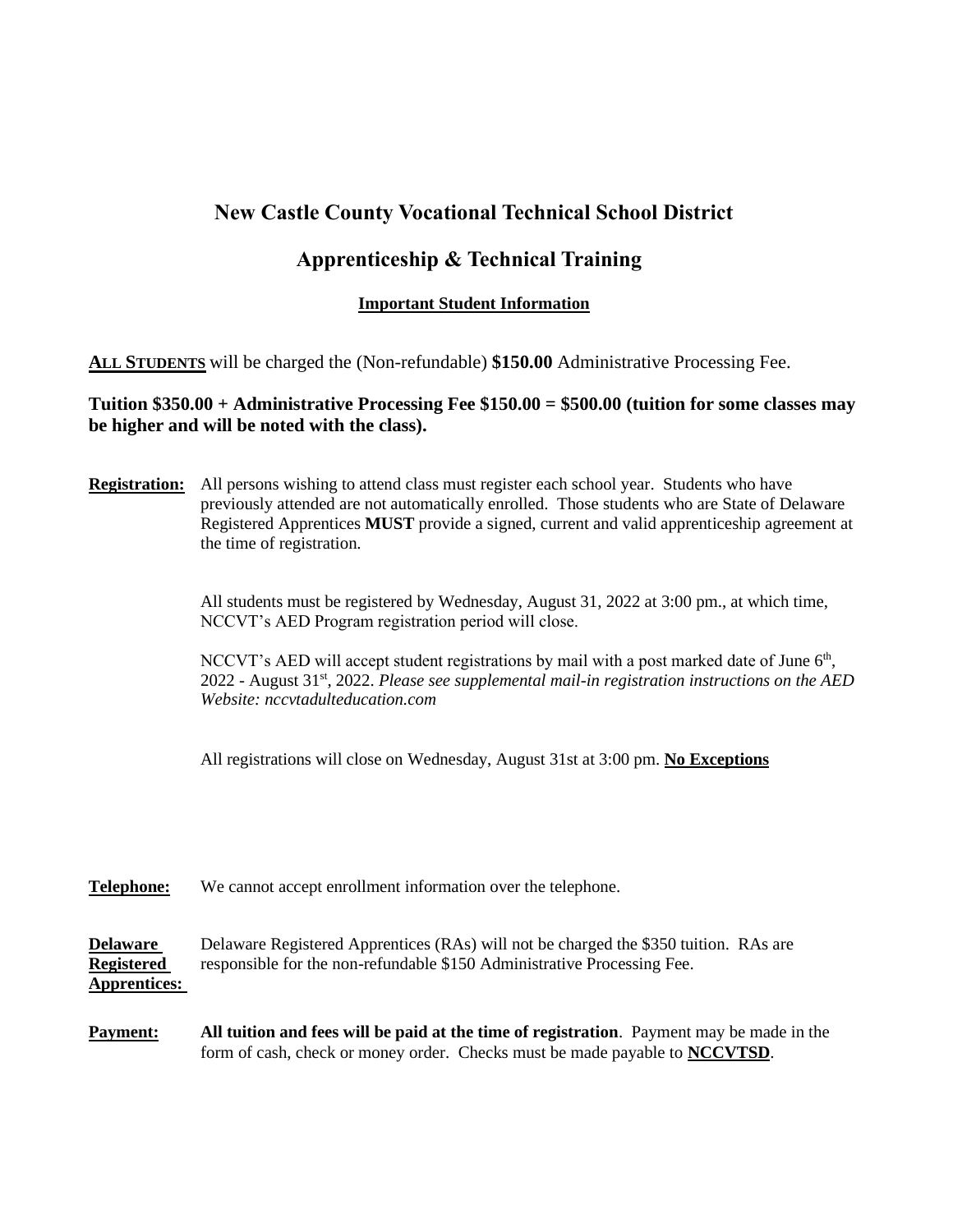## **New Castle County Vocational Technical School District**

## **Apprenticeship & Technical Training**

### **Important Student Information**

**ALL STUDENTS** will be charged the (Non-refundable) **\$150.00** Administrative Processing Fee.

### **Tuition \$350.00 + Administrative Processing Fee \$150.00 = \$500.00 (tuition for some classes may be higher and will be noted with the class).**

**Registration:** All persons wishing to attend class must register each school year. Students who have previously attended are not automatically enrolled. Those students who are State of Delaware Registered Apprentices **MUST** provide a signed, current and valid apprenticeship agreement at the time of registration.

> All students must be registered by Wednesday, August 31, 2022 at 3:00 pm., at which time, NCCVT's AED Program registration period will close.

NCCVT's AED will accept student registrations by mail with a post marked date of June 6<sup>th</sup>, 2022 - August 31st, 2022. *Please see supplemental mail-in registration instructions on the AED Website: nccvtadulteducation.com* 

All registrations will close on Wednesday, August 31st at 3:00 pm. **No Exceptions**

### **Telephone:** We cannot accept enrollment information over the telephone.

**Delaware** Delaware Registered Apprentices (RAs) will not be charged the \$350 tuition. RAs are **Registered** responsible for the non-refundable \$150 Administrative Processing Fee. **Apprentices:**

**Payment: All tuition and fees will be paid at the time of registration**. Payment may be made in the form of cash, check or money order. Checks must be made payable to **NCCVTSD**.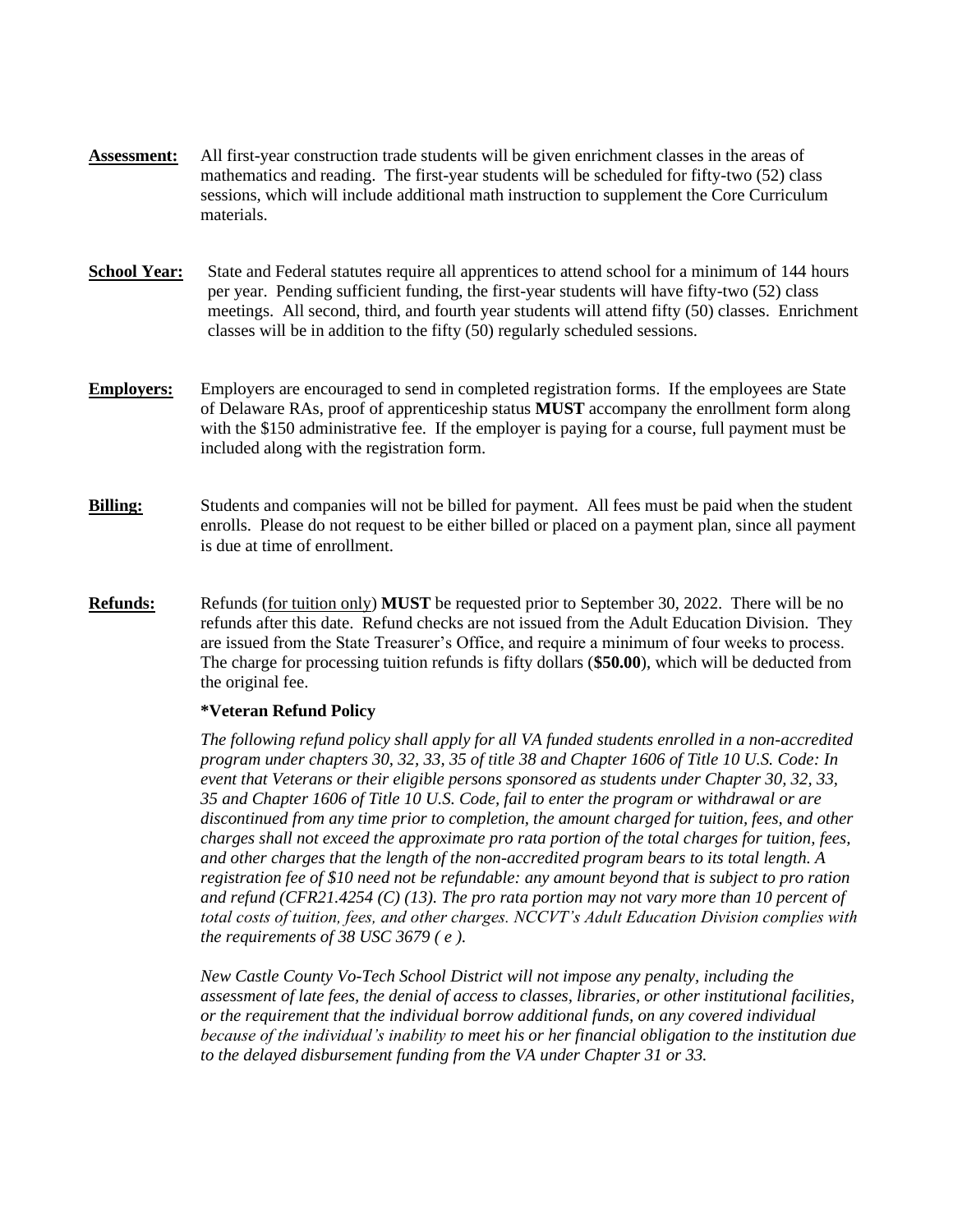- **Assessment:** All first-year construction trade students will be given enrichment classes in the areas of mathematics and reading. The first-year students will be scheduled for fifty-two (52) class sessions, which will include additional math instruction to supplement the Core Curriculum materials.
- **School Year:** State and Federal statutes require all apprentices to attend school for a minimum of 144 hours per year. Pending sufficient funding, the first-year students will have fifty-two (52) class meetings. All second, third, and fourth year students will attend fifty (50) classes. Enrichment classes will be in addition to the fifty (50) regularly scheduled sessions.
- **Employers:** Employers are encouraged to send in completed registration forms. If the employees are State of Delaware RAs, proof of apprenticeship status **MUST** accompany the enrollment form along with the \$150 administrative fee. If the employer is paying for a course, full payment must be included along with the registration form.
- **Billing:** Students and companies will not be billed for payment. All fees must be paid when the student enrolls. Please do not request to be either billed or placed on a payment plan, since all payment is due at time of enrollment.
- **Refunds:** Refunds (for tuition only) **MUST** be requested prior to September 30, 2022. There will be no refunds after this date. Refund checks are not issued from the Adult Education Division. They are issued from the State Treasurer's Office, and require a minimum of four weeks to process. The charge for processing tuition refunds is fifty dollars (**\$50.00**), which will be deducted from the original fee.

### **\*Veteran Refund Policy**

*The following refund policy shall apply for all VA funded students enrolled in a non-accredited program under chapters 30, 32, 33, 35 of title 38 and Chapter 1606 of Title 10 U.S. Code: In event that Veterans or their eligible persons sponsored as students under Chapter 30, 32, 33, 35 and Chapter 1606 of Title 10 U.S. Code, fail to enter the program or withdrawal or are discontinued from any time prior to completion, the amount charged for tuition, fees, and other charges shall not exceed the approximate pro rata portion of the total charges for tuition, fees, and other charges that the length of the non-accredited program bears to its total length. A registration fee of \$10 need not be refundable: any amount beyond that is subject to pro ration and refund (CFR21.4254 (C) (13). The pro rata portion may not vary more than 10 percent of total costs of tuition, fees, and other charges. NCCVT's Adult Education Division complies with the requirements of 38 USC 3679 ( e ).*

*New Castle County Vo-Tech School District will not impose any penalty, including the assessment of late fees, the denial of access to classes, libraries, or other institutional facilities, or the requirement that the individual borrow additional funds, on any covered individual because of the individual's inability to meet his or her financial obligation to the institution due to the delayed disbursement funding from the VA under Chapter 31 or 33.*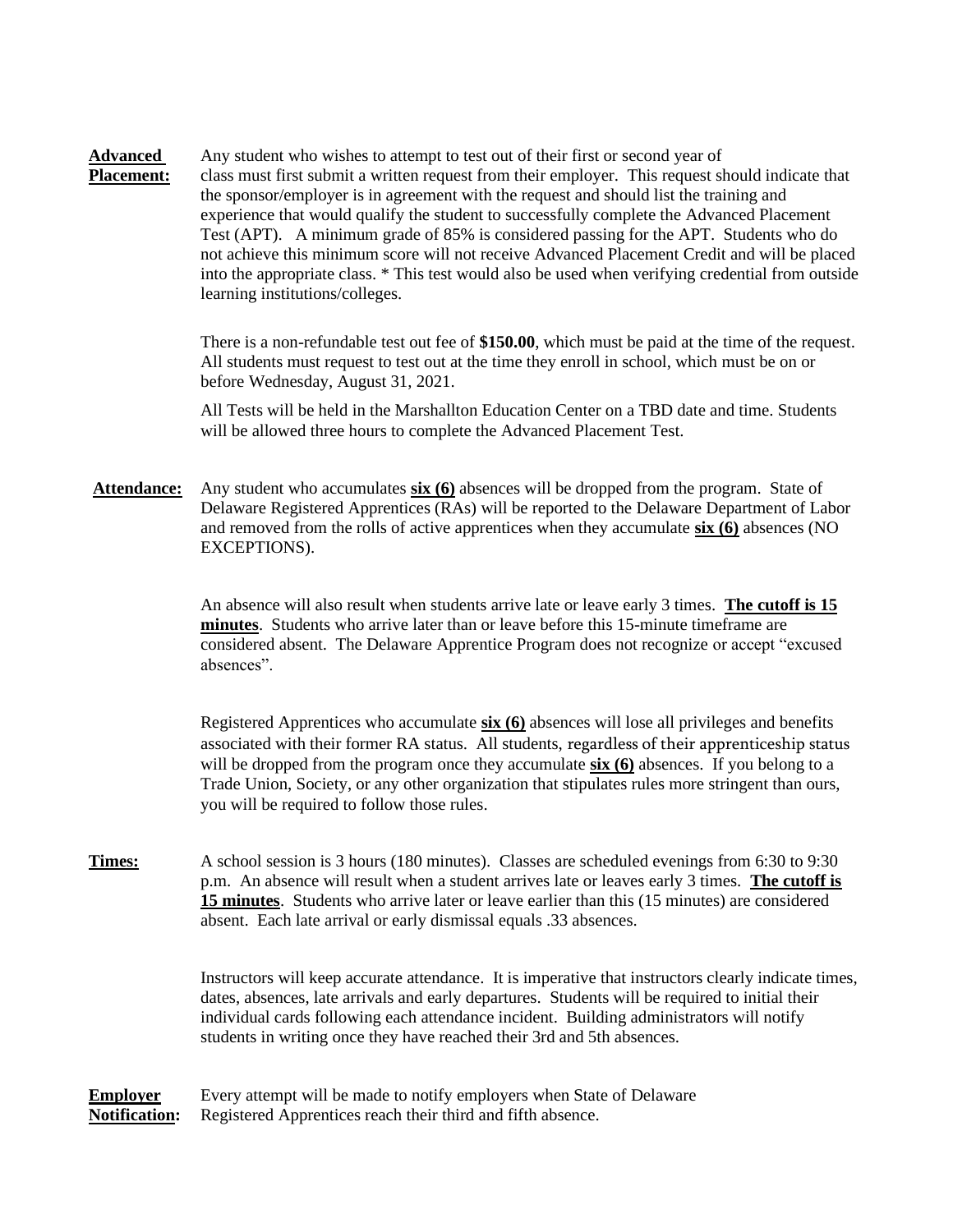**Advanced** Any student who wishes to attempt to test out of their first or second year of **Placement:** class must first submit a written request from their employer. This request should indicate that the sponsor/employer is in agreement with the request and should list the training and experience that would qualify the student to successfully complete the Advanced Placement Test (APT). A minimum grade of 85% is considered passing for the APT. Students who do not achieve this minimum score will not receive Advanced Placement Credit and will be placed into the appropriate class. \* This test would also be used when verifying credential from outside learning institutions/colleges.

> There is a non-refundable test out fee of **\$150.00**, which must be paid at the time of the request. All students must request to test out at the time they enroll in school, which must be on or before Wednesday, August 31, 2021.

All Tests will be held in the Marshallton Education Center on a TBD date and time. Students will be allowed three hours to complete the Advanced Placement Test.

**Attendance:** Any student who accumulates **six (6)** absences will be dropped from the program. State of Delaware Registered Apprentices (RAs) will be reported to the Delaware Department of Labor and removed from the rolls of active apprentices when they accumulate **six (6)** absences (NO EXCEPTIONS).

> An absence will also result when students arrive late or leave early 3 times. **The cutoff is 15 minutes**. Students who arrive later than or leave before this 15-minute timeframe are considered absent. The Delaware Apprentice Program does not recognize or accept "excused absences".

Registered Apprentices who accumulate **six (6)** absences will lose all privileges and benefits associated with their former RA status. All students, regardless of their apprenticeship status will be dropped from the program once they accumulate **six (6)** absences. If you belong to a Trade Union, Society, or any other organization that stipulates rules more stringent than ours, you will be required to follow those rules.

**Times:** A school session is 3 hours (180 minutes). Classes are scheduled evenings from 6:30 to 9:30 p.m. An absence will result when a student arrives late or leaves early 3 times. **The cutoff is 15 minutes**. Students who arrive later or leave earlier than this (15 minutes) are considered absent. Each late arrival or early dismissal equals .33 absences.

> Instructors will keep accurate attendance. It is imperative that instructors clearly indicate times, dates, absences, late arrivals and early departures. Students will be required to initial their individual cards following each attendance incident. Building administrators will notify students in writing once they have reached their 3rd and 5th absences.

**Employer** Every attempt will be made to notify employers when State of Delaware **Notification:** Registered Apprentices reach their third and fifth absence.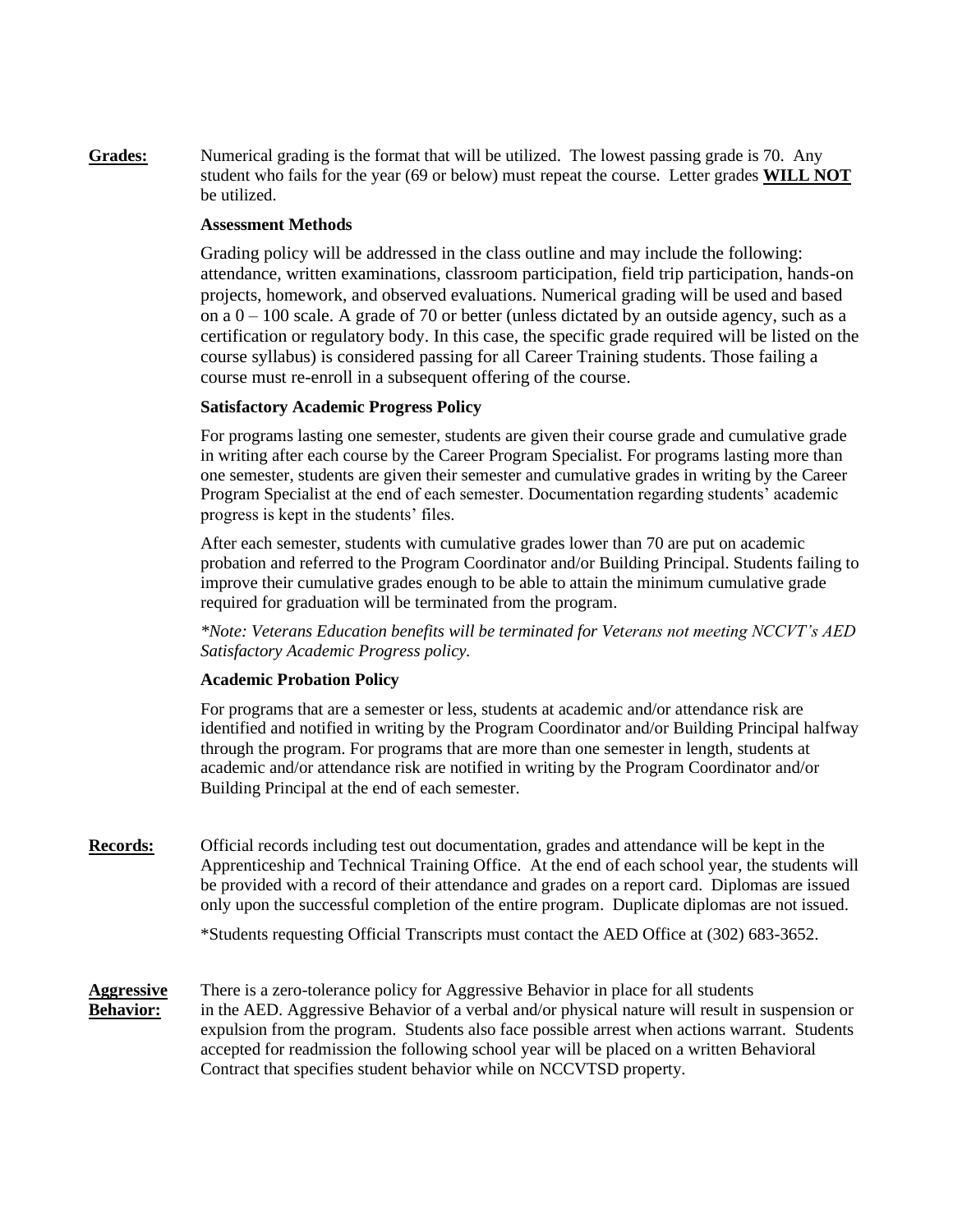**Grades:** Numerical grading is the format that will be utilized. The lowest passing grade is 70. Any student who fails for the year (69 or below) must repeat the course. Letter grades **WILL NOT** be utilized.

### **Assessment Methods**

Grading policy will be addressed in the class outline and may include the following: attendance, written examinations, classroom participation, field trip participation, hands-on projects, homework, and observed evaluations. Numerical grading will be used and based on a  $0 - 100$  scale. A grade of 70 or better (unless dictated by an outside agency, such as a certification or regulatory body. In this case, the specific grade required will be listed on the course syllabus) is considered passing for all Career Training students. Those failing a course must re-enroll in a subsequent offering of the course.

### **Satisfactory Academic Progress Policy**

For programs lasting one semester, students are given their course grade and cumulative grade in writing after each course by the Career Program Specialist. For programs lasting more than one semester, students are given their semester and cumulative grades in writing by the Career Program Specialist at the end of each semester. Documentation regarding students' academic progress is kept in the students' files.

After each semester, students with cumulative grades lower than 70 are put on academic probation and referred to the Program Coordinator and/or Building Principal. Students failing to improve their cumulative grades enough to be able to attain the minimum cumulative grade required for graduation will be terminated from the program.

*\*Note: Veterans Education benefits will be terminated for Veterans not meeting NCCVT's AED Satisfactory Academic Progress policy.*

### **Academic Probation Policy**

For programs that are a semester or less, students at academic and/or attendance risk are identified and notified in writing by the Program Coordinator and/or Building Principal halfway through the program. For programs that are more than one semester in length, students at academic and/or attendance risk are notified in writing by the Program Coordinator and/or Building Principal at the end of each semester.

**Records:** Official records including test out documentation, grades and attendance will be kept in the Apprenticeship and Technical Training Office. At the end of each school year, the students will be provided with a record of their attendance and grades on a report card. Diplomas are issued only upon the successful completion of the entire program. Duplicate diplomas are not issued.

\*Students requesting Official Transcripts must contact the AED Office at (302) 683-3652.

**Aggressive** There is a zero-tolerance policy for Aggressive Behavior in place for all students **Behavior:** in the AED. Aggressive Behavior of a verbal and/or physical nature will result in suspension or expulsion from the program. Students also face possible arrest when actions warrant. Students accepted for readmission the following school year will be placed on a written Behavioral Contract that specifies student behavior while on NCCVTSD property.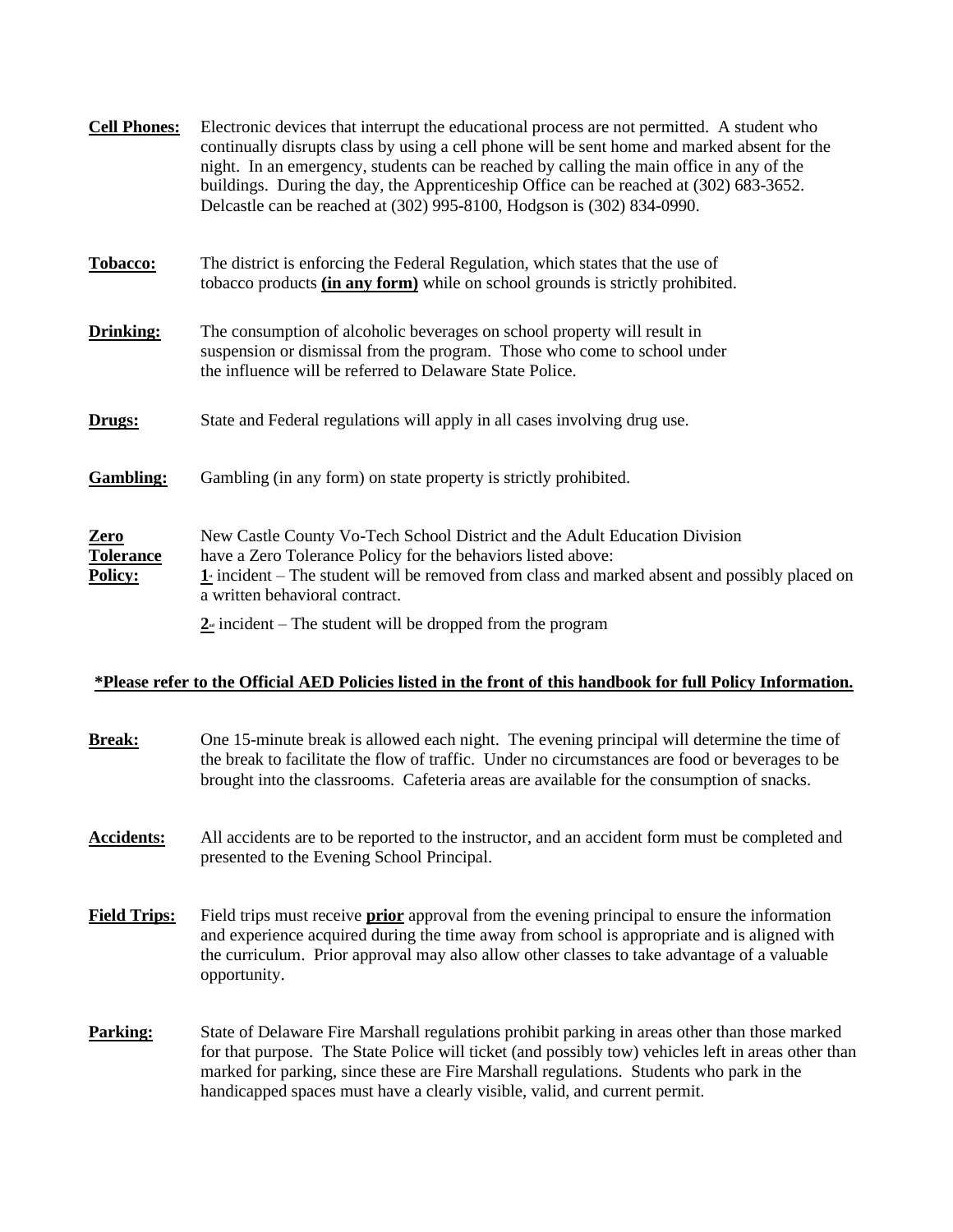| <b>Cell Phones:</b>                 | Electronic devices that interrupt the educational process are not permitted. A student who<br>continually disrupts class by using a cell phone will be sent home and marked absent for the<br>night. In an emergency, students can be reached by calling the main office in any of the<br>buildings. During the day, the Apprenticeship Office can be reached at (302) 683-3652.<br>Delcastle can be reached at (302) 995-8100, Hodgson is (302) 834-0990. |  |
|-------------------------------------|------------------------------------------------------------------------------------------------------------------------------------------------------------------------------------------------------------------------------------------------------------------------------------------------------------------------------------------------------------------------------------------------------------------------------------------------------------|--|
| Tobacco:                            | The district is enforcing the Federal Regulation, which states that the use of<br>tobacco products (in any form) while on school grounds is strictly prohibited.                                                                                                                                                                                                                                                                                           |  |
| Drinking:                           | The consumption of alcoholic beverages on school property will result in<br>suspension or dismissal from the program. Those who come to school under<br>the influence will be referred to Delaware State Police.                                                                                                                                                                                                                                           |  |
| Drugs:                              | State and Federal regulations will apply in all cases involving drug use.                                                                                                                                                                                                                                                                                                                                                                                  |  |
| <b>Gambling:</b>                    | Gambling (in any form) on state property is strictly prohibited.                                                                                                                                                                                                                                                                                                                                                                                           |  |
| Zero<br><b>Tolerance</b><br>Policy: | New Castle County Vo-Tech School District and the Adult Education Division<br>have a Zero Tolerance Policy for the behaviors listed above:<br>$\underline{\mathbf{1}}$ incident – The student will be removed from class and marked absent and possibly placed on<br>a written behavioral contract.                                                                                                                                                        |  |
|                                     | $2$ incident – The student will be dropped from the program                                                                                                                                                                                                                                                                                                                                                                                                |  |

## **\*Please refer to the Official AED Policies listed in the front of this handbook for full Policy Information.**

| <b>Break:</b>       | One 15-minute break is allowed each night. The evening principal will determine the time of<br>the break to facilitate the flow of traffic. Under no circumstances are food or beverages to be<br>brought into the classrooms. Cafeteria areas are available for the consumption of snacks.                                                                                   |
|---------------------|-------------------------------------------------------------------------------------------------------------------------------------------------------------------------------------------------------------------------------------------------------------------------------------------------------------------------------------------------------------------------------|
| <b>Accidents:</b>   | All accidents are to be reported to the instructor, and an accident form must be completed and<br>presented to the Evening School Principal.                                                                                                                                                                                                                                  |
| <b>Field Trips:</b> | Field trips must receive <b>prior</b> approval from the evening principal to ensure the information<br>and experience acquired during the time away from school is appropriate and is aligned with<br>the curriculum. Prior approval may also allow other classes to take advantage of a valuable<br>opportunity.                                                             |
| <b>Parking:</b>     | State of Delaware Fire Marshall regulations prohibit parking in areas other than those marked<br>for that purpose. The State Police will ticket (and possibly tow) vehicles left in areas other than<br>marked for parking, since these are Fire Marshall regulations. Students who park in the<br>handicapped spaces must have a clearly visible, valid, and current permit. |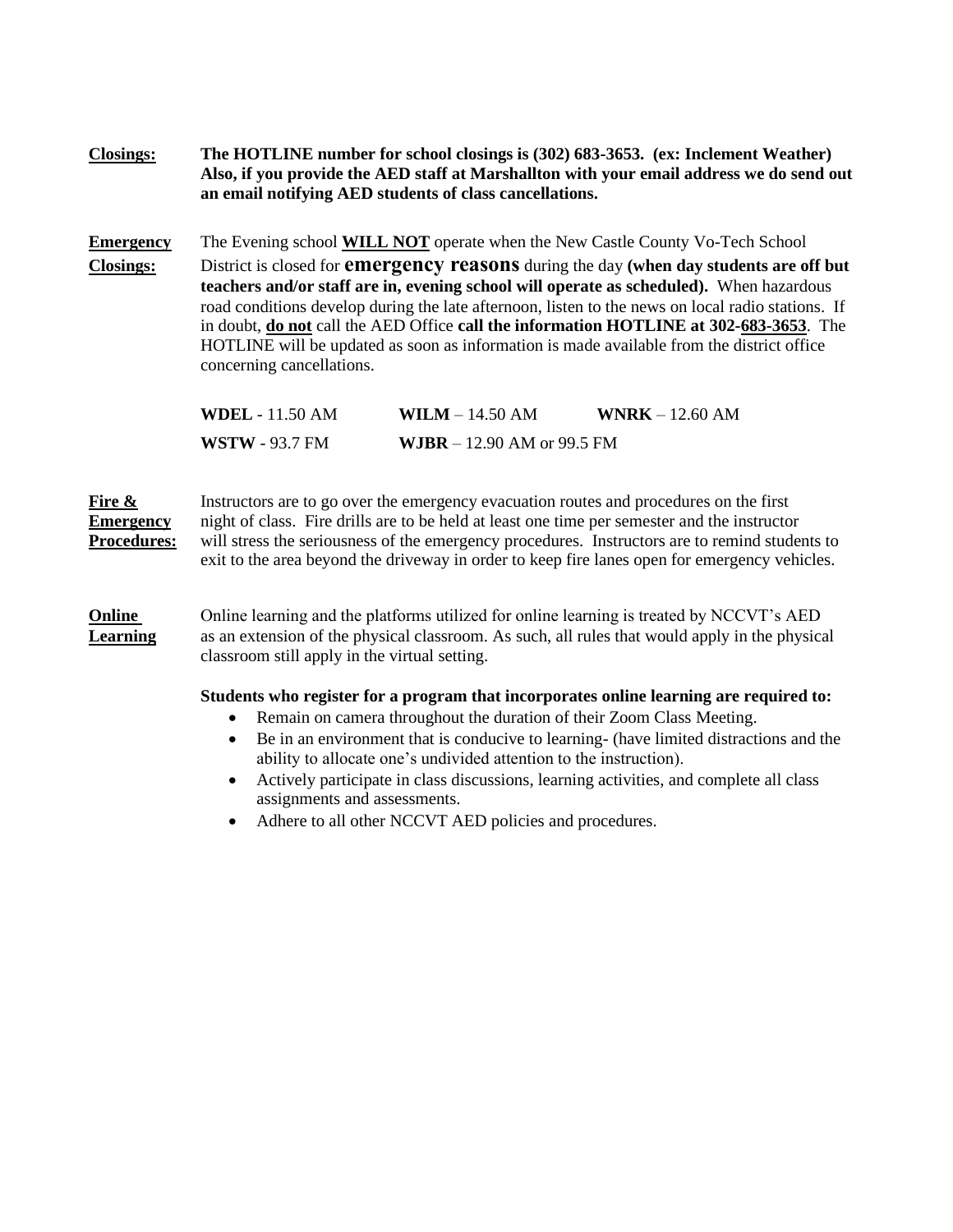**Closings: The HOTLINE number for school closings is (302) 683-3653. (ex: Inclement Weather) Also, if you provide the AED staff at Marshallton with your email address we do send out an email notifying AED students of class cancellations.**

**Emergency** The Evening school **WILL NOT** operate when the New Castle County Vo-Tech School

**Closings:** District is closed for **emergency reasons** during the day **(when day students are off but teachers and/or staff are in, evening school will operate as scheduled).** When hazardous road conditions develop during the late afternoon, listen to the news on local radio stations. If in doubt, **do not** call the AED Office **call the information HOTLINE at 302-683-3653**. The HOTLINE will be updated as soon as information is made available from the district office concerning cancellations.

| <b>WDEL</b> - 11.50 AM | $WILM - 14.50 AM$                   | $WRK - 12.60 AM$ |
|------------------------|-------------------------------------|------------------|
| <b>WSTW</b> - 93.7 FM  | <b>WJBR</b> $- 12.90$ AM or 99.5 FM |                  |

**Fire &** Instructors are to go over the emergency evacuation routes and procedures on the first **Emergency** night of class. Fire drills are to be held at least one time per semester and the instructor **Procedures:** will stress the seriousness of the emergency procedures. Instructors are to remind students to exit to the area beyond the driveway in order to keep fire lanes open for emergency vehicles.

**Online** Online learning and the platforms utilized for online learning is treated by NCCVT's AED **Learning** as an extension of the physical classroom. As such, all rules that would apply in the physical classroom still apply in the virtual setting.

## **Students who register for a program that incorporates online learning are required to:**

- Remain on camera throughout the duration of their Zoom Class Meeting.
- Be in an environment that is conducive to learning- (have limited distractions and the ability to allocate one's undivided attention to the instruction).
- Actively participate in class discussions, learning activities, and complete all class assignments and assessments.
- Adhere to all other NCCVT AED policies and procedures.